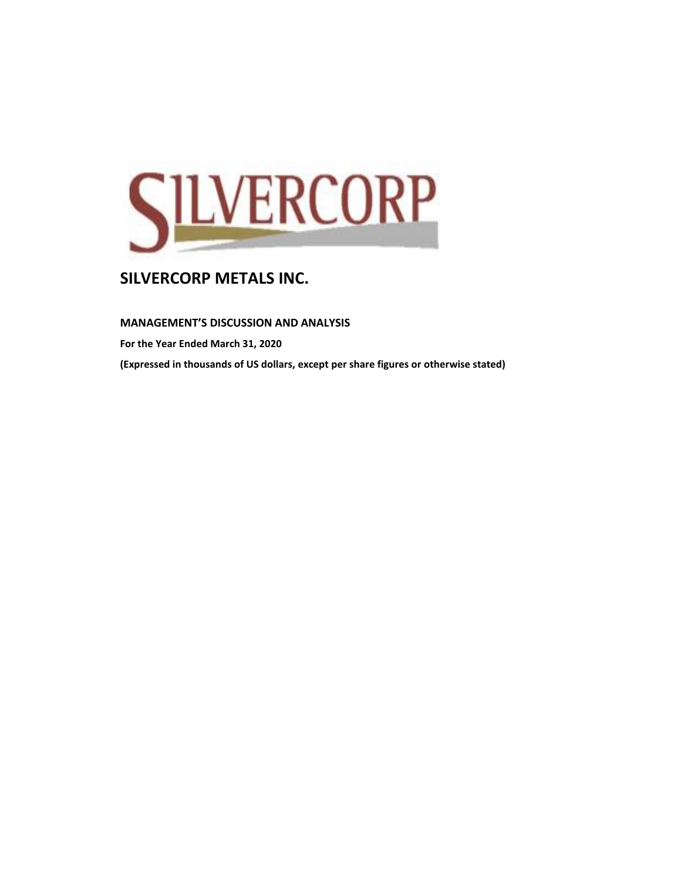

**MANAGEMENT'S DISCUSSION AND ANALYSIS** 

**For the Year Ended March 31, 2020**

**(Expressed in thousands of US dollars, except per share figures or otherwise stated)**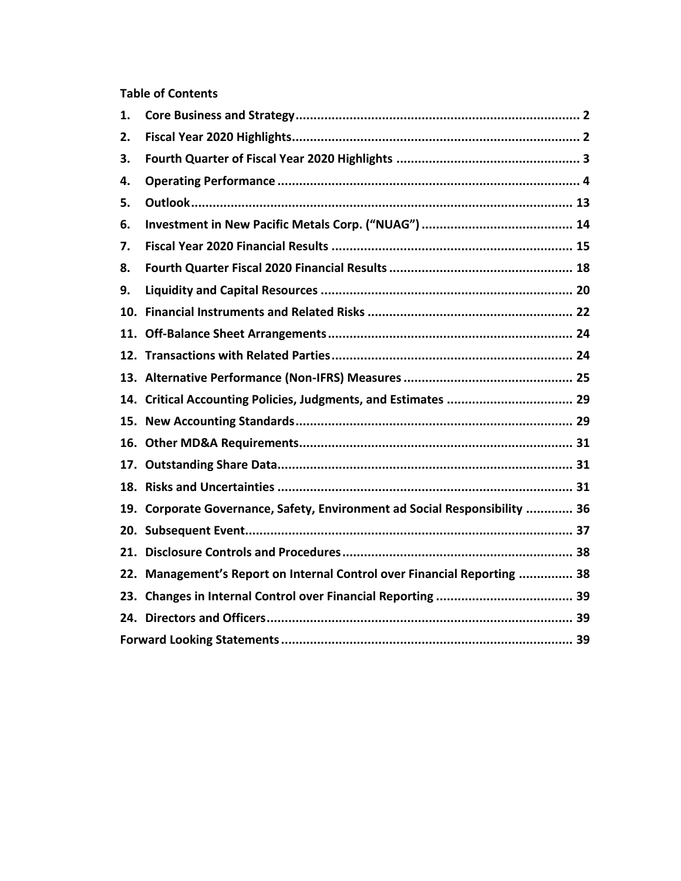# **Table of Contents**

| 1.  |                                                                            |  |
|-----|----------------------------------------------------------------------------|--|
| 2.  |                                                                            |  |
| З.  |                                                                            |  |
| 4.  |                                                                            |  |
| 5.  |                                                                            |  |
| 6.  |                                                                            |  |
| 7.  |                                                                            |  |
| 8.  |                                                                            |  |
| 9.  |                                                                            |  |
| 10. |                                                                            |  |
|     |                                                                            |  |
|     |                                                                            |  |
|     |                                                                            |  |
|     | 14. Critical Accounting Policies, Judgments, and Estimates  29             |  |
|     |                                                                            |  |
|     |                                                                            |  |
|     |                                                                            |  |
|     |                                                                            |  |
|     | 19. Corporate Governance, Safety, Environment ad Social Responsibility  36 |  |
|     |                                                                            |  |
|     |                                                                            |  |
|     | 22. Management's Report on Internal Control over Financial Reporting  38   |  |
|     |                                                                            |  |
|     |                                                                            |  |
|     |                                                                            |  |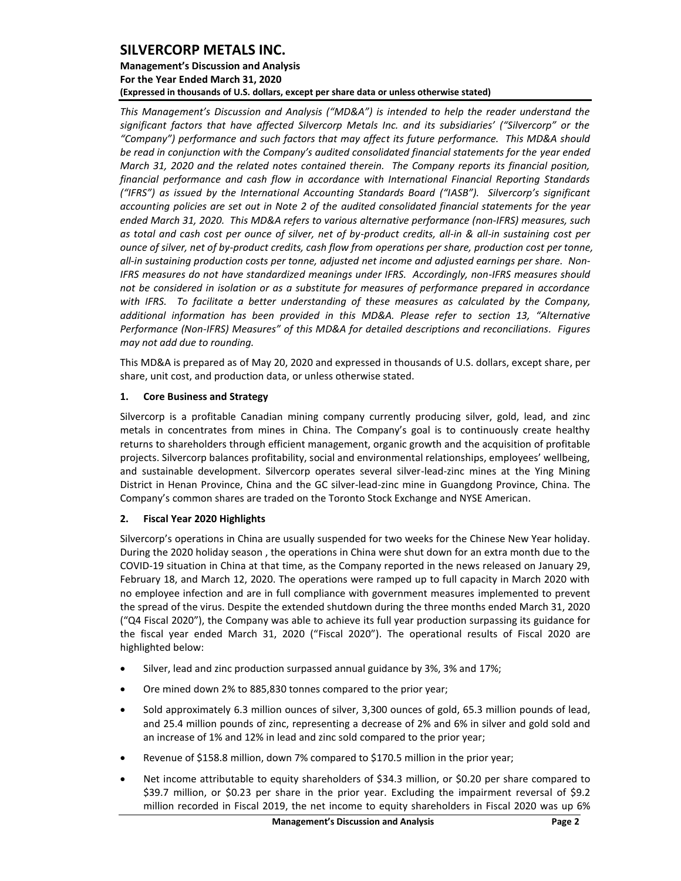## **Management's Discussion and Analysis For the Year Ended March 31, 2020 (Expressed in thousands of U.S. dollars, except per share data or unless otherwise stated)**

*This Management's Discussion and Analysis ("MD&A") is intended to help the reader understand the significant factors that have affected Silvercorp Metals Inc. and its subsidiaries' ("Silvercorp" or the "Company") performance and such factors that may affect its future performance. This MD&A should be read in conjunction with the Company's audited consolidated financial statements for the year ended March 31, 2020 and the related notes contained therein. The Company reports its financial position, financial performance and cash flow in accordance with International Financial Reporting Standards ("IFRS") as issued by the International Accounting Standards Board ("IASB"). Silvercorp's significant accounting policies are set out in Note 2 of the audited consolidated financial statements for the year ended March 31, 2020. This MD&A refers to various alternative performance (non-IFRS) measures, such as total and cash cost per ounce of silver, net of by-product credits, all-in & all-in sustaining cost per ounce of silver, net of by-product credits, cash flow from operations per share, production cost per tonne, all-in sustaining production costs per tonne, adjusted net income and adjusted earnings per share. Non-IFRS measures do not have standardized meanings under IFRS. Accordingly, non-IFRS measures should not be considered in isolation or as a substitute for measures of performance prepared in accordance with IFRS. To facilitate a better understanding of these measures as calculated by the Company, additional information has been provided in this MD&A. Please refer to section 13, "Alternative Performance (Non-IFRS) Measures" of this MD&A for detailed descriptions and reconciliations. Figures may not add due to rounding.*

This MD&A is prepared as of May 20, 2020 and expressed in thousands of U.S. dollars, except share, per share, unit cost, and production data, or unless otherwise stated.

## <span id="page-2-0"></span>**1. Core Business and Strategy**

Silvercorp is a profitable Canadian mining company currently producing silver, gold, lead, and zinc metals in concentrates from mines in China. The Company's goal is to continuously create healthy returns to shareholders through efficient management, organic growth and the acquisition of profitable projects. Silvercorp balances profitability, social and environmental relationships, employees' wellbeing, and sustainable development. Silvercorp operates several silver-lead-zinc mines at the Ying Mining District in Henan Province, China and the GC silver-lead-zinc mine in Guangdong Province, China. The Company's common shares are traded on the Toronto Stock Exchange and NYSE American.

## <span id="page-2-1"></span>**2. Fiscal Year 2020 Highlights**

Silvercorp's operations in China are usually suspended for two weeks for the Chinese New Year holiday. During the 2020 holiday season , the operations in China were shut down for an extra month due to the COVID-19 situation in China at that time, as the Company reported in the news released on January 29, February 18, and March 12, 2020. The operations were ramped up to full capacity in March 2020 with no employee infection and are in full compliance with government measures implemented to prevent the spread of the virus. Despite the extended shutdown during the three months ended March 31, 2020 ("Q4 Fiscal 2020"), the Company was able to achieve its full year production surpassing its guidance for the fiscal year ended March 31, 2020 ("Fiscal 2020"). The operational results of Fiscal 2020 are highlighted below:

- Silver, lead and zinc production surpassed annual guidance by 3%, 3% and 17%;
- Ore mined down 2% to 885,830 tonnes compared to the prior year;
- Sold approximately 6.3 million ounces of silver, 3,300 ounces of gold, 65.3 million pounds of lead, and 25.4 million pounds of zinc, representing a decrease of 2% and 6% in silver and gold sold and an increase of 1% and 12% in lead and zinc sold compared to the prior year;
- Revenue of \$158.8 million, down 7% compared to \$170.5 million in the prior year;
- Net income attributable to equity shareholders of \$34.3 million, or \$0.20 per share compared to \$39.7 million, or \$0.23 per share in the prior year. Excluding the impairment reversal of \$9.2 million recorded in Fiscal 2019, the net income to equity shareholders in Fiscal 2020 was up 6%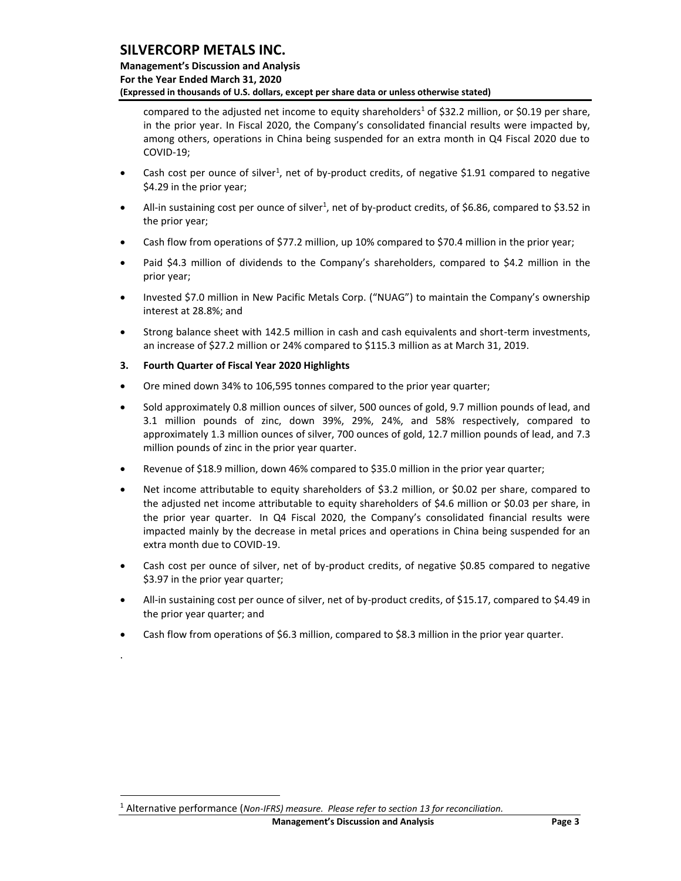compared to the adjusted net income to equity shareholders<sup>1</sup> of \$32.2 million, or \$0.19 per share, in the prior year. In Fiscal 2020, the Company's consolidated financial results were impacted by, among others, operations in China being suspended for an extra month in Q4 Fiscal 2020 due to COVID-19;

- Cash cost per ounce of silver<sup>1</sup>, net of by-product credits, of negative \$1.91 compared to negative \$4.29 in the prior year;
- All-in sustaining cost per ounce of silver<sup>1</sup>, net of by-product credits, of \$6.86, compared to \$3.52 in the prior year;
- Cash flow from operations of \$77.2 million, up 10% compared to \$70.4 million in the prior year;
- Paid \$4.3 million of dividends to the Company's shareholders, compared to \$4.2 million in the prior year;
- Invested \$7.0 million in New Pacific Metals Corp. ("NUAG") to maintain the Company's ownership interest at 28.8%; and
- Strong balance sheet with 142.5 million in cash and cash equivalents and short-term investments, an increase of \$27.2 million or 24% compared to \$115.3 million as at March 31, 2019.
- <span id="page-3-0"></span>**3. Fourth Quarter of Fiscal Year 2020 Highlights**

.

- Ore mined down 34% to 106,595 tonnes compared to the prior year quarter;
- Sold approximately 0.8 million ounces of silver, 500 ounces of gold, 9.7 million pounds of lead, and 3.1 million pounds of zinc, down 39%, 29%, 24%, and 58% respectively, compared to approximately 1.3 million ounces of silver, 700 ounces of gold, 12.7 million pounds of lead, and 7.3 million pounds of zinc in the prior year quarter.
- Revenue of \$18.9 million, down 46% compared to \$35.0 million in the prior year quarter;
- Net income attributable to equity shareholders of \$3.2 million, or \$0.02 per share, compared to the adjusted net income attributable to equity shareholders of \$4.6 million or \$0.03 per share, in the prior year quarter. In Q4 Fiscal 2020, the Company's consolidated financial results were impacted mainly by the decrease in metal prices and operations in China being suspended for an extra month due to COVID-19.
- Cash cost per ounce of silver, net of by-product credits, of negative \$0.85 compared to negative \$3.97 in the prior year quarter;
- All-in sustaining cost per ounce of silver, net of by-product credits, of \$15.17, compared to \$4.49 in the prior year quarter; and
- Cash flow from operations of \$6.3 million, compared to \$8.3 million in the prior year quarter.

<sup>1</sup> Alternative performance (*Non-IFRS) measure. Please refer to section 13 for reconciliation.*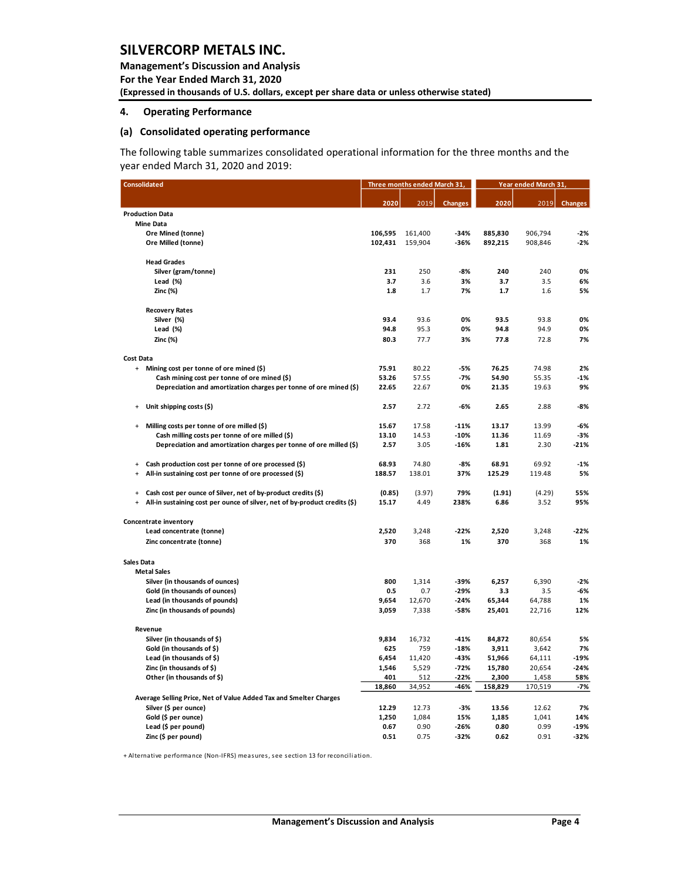**Management's Discussion and Analysis For the Year Ended March 31, 2020 (Expressed in thousands of U.S. dollars, except per share data or unless otherwise stated)** 

### <span id="page-4-0"></span>**4. Operating Performance**

### **(a) Consolidated operating performance**

The following table summarizes consolidated operational information for the three months and the year ended March 31, 2020 and 2019:

|                   | <b>Consolidated</b>                                                        | Three months ended March 31, |                 |                | Year ended March 31, |                  |                |  |
|-------------------|----------------------------------------------------------------------------|------------------------------|-----------------|----------------|----------------------|------------------|----------------|--|
|                   |                                                                            | 2020                         | 2019            | <b>Changes</b> | 2020                 | 2019             | <b>Changes</b> |  |
|                   | <b>Production Data</b>                                                     |                              |                 |                |                      |                  |                |  |
|                   | <b>Mine Data</b>                                                           |                              |                 |                |                      |                  |                |  |
|                   | Ore Mined (tonne)                                                          | 106,595                      | 161,400         | -34%           | 885,830              | 906,794          | $-2%$          |  |
|                   | Ore Milled (tonne)                                                         | 102,431                      | 159,904         | -36%           | 892,215              | 908,846          | -2%            |  |
|                   | <b>Head Grades</b>                                                         |                              |                 |                |                      |                  |                |  |
|                   | Silver (gram/tonne)                                                        | 231                          | 250             | $-8%$          | 240                  | 240              | 0%             |  |
|                   | Lead (%)                                                                   | 3.7                          | 3.6             | 3%             | 3.7                  | 3.5              | 6%             |  |
|                   | Zinc (%)                                                                   | 1.8                          | 1.7             | 7%             | 1.7                  | 1.6              | 5%             |  |
|                   | <b>Recovery Rates</b>                                                      |                              |                 |                |                      |                  |                |  |
|                   | Silver (%)                                                                 | 93.4                         | 93.6            | 0%             | 93.5                 | 93.8             | 0%             |  |
|                   | Lead (%)                                                                   | 94.8                         | 95.3            | 0%             | 94.8                 | 94.9             | 0%             |  |
|                   | Zinc (%)                                                                   | 80.3                         | 77.7            | 3%             | 77.8                 | 72.8             | 7%             |  |
| Cost Data         |                                                                            |                              |                 |                |                      |                  |                |  |
| $+$               | Mining cost per tonne of ore mined (\$)                                    | 75.91                        | 80.22           | $-5%$          | 76.25                | 74.98            | 2%             |  |
|                   | Cash mining cost per tonne of ore mined (\$)                               | 53.26                        | 57.55           | $-7%$          | 54.90                | 55.35            | $-1%$          |  |
|                   | Depreciation and amortization charges per tonne of ore mined (\$)          | 22.65                        | 22.67           | 0%             | 21.35                | 19.63            | 9%             |  |
|                   | Unit shipping costs (\$)                                                   | 2.57                         | 2.72            | $-6%$          | 2.65                 | 2.88             | -8%            |  |
| $\ddot{}$         | Milling costs per tonne of ore milled (\$)                                 | 15.67                        | 17.58           | $-11%$         | 13.17                | 13.99            | -6%            |  |
|                   | Cash milling costs per tonne of ore milled (\$)                            | 13.10                        | 14.53           | $-10%$         | 11.36                | 11.69            | $-3%$          |  |
|                   | Depreciation and amortization charges per tonne of ore milled (\$)         | 2.57                         | 3.05            | -16%           | 1.81                 | 2.30             | $-21%$         |  |
| $\ddot{}$         | Cash production cost per tonne of ore processed (\$)                       | 68.93                        | 74.80           | -8%            | 68.91                | 69.92            | $-1%$          |  |
| $\ddot{}$         | All-in sustaining cost per tonne of ore processed (\$)                     | 188.57                       | 138.01          | 37%            | 125.29               | 119.48           | 5%             |  |
| $\ddot{}$         | Cash cost per ounce of Silver, net of by-product credits (\$)              | (0.85)                       | (3.97)          | 79%            | (1.91)               | (4.29)           | 55%            |  |
| $\ddot{}$         | All-in sustaining cost per ounce of silver, net of by-product credits (\$) | 15.17                        | 4.49            | 238%           | 6.86                 | 3.52             | 95%            |  |
|                   | Concentrate inventory                                                      |                              |                 |                |                      |                  |                |  |
|                   | Lead concentrate (tonne)                                                   | 2,520                        | 3,248           | -22%           | 2,520                | 3,248            | $-22%$         |  |
|                   | Zinc concentrate (tonne)                                                   | 370                          | 368             | 1%             | 370                  | 368              | 1%             |  |
| <b>Sales Data</b> |                                                                            |                              |                 |                |                      |                  |                |  |
|                   | <b>Metal Sales</b>                                                         |                              |                 |                |                      |                  |                |  |
|                   | Silver (in thousands of ounces)                                            | 800                          | 1,314           | -39%           | 6,257                | 6,390            | $-2%$          |  |
|                   | Gold (in thousands of ounces)                                              | 0.5                          | 0.7             | $-29%$         | 3.3                  | 3.5              | -6%            |  |
|                   | Lead (in thousands of pounds)<br>Zinc (in thousands of pounds)             | 9,654<br>3,059               | 12,670<br>7,338 | $-24%$<br>-58% | 65,344<br>25,401     | 64,788<br>22,716 | 1%<br>12%      |  |
|                   | Revenue                                                                    |                              |                 |                |                      |                  |                |  |
|                   | Silver (in thousands of \$)                                                | 9,834                        | 16,732          | $-41%$         | 84,872               | 80,654           | 5%             |  |
|                   | Gold (in thousands of \$)                                                  | 625                          | 759             | $-18%$         | 3,911                | 3,642            | 7%             |  |
|                   | Lead (in thousands of \$)                                                  | 6,454                        | 11,420          | $-43%$         | 51,966               | 64,111           | $-19%$         |  |
|                   | Zinc (in thousands of \$)                                                  | 1,546                        | 5,529           | $-72%$         | 15,780               | 20,654           | $-24%$         |  |
|                   | Other (in thousands of \$)                                                 | 401                          | 512             | $-22%$         | 2,300                | 1,458            | 58%            |  |
|                   |                                                                            | 18,860                       | 34,952          | -46%           | 158,829              | 170,519          | -7%            |  |
|                   | Average Selling Price, Net of Value Added Tax and Smelter Charges          |                              |                 |                |                      |                  |                |  |
|                   | Silver (\$ per ounce)                                                      | 12.29                        | 12.73           | -3%            | 13.56                | 12.62            | 7%             |  |
|                   | Gold (\$ per ounce)                                                        | 1,250                        | 1,084           | 15%            | 1,185                | 1,041            | 14%            |  |
|                   | Lead (\$ per pound)                                                        | 0.67                         | 0.90            | $-26%$         | 0.80                 | 0.99             | $-19%$         |  |
|                   | Zinc (\$ per pound)                                                        | 0.51                         | 0.75            | -32%           | 0.62                 | 0.91             | -32%           |  |

+ Alternative performance (Non-IFRS) measures, see section 13 for reconciliation.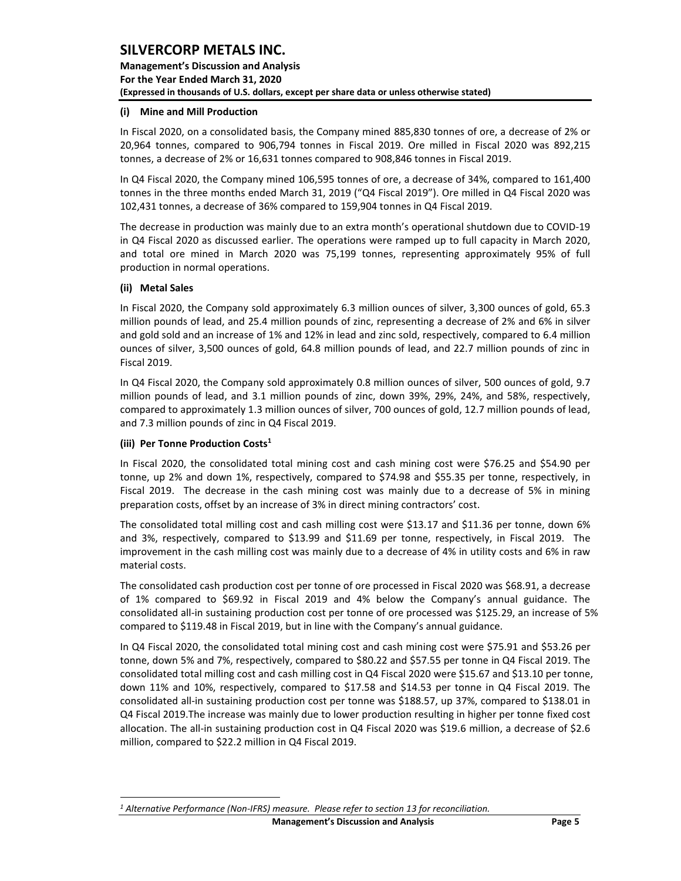**Management's Discussion and Analysis For the Year Ended March 31, 2020 (Expressed in thousands of U.S. dollars, except per share data or unless otherwise stated)** 

### **(i) Mine and Mill Production**

In Fiscal 2020, on a consolidated basis, the Company mined 885,830 tonnes of ore, a decrease of 2% or 20,964 tonnes, compared to 906,794 tonnes in Fiscal 2019. Ore milled in Fiscal 2020 was 892,215 tonnes, a decrease of 2% or 16,631 tonnes compared to 908,846 tonnes in Fiscal 2019.

In Q4 Fiscal 2020, the Company mined 106,595 tonnes of ore, a decrease of 34%, compared to 161,400 tonnes in the three months ended March 31, 2019 ("Q4 Fiscal 2019"). Ore milled in Q4 Fiscal 2020 was 102,431 tonnes, a decrease of 36% compared to 159,904 tonnes in Q4 Fiscal 2019.

The decrease in production was mainly due to an extra month's operational shutdown due to COVID-19 in Q4 Fiscal 2020 as discussed earlier. The operations were ramped up to full capacity in March 2020, and total ore mined in March 2020 was 75,199 tonnes, representing approximately 95% of full production in normal operations.

### **(ii) Metal Sales**

In Fiscal 2020, the Company sold approximately 6.3 million ounces of silver, 3,300 ounces of gold, 65.3 million pounds of lead, and 25.4 million pounds of zinc, representing a decrease of 2% and 6% in silver and gold sold and an increase of 1% and 12% in lead and zinc sold, respectively, compared to 6.4 million ounces of silver, 3,500 ounces of gold, 64.8 million pounds of lead, and 22.7 million pounds of zinc in Fiscal 2019.

In Q4 Fiscal 2020, the Company sold approximately 0.8 million ounces of silver, 500 ounces of gold, 9.7 million pounds of lead, and 3.1 million pounds of zinc, down 39%, 29%, 24%, and 58%, respectively, compared to approximately 1.3 million ounces of silver, 700 ounces of gold, 12.7 million pounds of lead, and 7.3 million pounds of zinc in Q4 Fiscal 2019.

### **(iii) Per Tonne Production Costs<sup>1</sup>**

In Fiscal 2020, the consolidated total mining cost and cash mining cost were \$76.25 and \$54.90 per tonne, up 2% and down 1%, respectively, compared to \$74.98 and \$55.35 per tonne, respectively, in Fiscal 2019. The decrease in the cash mining cost was mainly due to a decrease of 5% in mining preparation costs, offset by an increase of 3% in direct mining contractors' cost.

The consolidated total milling cost and cash milling cost were \$13.17 and \$11.36 per tonne, down 6% and 3%, respectively, compared to \$13.99 and \$11.69 per tonne, respectively, in Fiscal 2019. The improvement in the cash milling cost was mainly due to a decrease of 4% in utility costs and 6% in raw material costs.

The consolidated cash production cost per tonne of ore processed in Fiscal 2020 was \$68.91, a decrease of 1% compared to \$69.92 in Fiscal 2019 and 4% below the Company's annual guidance. The consolidated all-in sustaining production cost per tonne of ore processed was \$125.29, an increase of 5% compared to \$119.48 in Fiscal 2019, but in line with the Company's annual guidance.

In Q4 Fiscal 2020, the consolidated total mining cost and cash mining cost were \$75.91 and \$53.26 per tonne, down 5% and 7%, respectively, compared to \$80.22 and \$57.55 per tonne in Q4 Fiscal 2019. The consolidated total milling cost and cash milling cost in Q4 Fiscal 2020 were \$15.67 and \$13.10 per tonne, down 11% and 10%, respectively, compared to \$17.58 and \$14.53 per tonne in Q4 Fiscal 2019. The consolidated all-in sustaining production cost per tonne was \$188.57, up 37%, compared to \$138.01 in Q4 Fiscal 2019.The increase was mainly due to lower production resulting in higher per tonne fixed cost allocation. The all-in sustaining production cost in Q4 Fiscal 2020 was \$19.6 million, a decrease of \$2.6 million, compared to \$22.2 million in Q4 Fiscal 2019.

*<sup>1</sup> Alternative Performance (Non-IFRS) measure. Please refer to section 13 for reconciliation.*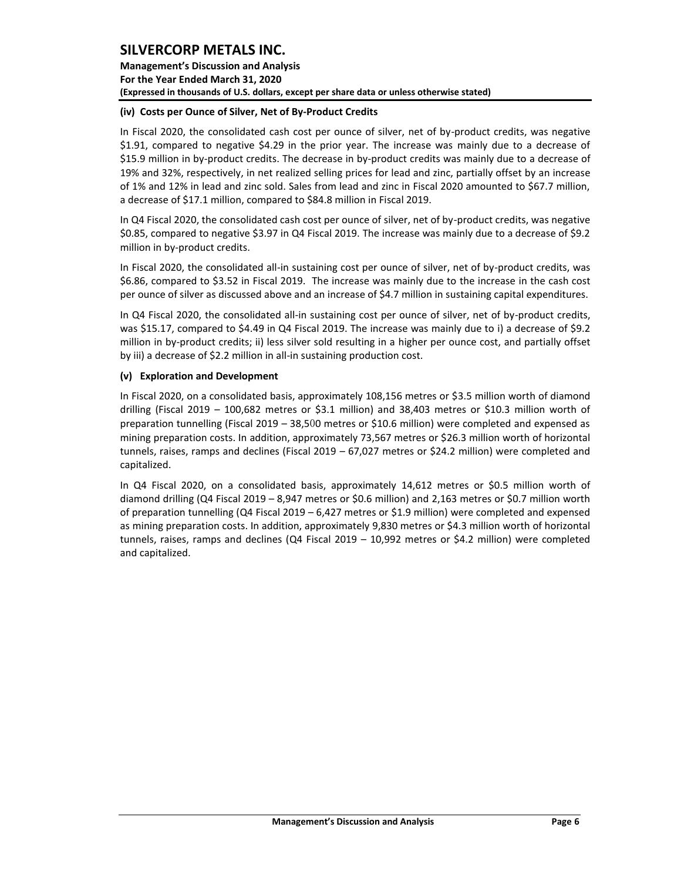**Management's Discussion and Analysis For the Year Ended March 31, 2020 (Expressed in thousands of U.S. dollars, except per share data or unless otherwise stated)** 

### **(iv) Costs per Ounce of Silver, Net of By-Product Credits**

In Fiscal 2020, the consolidated cash cost per ounce of silver, net of by-product credits, was negative \$1.91, compared to negative \$4.29 in the prior year. The increase was mainly due to a decrease of \$15.9 million in by-product credits. The decrease in by-product credits was mainly due to a decrease of 19% and 32%, respectively, in net realized selling prices for lead and zinc, partially offset by an increase of 1% and 12% in lead and zinc sold. Sales from lead and zinc in Fiscal 2020 amounted to \$67.7 million, a decrease of \$17.1 million, compared to \$84.8 million in Fiscal 2019.

In Q4 Fiscal 2020, the consolidated cash cost per ounce of silver, net of by-product credits, was negative \$0.85, compared to negative \$3.97 in Q4 Fiscal 2019. The increase was mainly due to a decrease of \$9.2 million in by-product credits.

In Fiscal 2020, the consolidated all-in sustaining cost per ounce of silver, net of by-product credits, was \$6.86, compared to \$3.52 in Fiscal 2019. The increase was mainly due to the increase in the cash cost per ounce of silver as discussed above and an increase of \$4.7 million in sustaining capital expenditures.

In Q4 Fiscal 2020, the consolidated all-in sustaining cost per ounce of silver, net of by-product credits, was \$15.17, compared to \$4.49 in Q4 Fiscal 2019. The increase was mainly due to i) a decrease of \$9.2 million in by-product credits; ii) less silver sold resulting in a higher per ounce cost, and partially offset by iii) a decrease of \$2.2 million in all-in sustaining production cost.

## **(v) Exploration and Development**

In Fiscal 2020, on a consolidated basis, approximately 108,156 metres or \$3.5 million worth of diamond drilling (Fiscal 2019 – 100,682 metres or \$3.1 million) and 38,403 metres or \$10.3 million worth of preparation tunnelling (Fiscal 2019 – 38,500 metres or \$10.6 million) were completed and expensed as mining preparation costs. In addition, approximately 73,567 metres or \$26.3 million worth of horizontal tunnels, raises, ramps and declines (Fiscal 2019 – 67,027 metres or \$24.2 million) were completed and capitalized.

In Q4 Fiscal 2020, on a consolidated basis, approximately 14,612 metres or \$0.5 million worth of diamond drilling (Q4 Fiscal 2019 – 8,947 metres or \$0.6 million) and 2,163 metres or \$0.7 million worth of preparation tunnelling (Q4 Fiscal 2019 – 6,427 metres or \$1.9 million) were completed and expensed as mining preparation costs. In addition, approximately 9,830 metres or \$4.3 million worth of horizontal tunnels, raises, ramps and declines (Q4 Fiscal 2019 – 10,992 metres or \$4.2 million) were completed and capitalized.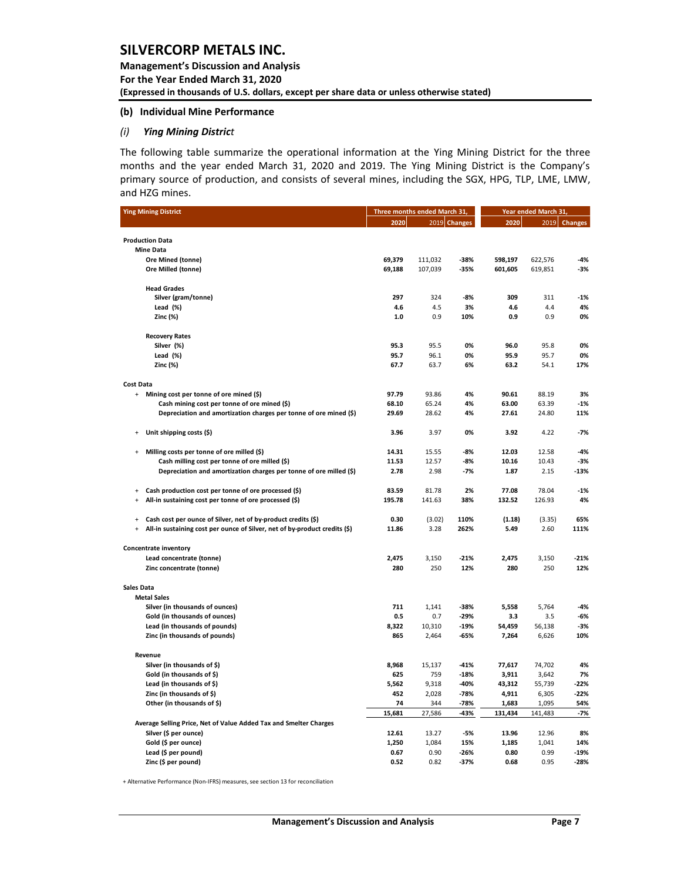**Management's Discussion and Analysis For the Year Ended March 31, 2020 (Expressed in thousands of U.S. dollars, except per share data or unless otherwise stated)** 

#### **(b) Individual Mine Performance**

#### *(i) Ying Mining District*

The following table summarize the operational information at the Ying Mining District for the three months and the year ended March 31, 2020 and 2019. The Ying Mining District is the Company's primary source of production, and consists of several mines, including the SGX, HPG, TLP, LME, LMW, and HZG mines.

| <b>Ying Mining District</b>                                                             |              | Three months ended March 31, |               | Year ended March 31, |               |                |
|-----------------------------------------------------------------------------------------|--------------|------------------------------|---------------|----------------------|---------------|----------------|
|                                                                                         | 2020         |                              | 2019 Changes  | 2020                 | 2019          | <b>Changes</b> |
|                                                                                         |              |                              |               |                      |               |                |
| <b>Production Data</b>                                                                  |              |                              |               |                      |               |                |
| <b>Mine Data</b><br>Ore Mined (tonne)                                                   | 69,379       | 111,032                      | $-38%$        | 598,197              | 622,576       | $-4%$          |
| Ore Milled (tonne)                                                                      | 69,188       | 107,039                      | $-35%$        | 601,605              | 619,851       | -3%            |
|                                                                                         |              |                              |               |                      |               |                |
| <b>Head Grades</b>                                                                      |              |                              |               |                      |               |                |
| Silver (gram/tonne)                                                                     | 297          | 324                          | $-8%$         | 309                  | 311           | $-1%$          |
| Lead $(\%)$                                                                             | 4.6          | 4.5                          | 3%            | 4.6                  | 4.4           | 4%             |
| Zinc (%)                                                                                | 1.0          | 0.9                          | 10%           | 0.9                  | 0.9           | 0%             |
| <b>Recovery Rates</b>                                                                   |              |                              |               |                      |               |                |
| Silver (%)                                                                              | 95.3         | 95.5                         | 0%            | 96.0                 | 95.8          | 0%             |
| Lead (%)                                                                                | 95.7         | 96.1                         | 0%            | 95.9                 | 95.7          | 0%             |
| Zinc (%)                                                                                | 67.7         | 63.7                         | 6%            | 63.2                 | 54.1          | 17%            |
| <b>Cost Data</b>                                                                        |              |                              |               |                      |               |                |
| + Mining cost per tonne of ore mined (\$)                                               | 97.79        | 93.86                        | 4%            | 90.61                | 88.19         | 3%             |
| Cash mining cost per tonne of ore mined (\$)                                            | 68.10        | 65.24                        | 4%            | 63.00                | 63.39         | $-1%$          |
| Depreciation and amortization charges per tonne of ore mined (\$)                       | 29.69        | 28.62                        | 4%            | 27.61                | 24.80         | 11%            |
| Unit shipping costs (\$)<br>$\ddot{}$                                                   | 3.96         | 3.97                         | 0%            | 3.92                 | 4.22          | $-7%$          |
| Milling costs per tonne of ore milled (\$)<br>$\ddot{}$                                 | 14.31        | 15.55                        | $-8%$         | 12.03                | 12.58         | $-4%$          |
| Cash milling cost per tonne of ore milled (\$)                                          | 11.53        | 12.57                        | -8%           | 10.16                | 10.43         | $-3%$          |
| Depreciation and amortization charges per tonne of ore milled (\$)                      | 2.78         | 2.98                         | $-7%$         | 1.87                 | 2.15          | -13%           |
|                                                                                         |              |                              |               |                      |               |                |
| Cash production cost per tonne of ore processed (\$)<br>$\ddot{}$                       | 83.59        | 81.78                        | 2%            | 77.08                | 78.04         | $-1%$          |
| All-in sustaining cost per tonne of ore processed (\$)<br>$\ddot{}$                     | 195.78       | 141.63                       | 38%           | 132.52               | 126.93        | 4%             |
| Cash cost per ounce of Silver, net of by-product credits (\$)<br>$\ddot{}$              | 0.30         | (3.02)                       | 110%          | (1.18)               | (3.35)        | 65%            |
| All-in sustaining cost per ounce of Silver, net of by-product credits (\$)<br>$\ddot{}$ | 11.86        | 3.28                         | 262%          | 5.49                 | 2.60          | 111%           |
| <b>Concentrate inventory</b>                                                            |              |                              |               |                      |               |                |
| Lead concentrate (tonne)                                                                | 2,475        | 3,150                        | $-21%$        | 2,475                | 3,150         | $-21%$         |
| Zinc concentrate (tonne)                                                                | 280          | 250                          | 12%           | 280                  | 250           | 12%            |
|                                                                                         |              |                              |               |                      |               |                |
| <b>Sales Data</b><br><b>Metal Sales</b>                                                 |              |                              |               |                      |               |                |
| Silver (in thousands of ounces)                                                         | 711          | 1,141                        | $-38%$        | 5,558                | 5,764         | $-4%$          |
| Gold (in thousands of ounces)                                                           | 0.5          | 0.7                          | $-29%$        | 3.3                  | 3.5           | $-6%$          |
| Lead (in thousands of pounds)                                                           | 8,322        | 10,310                       | $-19%$        | 54,459               | 56,138        | $-3%$          |
| Zinc (in thousands of pounds)                                                           | 865          | 2,464                        | -65%          | 7,264                | 6,626         | 10%            |
| Revenue                                                                                 |              |                              |               |                      |               |                |
| Silver (in thousands of \$)                                                             | 8,968        | 15,137                       | $-41%$        | 77,617               | 74,702        | 4%             |
| Gold (in thousands of \$)                                                               | 625          | 759                          | $-18%$        | 3,911                | 3,642         | 7%             |
| Lead (in thousands of \$)                                                               | 5,562        | 9,318                        | $-40%$        | 43,312               | 55,739        | $-22%$         |
| Zinc (in thousands of \$)                                                               | 452          | 2,028                        | $-78%$        | 4,911                | 6,305         | $-22%$         |
| Other (in thousands of \$)                                                              | 74           | 344                          | $-78%$        | 1,683                | 1,095         | 54%            |
|                                                                                         | 15,681       | 27,586                       | -43%          | 131,434              | 141,483       | -7%            |
| Average Selling Price, Net of Value Added Tax and Smelter Charges                       |              |                              |               |                      |               |                |
| Silver (\$ per ounce)                                                                   | 12.61        | 13.27                        | $-5%$         | 13.96                | 12.96         | 8%             |
| Gold (\$ per ounce)                                                                     | 1,250        | 1,084<br>0.90                | 15%<br>$-26%$ | 1,185<br>0.80        | 1,041<br>0.99 | 14%<br>$-19%$  |
| Lead (\$ per pound)<br>Zinc (\$ per pound)                                              | 0.67<br>0.52 | 0.82                         | $-37%$        | 0.68                 | 0.95          | $-28%$         |
|                                                                                         |              |                              |               |                      |               |                |

+ Alternative Performance (Non-IFRS) measures, see section 13 for reconciliation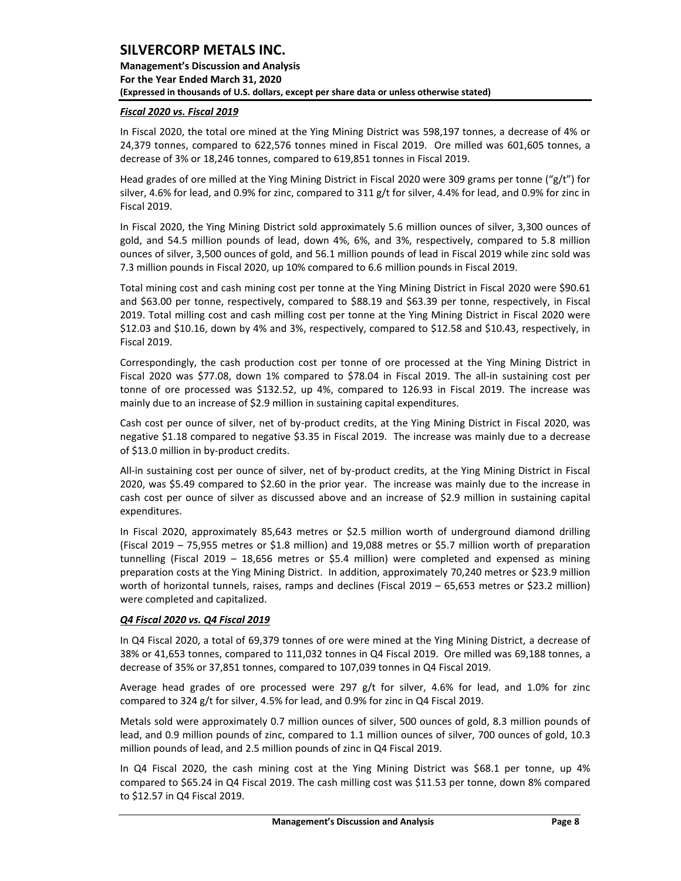**Management's Discussion and Analysis For the Year Ended March 31, 2020 (Expressed in thousands of U.S. dollars, except per share data or unless otherwise stated)** 

## *Fiscal 2020 vs. Fiscal 2019*

In Fiscal 2020, the total ore mined at the Ying Mining District was 598,197 tonnes, a decrease of 4% or 24,379 tonnes, compared to 622,576 tonnes mined in Fiscal 2019. Ore milled was 601,605 tonnes, a decrease of 3% or 18,246 tonnes, compared to 619,851 tonnes in Fiscal 2019.

Head grades of ore milled at the Ying Mining District in Fiscal 2020 were 309 grams per tonne ("g/t") for silver, 4.6% for lead, and 0.9% for zinc, compared to 311 g/t for silver, 4.4% for lead, and 0.9% for zinc in Fiscal 2019.

In Fiscal 2020, the Ying Mining District sold approximately 5.6 million ounces of silver, 3,300 ounces of gold, and 54.5 million pounds of lead, down 4%, 6%, and 3%, respectively, compared to 5.8 million ounces of silver, 3,500 ounces of gold, and 56.1 million pounds of lead in Fiscal 2019 while zinc sold was 7.3 million pounds in Fiscal 2020, up 10% compared to 6.6 million pounds in Fiscal 2019.

Total mining cost and cash mining cost per tonne at the Ying Mining District in Fiscal 2020 were \$90.61 and \$63.00 per tonne, respectively, compared to \$88.19 and \$63.39 per tonne, respectively, in Fiscal 2019. Total milling cost and cash milling cost per tonne at the Ying Mining District in Fiscal 2020 were \$12.03 and \$10.16, down by 4% and 3%, respectively, compared to \$12.58 and \$10.43, respectively, in Fiscal 2019.

Correspondingly, the cash production cost per tonne of ore processed at the Ying Mining District in Fiscal 2020 was \$77.08, down 1% compared to \$78.04 in Fiscal 2019. The all-in sustaining cost per tonne of ore processed was \$132.52, up 4%, compared to 126.93 in Fiscal 2019. The increase was mainly due to an increase of \$2.9 million in sustaining capital expenditures.

Cash cost per ounce of silver, net of by-product credits, at the Ying Mining District in Fiscal 2020, was negative \$1.18 compared to negative \$3.35 in Fiscal 2019. The increase was mainly due to a decrease of \$13.0 million in by-product credits.

All-in sustaining cost per ounce of silver, net of by-product credits, at the Ying Mining District in Fiscal 2020, was \$5.49 compared to \$2.60 in the prior year. The increase was mainly due to the increase in cash cost per ounce of silver as discussed above and an increase of \$2.9 million in sustaining capital expenditures.

In Fiscal 2020, approximately 85,643 metres or \$2.5 million worth of underground diamond drilling (Fiscal 2019 – 75,955 metres or \$1.8 million) and 19,088 metres or \$5.7 million worth of preparation tunnelling (Fiscal 2019 – 18,656 metres or \$5.4 million) were completed and expensed as mining preparation costs at the Ying Mining District. In addition, approximately 70,240 metres or \$23.9 million worth of horizontal tunnels, raises, ramps and declines (Fiscal 2019 – 65,653 metres or \$23.2 million) were completed and capitalized.

## *Q4 Fiscal 2020 vs. Q4 Fiscal 2019*

In Q4 Fiscal 2020, a total of 69,379 tonnes of ore were mined at the Ying Mining District, a decrease of 38% or 41,653 tonnes, compared to 111,032 tonnes in Q4 Fiscal 2019. Ore milled was 69,188 tonnes, a decrease of 35% or 37,851 tonnes, compared to 107,039 tonnes in Q4 Fiscal 2019.

Average head grades of ore processed were 297 g/t for silver, 4.6% for lead, and 1.0% for zinc compared to 324 g/t for silver, 4.5% for lead, and 0.9% for zinc in Q4 Fiscal 2019.

Metals sold were approximately 0.7 million ounces of silver, 500 ounces of gold, 8.3 million pounds of lead, and 0.9 million pounds of zinc, compared to 1.1 million ounces of silver, 700 ounces of gold, 10.3 million pounds of lead, and 2.5 million pounds of zinc in Q4 Fiscal 2019.

In Q4 Fiscal 2020, the cash mining cost at the Ying Mining District was \$68.1 per tonne, up 4% compared to \$65.24 in Q4 Fiscal 2019. The cash milling cost was \$11.53 per tonne, down 8% compared to \$12.57 in Q4 Fiscal 2019.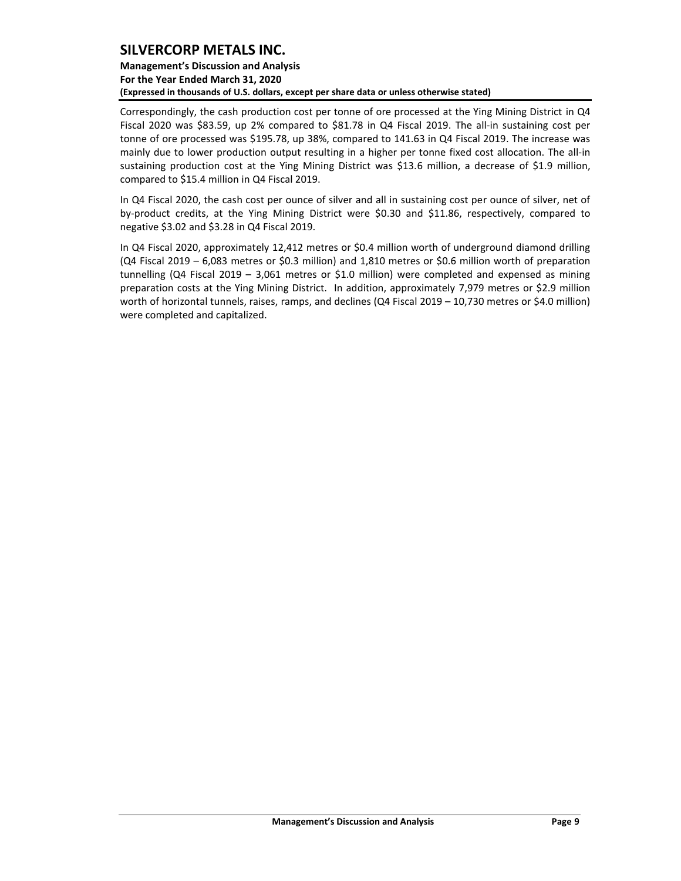## **Management's Discussion and Analysis For the Year Ended March 31, 2020 (Expressed in thousands of U.S. dollars, except per share data or unless otherwise stated)**

Correspondingly, the cash production cost per tonne of ore processed at the Ying Mining District in Q4 Fiscal 2020 was \$83.59, up 2% compared to \$81.78 in Q4 Fiscal 2019. The all-in sustaining cost per tonne of ore processed was \$195.78, up 38%, compared to 141.63 in Q4 Fiscal 2019. The increase was mainly due to lower production output resulting in a higher per tonne fixed cost allocation. The all-in sustaining production cost at the Ying Mining District was \$13.6 million, a decrease of \$1.9 million, compared to \$15.4 million in Q4 Fiscal 2019.

In Q4 Fiscal 2020, the cash cost per ounce of silver and all in sustaining cost per ounce of silver, net of by-product credits, at the Ying Mining District were \$0.30 and \$11.86, respectively, compared to negative \$3.02 and \$3.28 in Q4 Fiscal 2019.

In Q4 Fiscal 2020, approximately 12,412 metres or \$0.4 million worth of underground diamond drilling (Q4 Fiscal 2019 – 6,083 metres or \$0.3 million) and 1,810 metres or \$0.6 million worth of preparation tunnelling (Q4 Fiscal 2019 – 3,061 metres or \$1.0 million) were completed and expensed as mining preparation costs at the Ying Mining District. In addition, approximately 7,979 metres or \$2.9 million worth of horizontal tunnels, raises, ramps, and declines (Q4 Fiscal 2019 – 10,730 metres or \$4.0 million) were completed and capitalized.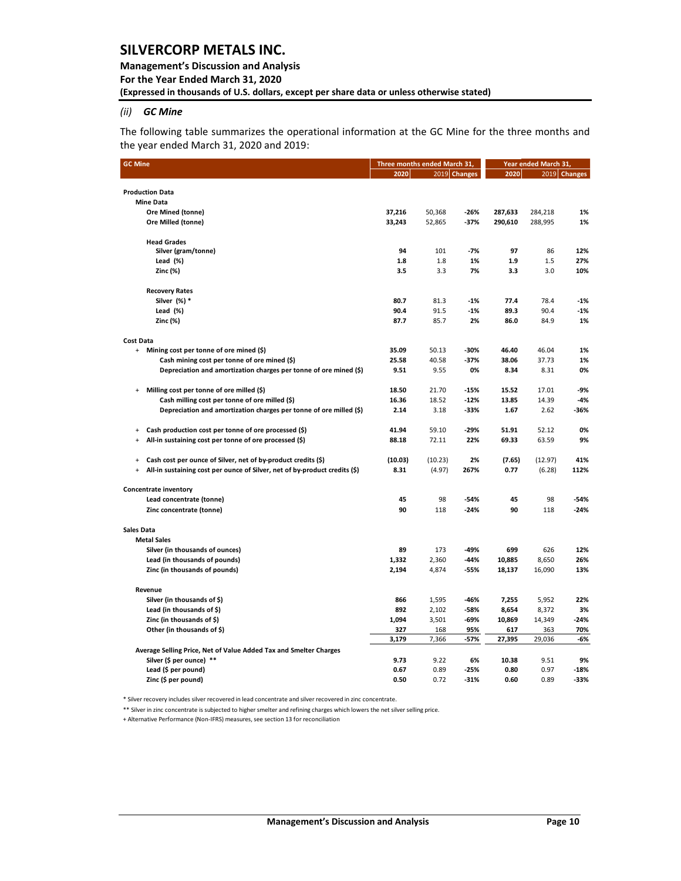### **Management's Discussion and Analysis**

**For the Year Ended March 31, 2020**

**(Expressed in thousands of U.S. dollars, except per share data or unless otherwise stated)** 

## *(ii) GC Mine*

The following table summarizes the operational information at the GC Mine for the three months and the year ended March 31, 2020 and 2019:

| 2019 Changes<br>2020<br>2020<br>2019<br><b>Changes</b><br><b>Production Data</b><br><b>Mine Data</b><br>Ore Mined (tonne)<br>37,216<br>$-26%$<br>287,633<br>284,218<br>50,368<br>1%<br>Ore Milled (tonne)<br>33,243<br>52,865<br>$-37%$<br>290,610<br>288,995<br>1%<br><b>Head Grades</b><br>Silver (gram/tonne)<br>94<br>101<br>-7%<br>97<br>86<br>12%<br>Lead $(% )$<br>1.8<br>1.8<br>1%<br>1.9<br>1.5<br>27%<br>Zinc (%)<br>3.5<br>3.3<br>7%<br>3.3<br>3.0<br>10%<br><b>Recovery Rates</b><br>Silver (%) *<br>80.7<br>81.3<br>$-1%$<br>77.4<br>78.4<br>$-1%$<br>Lead (%)<br>90.4<br>90.4<br>91.5<br>$-1%$<br>89.3<br>$-1%$<br>Zinc (%)<br>87.7<br>85.7<br>2%<br>86.0<br>84.9<br>1%<br>Mining cost per tonne of ore mined (\$)<br>35.09<br>50.13<br>$-30%$<br>46.40<br>46.04<br>$\ddot{}$<br>1%<br>Cash mining cost per tonne of ore mined (\$)<br>25.58<br>40.58<br>-37%<br>38.06<br>1%<br>37.73<br>Depreciation and amortization charges per tonne of ore mined (\$)<br>9.51<br>9.55<br>0%<br>8.34<br>8.31<br>0%<br>Milling cost per tonne of ore milled (\$)<br>18.50<br>21.70<br>$-15%$<br>15.52<br>17.01<br>-9%<br>$\ddot{}$<br>Cash milling cost per tonne of ore milled (\$)<br>$-12%$<br>14.39<br>16.36<br>18.52<br>13.85<br>-4%<br>Depreciation and amortization charges per tonne of ore milled (\$)<br>2.14<br>3.18<br>-33%<br>1.67<br>2.62<br>-36%<br>Cash production cost per tonne of ore processed (\$)<br>41.94<br>$-29%$<br>59.10<br>51.91<br>52.12<br>0%<br>$\begin{array}{c} + \end{array}$<br>All-in sustaining cost per tonne of ore processed (\$)<br>72.11<br>9%<br>88.18<br>22%<br>69.33<br>63.59<br>÷<br>Cash cost per ounce of Silver, net of by-product credits (\$)<br>(10.03)<br>(10.23)<br>2%<br>(7.65)<br>(12.97)<br>41%<br>$\ddot{}$<br>All-in sustaining cost per ounce of Silver, net of by-product credits (\$)<br>8.31<br>(4.97)<br>267%<br>0.77<br>(6.28)<br>112%<br>÷<br>Concentrate inventory<br>45<br>98<br>45<br>98<br>$-54%$<br>Lead concentrate (tonne)<br>-54%<br>90<br>90<br>Zinc concentrate (tonne)<br>118<br>$-24%$<br>118<br>$-24%$<br><b>Metal Sales</b><br>Silver (in thousands of ounces)<br>89<br>173<br>-49%<br>699<br>626<br>12%<br>Lead (in thousands of pounds)<br>10,885<br>8,650<br>26%<br>1,332<br>2,360<br>-44%<br>Zinc (in thousands of pounds)<br>2,194<br>4,874<br>-55%<br>18,137<br>16,090<br>13%<br>Revenue<br>Silver (in thousands of \$)<br>866<br>1,595<br>-46%<br>7,255<br>5,952<br>22%<br>Lead (in thousands of \$)<br>892<br>3%<br>2,102<br>-58%<br>8,654<br>8,372<br>Zinc (in thousands of \$)<br>1,094<br>3,501<br>-69%<br>10,869<br>14,349<br>$-24%$<br>Other (in thousands of \$)<br>327<br>168<br>95%<br>617<br>70%<br>363<br>3,179<br>27,395<br>29,036<br>7,366<br>-57%<br>-6%<br>Average Selling Price, Net of Value Added Tax and Smelter Charges<br>Silver (\$ per ounce) **<br>9.73<br>9.22<br>6%<br>10.38<br>9.51<br>9%<br>Lead (\$ per pound)<br>0.89<br>0.97<br>0.67<br>$-25%$<br>0.80<br>-18% | <b>GC Mine</b>      | Three months ended March 31, |      |        | Year ended March 31, |      |      |  |  |
|---------------------------------------------------------------------------------------------------------------------------------------------------------------------------------------------------------------------------------------------------------------------------------------------------------------------------------------------------------------------------------------------------------------------------------------------------------------------------------------------------------------------------------------------------------------------------------------------------------------------------------------------------------------------------------------------------------------------------------------------------------------------------------------------------------------------------------------------------------------------------------------------------------------------------------------------------------------------------------------------------------------------------------------------------------------------------------------------------------------------------------------------------------------------------------------------------------------------------------------------------------------------------------------------------------------------------------------------------------------------------------------------------------------------------------------------------------------------------------------------------------------------------------------------------------------------------------------------------------------------------------------------------------------------------------------------------------------------------------------------------------------------------------------------------------------------------------------------------------------------------------------------------------------------------------------------------------------------------------------------------------------------------------------------------------------------------------------------------------------------------------------------------------------------------------------------------------------------------------------------------------------------------------------------------------------------------------------------------------------------------------------------------------------------------------------------------------------------------------------------------------------------------------------------------------------------------------------------------------------------------------------------------------------------------------------------------------------------------------------------------------------------------------------------------------------------------------------------------------------------------------------------------------------------------------------------------------------------------------------|---------------------|------------------------------|------|--------|----------------------|------|------|--|--|
|                                                                                                                                                                                                                                                                                                                                                                                                                                                                                                                                                                                                                                                                                                                                                                                                                                                                                                                                                                                                                                                                                                                                                                                                                                                                                                                                                                                                                                                                                                                                                                                                                                                                                                                                                                                                                                                                                                                                                                                                                                                                                                                                                                                                                                                                                                                                                                                                                                                                                                                                                                                                                                                                                                                                                                                                                                                                                                                                                                                       |                     |                              |      |        |                      |      |      |  |  |
|                                                                                                                                                                                                                                                                                                                                                                                                                                                                                                                                                                                                                                                                                                                                                                                                                                                                                                                                                                                                                                                                                                                                                                                                                                                                                                                                                                                                                                                                                                                                                                                                                                                                                                                                                                                                                                                                                                                                                                                                                                                                                                                                                                                                                                                                                                                                                                                                                                                                                                                                                                                                                                                                                                                                                                                                                                                                                                                                                                                       |                     |                              |      |        |                      |      |      |  |  |
|                                                                                                                                                                                                                                                                                                                                                                                                                                                                                                                                                                                                                                                                                                                                                                                                                                                                                                                                                                                                                                                                                                                                                                                                                                                                                                                                                                                                                                                                                                                                                                                                                                                                                                                                                                                                                                                                                                                                                                                                                                                                                                                                                                                                                                                                                                                                                                                                                                                                                                                                                                                                                                                                                                                                                                                                                                                                                                                                                                                       |                     |                              |      |        |                      |      |      |  |  |
|                                                                                                                                                                                                                                                                                                                                                                                                                                                                                                                                                                                                                                                                                                                                                                                                                                                                                                                                                                                                                                                                                                                                                                                                                                                                                                                                                                                                                                                                                                                                                                                                                                                                                                                                                                                                                                                                                                                                                                                                                                                                                                                                                                                                                                                                                                                                                                                                                                                                                                                                                                                                                                                                                                                                                                                                                                                                                                                                                                                       |                     |                              |      |        |                      |      |      |  |  |
|                                                                                                                                                                                                                                                                                                                                                                                                                                                                                                                                                                                                                                                                                                                                                                                                                                                                                                                                                                                                                                                                                                                                                                                                                                                                                                                                                                                                                                                                                                                                                                                                                                                                                                                                                                                                                                                                                                                                                                                                                                                                                                                                                                                                                                                                                                                                                                                                                                                                                                                                                                                                                                                                                                                                                                                                                                                                                                                                                                                       |                     |                              |      |        |                      |      |      |  |  |
|                                                                                                                                                                                                                                                                                                                                                                                                                                                                                                                                                                                                                                                                                                                                                                                                                                                                                                                                                                                                                                                                                                                                                                                                                                                                                                                                                                                                                                                                                                                                                                                                                                                                                                                                                                                                                                                                                                                                                                                                                                                                                                                                                                                                                                                                                                                                                                                                                                                                                                                                                                                                                                                                                                                                                                                                                                                                                                                                                                                       |                     |                              |      |        |                      |      |      |  |  |
|                                                                                                                                                                                                                                                                                                                                                                                                                                                                                                                                                                                                                                                                                                                                                                                                                                                                                                                                                                                                                                                                                                                                                                                                                                                                                                                                                                                                                                                                                                                                                                                                                                                                                                                                                                                                                                                                                                                                                                                                                                                                                                                                                                                                                                                                                                                                                                                                                                                                                                                                                                                                                                                                                                                                                                                                                                                                                                                                                                                       |                     |                              |      |        |                      |      |      |  |  |
|                                                                                                                                                                                                                                                                                                                                                                                                                                                                                                                                                                                                                                                                                                                                                                                                                                                                                                                                                                                                                                                                                                                                                                                                                                                                                                                                                                                                                                                                                                                                                                                                                                                                                                                                                                                                                                                                                                                                                                                                                                                                                                                                                                                                                                                                                                                                                                                                                                                                                                                                                                                                                                                                                                                                                                                                                                                                                                                                                                                       |                     |                              |      |        |                      |      |      |  |  |
|                                                                                                                                                                                                                                                                                                                                                                                                                                                                                                                                                                                                                                                                                                                                                                                                                                                                                                                                                                                                                                                                                                                                                                                                                                                                                                                                                                                                                                                                                                                                                                                                                                                                                                                                                                                                                                                                                                                                                                                                                                                                                                                                                                                                                                                                                                                                                                                                                                                                                                                                                                                                                                                                                                                                                                                                                                                                                                                                                                                       |                     |                              |      |        |                      |      |      |  |  |
|                                                                                                                                                                                                                                                                                                                                                                                                                                                                                                                                                                                                                                                                                                                                                                                                                                                                                                                                                                                                                                                                                                                                                                                                                                                                                                                                                                                                                                                                                                                                                                                                                                                                                                                                                                                                                                                                                                                                                                                                                                                                                                                                                                                                                                                                                                                                                                                                                                                                                                                                                                                                                                                                                                                                                                                                                                                                                                                                                                                       |                     |                              |      |        |                      |      |      |  |  |
|                                                                                                                                                                                                                                                                                                                                                                                                                                                                                                                                                                                                                                                                                                                                                                                                                                                                                                                                                                                                                                                                                                                                                                                                                                                                                                                                                                                                                                                                                                                                                                                                                                                                                                                                                                                                                                                                                                                                                                                                                                                                                                                                                                                                                                                                                                                                                                                                                                                                                                                                                                                                                                                                                                                                                                                                                                                                                                                                                                                       |                     |                              |      |        |                      |      |      |  |  |
|                                                                                                                                                                                                                                                                                                                                                                                                                                                                                                                                                                                                                                                                                                                                                                                                                                                                                                                                                                                                                                                                                                                                                                                                                                                                                                                                                                                                                                                                                                                                                                                                                                                                                                                                                                                                                                                                                                                                                                                                                                                                                                                                                                                                                                                                                                                                                                                                                                                                                                                                                                                                                                                                                                                                                                                                                                                                                                                                                                                       |                     |                              |      |        |                      |      |      |  |  |
|                                                                                                                                                                                                                                                                                                                                                                                                                                                                                                                                                                                                                                                                                                                                                                                                                                                                                                                                                                                                                                                                                                                                                                                                                                                                                                                                                                                                                                                                                                                                                                                                                                                                                                                                                                                                                                                                                                                                                                                                                                                                                                                                                                                                                                                                                                                                                                                                                                                                                                                                                                                                                                                                                                                                                                                                                                                                                                                                                                                       |                     |                              |      |        |                      |      |      |  |  |
|                                                                                                                                                                                                                                                                                                                                                                                                                                                                                                                                                                                                                                                                                                                                                                                                                                                                                                                                                                                                                                                                                                                                                                                                                                                                                                                                                                                                                                                                                                                                                                                                                                                                                                                                                                                                                                                                                                                                                                                                                                                                                                                                                                                                                                                                                                                                                                                                                                                                                                                                                                                                                                                                                                                                                                                                                                                                                                                                                                                       |                     |                              |      |        |                      |      |      |  |  |
|                                                                                                                                                                                                                                                                                                                                                                                                                                                                                                                                                                                                                                                                                                                                                                                                                                                                                                                                                                                                                                                                                                                                                                                                                                                                                                                                                                                                                                                                                                                                                                                                                                                                                                                                                                                                                                                                                                                                                                                                                                                                                                                                                                                                                                                                                                                                                                                                                                                                                                                                                                                                                                                                                                                                                                                                                                                                                                                                                                                       | <b>Cost Data</b>    |                              |      |        |                      |      |      |  |  |
|                                                                                                                                                                                                                                                                                                                                                                                                                                                                                                                                                                                                                                                                                                                                                                                                                                                                                                                                                                                                                                                                                                                                                                                                                                                                                                                                                                                                                                                                                                                                                                                                                                                                                                                                                                                                                                                                                                                                                                                                                                                                                                                                                                                                                                                                                                                                                                                                                                                                                                                                                                                                                                                                                                                                                                                                                                                                                                                                                                                       |                     |                              |      |        |                      |      |      |  |  |
|                                                                                                                                                                                                                                                                                                                                                                                                                                                                                                                                                                                                                                                                                                                                                                                                                                                                                                                                                                                                                                                                                                                                                                                                                                                                                                                                                                                                                                                                                                                                                                                                                                                                                                                                                                                                                                                                                                                                                                                                                                                                                                                                                                                                                                                                                                                                                                                                                                                                                                                                                                                                                                                                                                                                                                                                                                                                                                                                                                                       |                     |                              |      |        |                      |      |      |  |  |
|                                                                                                                                                                                                                                                                                                                                                                                                                                                                                                                                                                                                                                                                                                                                                                                                                                                                                                                                                                                                                                                                                                                                                                                                                                                                                                                                                                                                                                                                                                                                                                                                                                                                                                                                                                                                                                                                                                                                                                                                                                                                                                                                                                                                                                                                                                                                                                                                                                                                                                                                                                                                                                                                                                                                                                                                                                                                                                                                                                                       |                     |                              |      |        |                      |      |      |  |  |
|                                                                                                                                                                                                                                                                                                                                                                                                                                                                                                                                                                                                                                                                                                                                                                                                                                                                                                                                                                                                                                                                                                                                                                                                                                                                                                                                                                                                                                                                                                                                                                                                                                                                                                                                                                                                                                                                                                                                                                                                                                                                                                                                                                                                                                                                                                                                                                                                                                                                                                                                                                                                                                                                                                                                                                                                                                                                                                                                                                                       |                     |                              |      |        |                      |      |      |  |  |
|                                                                                                                                                                                                                                                                                                                                                                                                                                                                                                                                                                                                                                                                                                                                                                                                                                                                                                                                                                                                                                                                                                                                                                                                                                                                                                                                                                                                                                                                                                                                                                                                                                                                                                                                                                                                                                                                                                                                                                                                                                                                                                                                                                                                                                                                                                                                                                                                                                                                                                                                                                                                                                                                                                                                                                                                                                                                                                                                                                                       |                     |                              |      |        |                      |      |      |  |  |
|                                                                                                                                                                                                                                                                                                                                                                                                                                                                                                                                                                                                                                                                                                                                                                                                                                                                                                                                                                                                                                                                                                                                                                                                                                                                                                                                                                                                                                                                                                                                                                                                                                                                                                                                                                                                                                                                                                                                                                                                                                                                                                                                                                                                                                                                                                                                                                                                                                                                                                                                                                                                                                                                                                                                                                                                                                                                                                                                                                                       |                     |                              |      |        |                      |      |      |  |  |
|                                                                                                                                                                                                                                                                                                                                                                                                                                                                                                                                                                                                                                                                                                                                                                                                                                                                                                                                                                                                                                                                                                                                                                                                                                                                                                                                                                                                                                                                                                                                                                                                                                                                                                                                                                                                                                                                                                                                                                                                                                                                                                                                                                                                                                                                                                                                                                                                                                                                                                                                                                                                                                                                                                                                                                                                                                                                                                                                                                                       |                     |                              |      |        |                      |      |      |  |  |
|                                                                                                                                                                                                                                                                                                                                                                                                                                                                                                                                                                                                                                                                                                                                                                                                                                                                                                                                                                                                                                                                                                                                                                                                                                                                                                                                                                                                                                                                                                                                                                                                                                                                                                                                                                                                                                                                                                                                                                                                                                                                                                                                                                                                                                                                                                                                                                                                                                                                                                                                                                                                                                                                                                                                                                                                                                                                                                                                                                                       |                     |                              |      |        |                      |      |      |  |  |
|                                                                                                                                                                                                                                                                                                                                                                                                                                                                                                                                                                                                                                                                                                                                                                                                                                                                                                                                                                                                                                                                                                                                                                                                                                                                                                                                                                                                                                                                                                                                                                                                                                                                                                                                                                                                                                                                                                                                                                                                                                                                                                                                                                                                                                                                                                                                                                                                                                                                                                                                                                                                                                                                                                                                                                                                                                                                                                                                                                                       |                     |                              |      |        |                      |      |      |  |  |
|                                                                                                                                                                                                                                                                                                                                                                                                                                                                                                                                                                                                                                                                                                                                                                                                                                                                                                                                                                                                                                                                                                                                                                                                                                                                                                                                                                                                                                                                                                                                                                                                                                                                                                                                                                                                                                                                                                                                                                                                                                                                                                                                                                                                                                                                                                                                                                                                                                                                                                                                                                                                                                                                                                                                                                                                                                                                                                                                                                                       |                     |                              |      |        |                      |      |      |  |  |
|                                                                                                                                                                                                                                                                                                                                                                                                                                                                                                                                                                                                                                                                                                                                                                                                                                                                                                                                                                                                                                                                                                                                                                                                                                                                                                                                                                                                                                                                                                                                                                                                                                                                                                                                                                                                                                                                                                                                                                                                                                                                                                                                                                                                                                                                                                                                                                                                                                                                                                                                                                                                                                                                                                                                                                                                                                                                                                                                                                                       |                     |                              |      |        |                      |      |      |  |  |
|                                                                                                                                                                                                                                                                                                                                                                                                                                                                                                                                                                                                                                                                                                                                                                                                                                                                                                                                                                                                                                                                                                                                                                                                                                                                                                                                                                                                                                                                                                                                                                                                                                                                                                                                                                                                                                                                                                                                                                                                                                                                                                                                                                                                                                                                                                                                                                                                                                                                                                                                                                                                                                                                                                                                                                                                                                                                                                                                                                                       |                     |                              |      |        |                      |      |      |  |  |
|                                                                                                                                                                                                                                                                                                                                                                                                                                                                                                                                                                                                                                                                                                                                                                                                                                                                                                                                                                                                                                                                                                                                                                                                                                                                                                                                                                                                                                                                                                                                                                                                                                                                                                                                                                                                                                                                                                                                                                                                                                                                                                                                                                                                                                                                                                                                                                                                                                                                                                                                                                                                                                                                                                                                                                                                                                                                                                                                                                                       |                     |                              |      |        |                      |      |      |  |  |
|                                                                                                                                                                                                                                                                                                                                                                                                                                                                                                                                                                                                                                                                                                                                                                                                                                                                                                                                                                                                                                                                                                                                                                                                                                                                                                                                                                                                                                                                                                                                                                                                                                                                                                                                                                                                                                                                                                                                                                                                                                                                                                                                                                                                                                                                                                                                                                                                                                                                                                                                                                                                                                                                                                                                                                                                                                                                                                                                                                                       | Sales Data          |                              |      |        |                      |      |      |  |  |
|                                                                                                                                                                                                                                                                                                                                                                                                                                                                                                                                                                                                                                                                                                                                                                                                                                                                                                                                                                                                                                                                                                                                                                                                                                                                                                                                                                                                                                                                                                                                                                                                                                                                                                                                                                                                                                                                                                                                                                                                                                                                                                                                                                                                                                                                                                                                                                                                                                                                                                                                                                                                                                                                                                                                                                                                                                                                                                                                                                                       |                     |                              |      |        |                      |      |      |  |  |
|                                                                                                                                                                                                                                                                                                                                                                                                                                                                                                                                                                                                                                                                                                                                                                                                                                                                                                                                                                                                                                                                                                                                                                                                                                                                                                                                                                                                                                                                                                                                                                                                                                                                                                                                                                                                                                                                                                                                                                                                                                                                                                                                                                                                                                                                                                                                                                                                                                                                                                                                                                                                                                                                                                                                                                                                                                                                                                                                                                                       |                     |                              |      |        |                      |      |      |  |  |
|                                                                                                                                                                                                                                                                                                                                                                                                                                                                                                                                                                                                                                                                                                                                                                                                                                                                                                                                                                                                                                                                                                                                                                                                                                                                                                                                                                                                                                                                                                                                                                                                                                                                                                                                                                                                                                                                                                                                                                                                                                                                                                                                                                                                                                                                                                                                                                                                                                                                                                                                                                                                                                                                                                                                                                                                                                                                                                                                                                                       |                     |                              |      |        |                      |      |      |  |  |
|                                                                                                                                                                                                                                                                                                                                                                                                                                                                                                                                                                                                                                                                                                                                                                                                                                                                                                                                                                                                                                                                                                                                                                                                                                                                                                                                                                                                                                                                                                                                                                                                                                                                                                                                                                                                                                                                                                                                                                                                                                                                                                                                                                                                                                                                                                                                                                                                                                                                                                                                                                                                                                                                                                                                                                                                                                                                                                                                                                                       |                     |                              |      |        |                      |      |      |  |  |
|                                                                                                                                                                                                                                                                                                                                                                                                                                                                                                                                                                                                                                                                                                                                                                                                                                                                                                                                                                                                                                                                                                                                                                                                                                                                                                                                                                                                                                                                                                                                                                                                                                                                                                                                                                                                                                                                                                                                                                                                                                                                                                                                                                                                                                                                                                                                                                                                                                                                                                                                                                                                                                                                                                                                                                                                                                                                                                                                                                                       |                     |                              |      |        |                      |      |      |  |  |
|                                                                                                                                                                                                                                                                                                                                                                                                                                                                                                                                                                                                                                                                                                                                                                                                                                                                                                                                                                                                                                                                                                                                                                                                                                                                                                                                                                                                                                                                                                                                                                                                                                                                                                                                                                                                                                                                                                                                                                                                                                                                                                                                                                                                                                                                                                                                                                                                                                                                                                                                                                                                                                                                                                                                                                                                                                                                                                                                                                                       |                     |                              |      |        |                      |      |      |  |  |
|                                                                                                                                                                                                                                                                                                                                                                                                                                                                                                                                                                                                                                                                                                                                                                                                                                                                                                                                                                                                                                                                                                                                                                                                                                                                                                                                                                                                                                                                                                                                                                                                                                                                                                                                                                                                                                                                                                                                                                                                                                                                                                                                                                                                                                                                                                                                                                                                                                                                                                                                                                                                                                                                                                                                                                                                                                                                                                                                                                                       |                     |                              |      |        |                      |      |      |  |  |
|                                                                                                                                                                                                                                                                                                                                                                                                                                                                                                                                                                                                                                                                                                                                                                                                                                                                                                                                                                                                                                                                                                                                                                                                                                                                                                                                                                                                                                                                                                                                                                                                                                                                                                                                                                                                                                                                                                                                                                                                                                                                                                                                                                                                                                                                                                                                                                                                                                                                                                                                                                                                                                                                                                                                                                                                                                                                                                                                                                                       |                     |                              |      |        |                      |      |      |  |  |
|                                                                                                                                                                                                                                                                                                                                                                                                                                                                                                                                                                                                                                                                                                                                                                                                                                                                                                                                                                                                                                                                                                                                                                                                                                                                                                                                                                                                                                                                                                                                                                                                                                                                                                                                                                                                                                                                                                                                                                                                                                                                                                                                                                                                                                                                                                                                                                                                                                                                                                                                                                                                                                                                                                                                                                                                                                                                                                                                                                                       |                     |                              |      |        |                      |      |      |  |  |
|                                                                                                                                                                                                                                                                                                                                                                                                                                                                                                                                                                                                                                                                                                                                                                                                                                                                                                                                                                                                                                                                                                                                                                                                                                                                                                                                                                                                                                                                                                                                                                                                                                                                                                                                                                                                                                                                                                                                                                                                                                                                                                                                                                                                                                                                                                                                                                                                                                                                                                                                                                                                                                                                                                                                                                                                                                                                                                                                                                                       |                     |                              |      |        |                      |      |      |  |  |
|                                                                                                                                                                                                                                                                                                                                                                                                                                                                                                                                                                                                                                                                                                                                                                                                                                                                                                                                                                                                                                                                                                                                                                                                                                                                                                                                                                                                                                                                                                                                                                                                                                                                                                                                                                                                                                                                                                                                                                                                                                                                                                                                                                                                                                                                                                                                                                                                                                                                                                                                                                                                                                                                                                                                                                                                                                                                                                                                                                                       |                     |                              |      |        |                      |      |      |  |  |
|                                                                                                                                                                                                                                                                                                                                                                                                                                                                                                                                                                                                                                                                                                                                                                                                                                                                                                                                                                                                                                                                                                                                                                                                                                                                                                                                                                                                                                                                                                                                                                                                                                                                                                                                                                                                                                                                                                                                                                                                                                                                                                                                                                                                                                                                                                                                                                                                                                                                                                                                                                                                                                                                                                                                                                                                                                                                                                                                                                                       |                     |                              |      |        |                      |      |      |  |  |
|                                                                                                                                                                                                                                                                                                                                                                                                                                                                                                                                                                                                                                                                                                                                                                                                                                                                                                                                                                                                                                                                                                                                                                                                                                                                                                                                                                                                                                                                                                                                                                                                                                                                                                                                                                                                                                                                                                                                                                                                                                                                                                                                                                                                                                                                                                                                                                                                                                                                                                                                                                                                                                                                                                                                                                                                                                                                                                                                                                                       | Zinc (\$ per pound) | 0.50                         | 0.72 | $-31%$ | 0.60                 | 0.89 | -33% |  |  |

\* Silver recovery includes silver recovered in lead concentrate and silver recovered in zinc concentrate.

\*\* Silver in zinc concentrate is subjected to higher smelter and refining charges which lowers the net silver selling price.

+ Alternative Performance (Non-IFRS) measures, see section 13 for reconciliation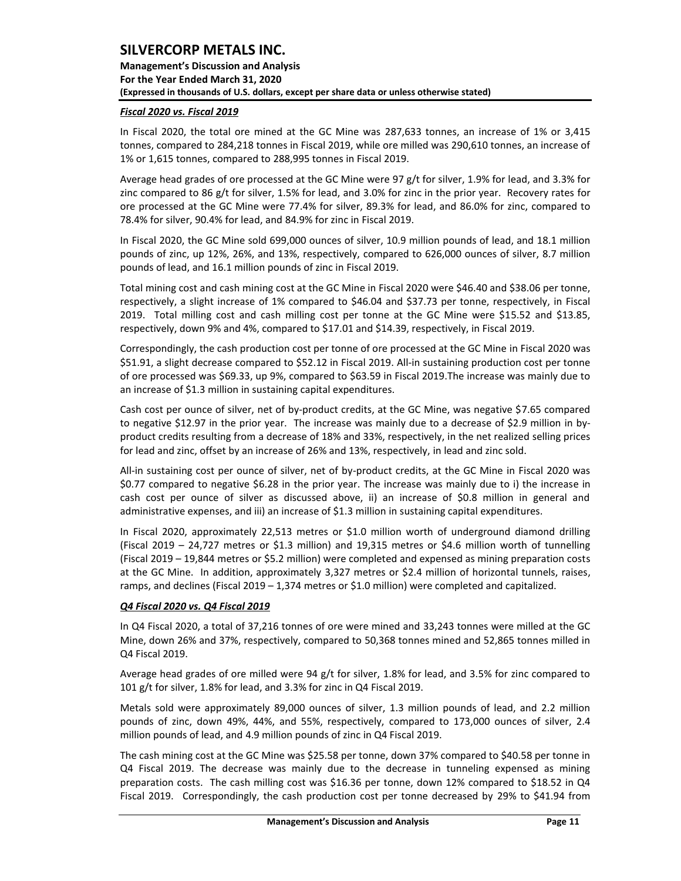**Management's Discussion and Analysis For the Year Ended March 31, 2020 (Expressed in thousands of U.S. dollars, except per share data or unless otherwise stated)** 

### *Fiscal 2020 vs. Fiscal 2019*

In Fiscal 2020, the total ore mined at the GC Mine was 287,633 tonnes, an increase of 1% or 3,415 tonnes, compared to 284,218 tonnes in Fiscal 2019, while ore milled was 290,610 tonnes, an increase of 1% or 1,615 tonnes, compared to 288,995 tonnes in Fiscal 2019.

Average head grades of ore processed at the GC Mine were 97 g/t for silver, 1.9% for lead, and 3.3% for zinc compared to 86 g/t for silver, 1.5% for lead, and 3.0% for zinc in the prior year. Recovery rates for ore processed at the GC Mine were 77.4% for silver, 89.3% for lead, and 86.0% for zinc, compared to 78.4% for silver, 90.4% for lead, and 84.9% for zinc in Fiscal 2019.

In Fiscal 2020, the GC Mine sold 699,000 ounces of silver, 10.9 million pounds of lead, and 18.1 million pounds of zinc, up 12%, 26%, and 13%, respectively, compared to 626,000 ounces of silver, 8.7 million pounds of lead, and 16.1 million pounds of zinc in Fiscal 2019.

Total mining cost and cash mining cost at the GC Mine in Fiscal 2020 were \$46.40 and \$38.06 per tonne, respectively, a slight increase of 1% compared to \$46.04 and \$37.73 per tonne, respectively, in Fiscal 2019. Total milling cost and cash milling cost per tonne at the GC Mine were \$15.52 and \$13.85, respectively, down 9% and 4%, compared to \$17.01 and \$14.39, respectively, in Fiscal 2019.

Correspondingly, the cash production cost per tonne of ore processed at the GC Mine in Fiscal 2020 was \$51.91, a slight decrease compared to \$52.12 in Fiscal 2019. All-in sustaining production cost per tonne of ore processed was \$69.33, up 9%, compared to \$63.59 in Fiscal 2019.The increase was mainly due to an increase of \$1.3 million in sustaining capital expenditures.

Cash cost per ounce of silver, net of by-product credits, at the GC Mine, was negative \$7.65 compared to negative \$12.97 in the prior year. The increase was mainly due to a decrease of \$2.9 million in byproduct credits resulting from a decrease of 18% and 33%, respectively, in the net realized selling prices for lead and zinc, offset by an increase of 26% and 13%, respectively, in lead and zinc sold.

All-in sustaining cost per ounce of silver, net of by-product credits, at the GC Mine in Fiscal 2020 was \$0.77 compared to negative \$6.28 in the prior year. The increase was mainly due to i) the increase in cash cost per ounce of silver as discussed above, ii) an increase of \$0.8 million in general and administrative expenses, and iii) an increase of \$1.3 million in sustaining capital expenditures.

In Fiscal 2020, approximately 22,513 metres or \$1.0 million worth of underground diamond drilling (Fiscal 2019 – 24,727 metres or \$1.3 million) and 19,315 metres or \$4.6 million worth of tunnelling (Fiscal 2019 – 19,844 metres or \$5.2 million) were completed and expensed as mining preparation costs at the GC Mine. In addition, approximately 3,327 metres or \$2.4 million of horizontal tunnels, raises, ramps, and declines (Fiscal 2019 – 1,374 metres or \$1.0 million) were completed and capitalized.

## *Q4 Fiscal 2020 vs. Q4 Fiscal 2019*

In Q4 Fiscal 2020, a total of 37,216 tonnes of ore were mined and 33,243 tonnes were milled at the GC Mine, down 26% and 37%, respectively, compared to 50,368 tonnes mined and 52,865 tonnes milled in Q4 Fiscal 2019.

Average head grades of ore milled were 94 g/t for silver, 1.8% for lead, and 3.5% for zinc compared to 101 g/t for silver, 1.8% for lead, and 3.3% for zinc in Q4 Fiscal 2019.

Metals sold were approximately 89,000 ounces of silver, 1.3 million pounds of lead, and 2.2 million pounds of zinc, down 49%, 44%, and 55%, respectively, compared to 173,000 ounces of silver, 2.4 million pounds of lead, and 4.9 million pounds of zinc in Q4 Fiscal 2019.

The cash mining cost at the GC Mine was \$25.58 per tonne, down 37% compared to \$40.58 per tonne in Q4 Fiscal 2019. The decrease was mainly due to the decrease in tunneling expensed as mining preparation costs. The cash milling cost was \$16.36 per tonne, down 12% compared to \$18.52 in Q4 Fiscal 2019. Correspondingly, the cash production cost per tonne decreased by 29% to \$41.94 from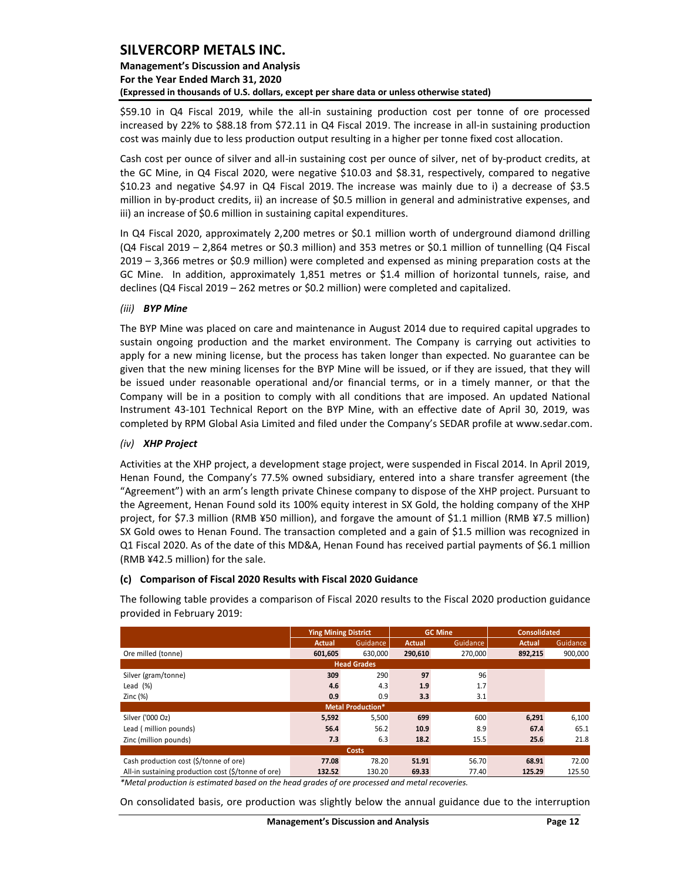## **Management's Discussion and Analysis For the Year Ended March 31, 2020 (Expressed in thousands of U.S. dollars, except per share data or unless otherwise stated)**

\$59.10 in Q4 Fiscal 2019, while the all-in sustaining production cost per tonne of ore processed increased by 22% to \$88.18 from \$72.11 in Q4 Fiscal 2019. The increase in all-in sustaining production cost was mainly due to less production output resulting in a higher per tonne fixed cost allocation.

Cash cost per ounce of silver and all-in sustaining cost per ounce of silver, net of by‐product credits, at the GC Mine, in Q4 Fiscal 2020, were negative \$10.03 and \$8.31, respectively, compared to negative \$10.23 and negative \$4.97 in Q4 Fiscal 2019. The increase was mainly due to i) a decrease of \$3.5 million in by-product credits, ii) an increase of \$0.5 million in general and administrative expenses, and iii) an increase of \$0.6 million in sustaining capital expenditures.

In Q4 Fiscal 2020, approximately 2,200 metres or \$0.1 million worth of underground diamond drilling (Q4 Fiscal 2019 – 2,864 metres or \$0.3 million) and 353 metres or \$0.1 million of tunnelling (Q4 Fiscal 2019 – 3,366 metres or \$0.9 million) were completed and expensed as mining preparation costs at the GC Mine. In addition, approximately 1,851 metres or \$1.4 million of horizontal tunnels, raise, and declines (Q4 Fiscal 2019 – 262 metres or \$0.2 million) were completed and capitalized.

## *(iii) BYP Mine*

The BYP Mine was placed on care and maintenance in August 2014 due to required capital upgrades to sustain ongoing production and the market environment. The Company is carrying out activities to apply for a new mining license, but the process has taken longer than expected. No guarantee can be given that the new mining licenses for the BYP Mine will be issued, or if they are issued, that they will be issued under reasonable operational and/or financial terms, or in a timely manner, or that the Company will be in a position to comply with all conditions that are imposed. An updated National Instrument 43-101 Technical Report on the BYP Mine, with an effective date of April 30, 2019, was completed by RPM Global Asia Limited and filed under the Company's SEDAR profile at www.sedar.com.

### *(iv) XHP Project*

Activities at the XHP project, a development stage project, were suspended in Fiscal 2014. In April 2019, Henan Found, the Company's 77.5% owned subsidiary, entered into a share transfer agreement (the "Agreement") with an arm's length private Chinese company to dispose of the XHP project. Pursuant to the Agreement, Henan Found sold its 100% equity interest in SX Gold, the holding company of the XHP project, for \$7.3 million (RMB ¥50 million), and forgave the amount of \$1.1 million (RMB ¥7.5 million) SX Gold owes to Henan Found. The transaction completed and a gain of \$1.5 million was recognized in Q1 Fiscal 2020. As of the date of this MD&A, Henan Found has received partial payments of \$6.1 million (RMB ¥42.5 million) for the sale.

#### **(c) Comparison of Fiscal 2020 Results with Fiscal 2020 Guidance**

The following table provides a comparison of Fiscal 2020 results to the Fiscal 2020 production guidance provided in February 2019:

|                                                     | <b>Ying Mining District</b> |                          |               | <b>GC Mine</b> | <b>Consolidated</b> |          |  |  |  |  |  |
|-----------------------------------------------------|-----------------------------|--------------------------|---------------|----------------|---------------------|----------|--|--|--|--|--|
|                                                     | Actual                      | Guidance                 | <b>Actual</b> | Guidance       | <b>Actual</b>       | Guidance |  |  |  |  |  |
| Ore milled (tonne)                                  | 601.605                     | 630.000                  | 290,610       | 270.000        | 892,215             | 900,000  |  |  |  |  |  |
|                                                     |                             | <b>Head Grades</b>       |               |                |                     |          |  |  |  |  |  |
| Silver (gram/tonne)                                 | 309                         | 290                      | 97            | 96             |                     |          |  |  |  |  |  |
| Lead $(\%)$                                         | 4.6                         | 4.3                      | 1.9           | 1.7            |                     |          |  |  |  |  |  |
| Zinc $(%)$                                          | 0.9                         | 0.9                      | 3.3           | 3.1            |                     |          |  |  |  |  |  |
|                                                     |                             | <b>Metal Production*</b> |               |                |                     |          |  |  |  |  |  |
| Silver ('000 Oz)                                    | 5,592                       | 5,500                    | 699           | 600            | 6,291               | 6,100    |  |  |  |  |  |
| Lead (million pounds)                               | 56.4                        | 56.2                     | 10.9          | 8.9            | 67.4                | 65.1     |  |  |  |  |  |
| Zinc (million pounds)                               | 7.3                         | 6.3                      | 18.2          | 15.5           | 25.6                | 21.8     |  |  |  |  |  |
| <b>Costs</b>                                        |                             |                          |               |                |                     |          |  |  |  |  |  |
| Cash production cost (\$/tonne of ore)              | 77.08                       | 78.20                    | 51.91         | 56.70          | 68.91               | 72.00    |  |  |  |  |  |
| All-in sustaining production cost (\$/tonne of ore) | 132.52                      | 130.20                   | 69.33         | 77.40          | 125.29              | 125.50   |  |  |  |  |  |

*\*Metal production is estimated based on the head grades of ore processed and metal recoveries.* 

On consolidated basis, ore production was slightly below the annual guidance due to the interruption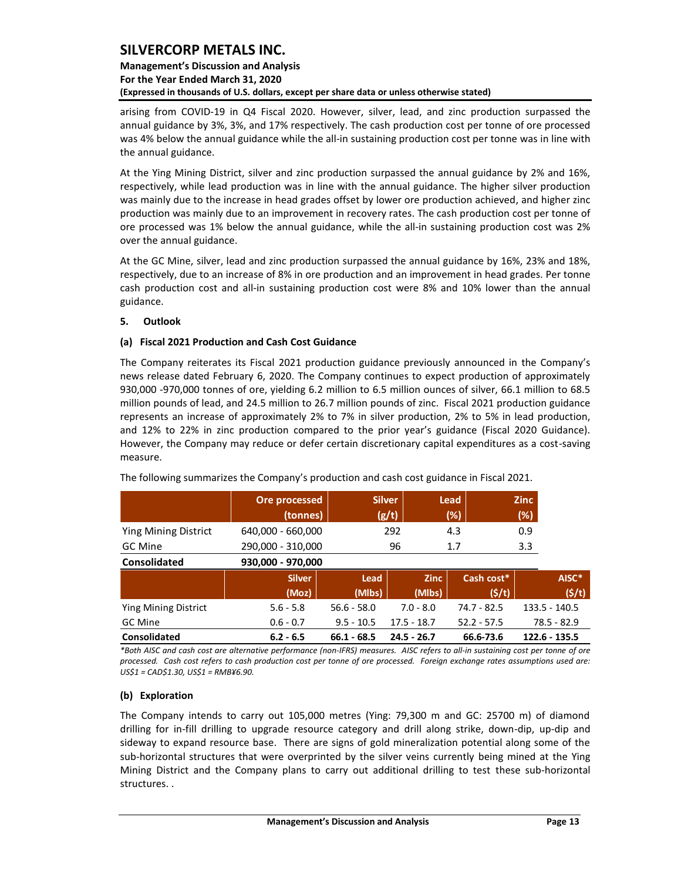## **Management's Discussion and Analysis For the Year Ended March 31, 2020 (Expressed in thousands of U.S. dollars, except per share data or unless otherwise stated)**

arising from COVID-19 in Q4 Fiscal 2020. However, silver, lead, and zinc production surpassed the annual guidance by 3%, 3%, and 17% respectively. The cash production cost per tonne of ore processed was 4% below the annual guidance while the all-in sustaining production cost per tonne was in line with the annual guidance.

At the Ying Mining District, silver and zinc production surpassed the annual guidance by 2% and 16%, respectively, while lead production was in line with the annual guidance. The higher silver production was mainly due to the increase in head grades offset by lower ore production achieved, and higher zinc production was mainly due to an improvement in recovery rates. The cash production cost per tonne of ore processed was 1% below the annual guidance, while the all-in sustaining production cost was 2% over the annual guidance.

At the GC Mine, silver, lead and zinc production surpassed the annual guidance by 16%, 23% and 18%, respectively, due to an increase of 8% in ore production and an improvement in head grades. Per tonne cash production cost and all-in sustaining production cost were 8% and 10% lower than the annual guidance.

## <span id="page-13-0"></span>**5. Outlook**

## **(a) Fiscal 2021 Production and Cash Cost Guidance**

The Company reiterates its Fiscal 2021 production guidance previously announced in the Company's news release dated February 6, 2020. The Company continues to expect production of approximately 930,000 -970,000 tonnes of ore, yielding 6.2 million to 6.5 million ounces of silver, 66.1 million to 68.5 million pounds of lead, and 24.5 million to 26.7 million pounds of zinc. Fiscal 2021 production guidance represents an increase of approximately 2% to 7% in silver production, 2% to 5% in lead production, and 12% to 22% in zinc production compared to the prior year's guidance (Fiscal 2020 Guidance). However, the Company may reduce or defer certain discretionary capital expenditures as a cost-saving measure.

|                             | Ore processed     |               | <b>Silver</b> | Lead          | <b>Zinc</b>   |
|-----------------------------|-------------------|---------------|---------------|---------------|---------------|
|                             | (tonnes)          |               | (g/t)         | (%)           | (%)           |
| <b>Ying Mining District</b> | 640,000 - 660,000 |               | 292           | 4.3           | 0.9           |
| GC Mine                     | 290,000 - 310,000 |               | 96            | 1.7           | 3.3           |
| <b>Consolidated</b>         | 930,000 - 970,000 |               |               |               |               |
|                             | <b>Silver</b>     | Lead          | <b>Zinc</b>   | Cash cost*    | AISC*         |
|                             | (Moz)             | (Mlbs)        | (Mlbs)        | (5/t)         | (5/t)         |
| <b>Ying Mining District</b> | $5.6 - 5.8$       | $56.6 - 58.0$ | $7.0 - 8.0$   | 74.7 - 82.5   | 133.5 - 140.5 |
| GC Mine                     | $0.6 - 0.7$       | $9.5 - 10.5$  | $17.5 - 18.7$ | $52.2 - 57.5$ | $78.5 - 82.9$ |
| <b>Consolidated</b>         | $6.2 - 6.5$       | $66.1 - 68.5$ | $24.5 - 26.7$ | 66.6-73.6     | 122.6 - 135.5 |

The following summarizes the Company's production and cash cost guidance in Fiscal 2021.

*\*Both AISC and cash cost are alternative performance (non-IFRS) measures. AISC refers to all-in sustaining cost per tonne of ore processed. Cash cost refers to cash production cost per tonne of ore processed. Foreign exchange rates assumptions used are: US\$1 = CAD\$1.30, US\$1 = RMB¥6.90.*

## **(b) Exploration**

The Company intends to carry out 105,000 metres (Ying: 79,300 m and GC: 25700 m) of diamond drilling for in-fill drilling to upgrade resource category and drill along strike, down-dip, up-dip and sideway to expand resource base. There are signs of gold mineralization potential along some of the sub-horizontal structures that were overprinted by the silver veins currently being mined at the Ying Mining District and the Company plans to carry out additional drilling to test these sub-horizontal structures. .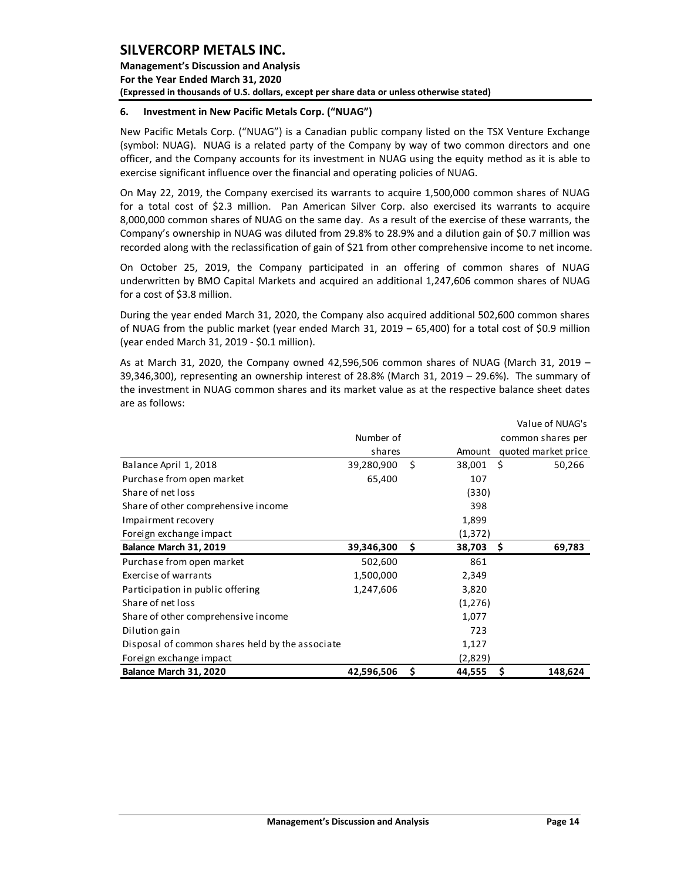**Management's Discussion and Analysis For the Year Ended March 31, 2020 (Expressed in thousands of U.S. dollars, except per share data or unless otherwise stated)** 

### <span id="page-14-0"></span>**6. Investment in New Pacific Metals Corp. ("NUAG")**

New Pacific Metals Corp. ("NUAG") is a Canadian public company listed on the TSX Venture Exchange (symbol: NUAG). NUAG is a related party of the Company by way of two common directors and one officer, and the Company accounts for its investment in NUAG using the equity method as it is able to exercise significant influence over the financial and operating policies of NUAG.

On May 22, 2019, the Company exercised its warrants to acquire 1,500,000 common shares of NUAG for a total cost of \$2.3 million. Pan American Silver Corp. also exercised its warrants to acquire 8,000,000 common shares of NUAG on the same day. As a result of the exercise of these warrants, the Company's ownership in NUAG was diluted from 29.8% to 28.9% and a dilution gain of \$0.7 million was recorded along with the reclassification of gain of \$21 from other comprehensive income to net income.

On October 25, 2019, the Company participated in an offering of common shares of NUAG underwritten by BMO Capital Markets and acquired an additional 1,247,606 common shares of NUAG for a cost of \$3.8 million.

During the year ended March 31, 2020, the Company also acquired additional 502,600 common shares of NUAG from the public market (year ended March 31, 2019 – 65,400) for a total cost of \$0.9 million (year ended March 31, 2019 - \$0.1 million).

As at March 31, 2020, the Company owned 42,596,506 common shares of NUAG (March 31, 2019 – 39,346,300), representing an ownership interest of 28.8% (March 31, 2019 – 29.6%). The summary of the investment in NUAG common shares and its market value as at the respective balance sheet dates are as follows:

|                                                 |            |    |         | Value of NUAG's     |
|-------------------------------------------------|------------|----|---------|---------------------|
|                                                 | Number of  |    |         | common shares per   |
|                                                 | shares     |    | Amount  | quoted market price |
| Balance April 1, 2018                           | 39,280,900 | Ŝ. | 38,001  | Ś<br>50,266         |
| Purchase from open market                       | 65,400     |    | 107     |                     |
| Share of net loss                               |            |    | (330)   |                     |
| Share of other comprehensive income             |            |    | 398     |                     |
| Impairment recovery                             |            |    | 1,899   |                     |
| Foreign exchange impact                         |            |    | (1,372) |                     |
| Balance March 31, 2019                          | 39,346,300 | \$ | 38,703  | 69,783<br>S         |
| Purchase from open market                       | 502,600    |    | 861     |                     |
| <b>Exercise of warrants</b>                     | 1,500,000  |    | 2,349   |                     |
| Participation in public offering                | 1,247,606  |    | 3,820   |                     |
| Share of net loss                               |            |    | (1,276) |                     |
| Share of other comprehensive income             |            |    | 1,077   |                     |
| Dilution gain                                   |            |    | 723     |                     |
| Disposal of common shares held by the associate |            |    | 1,127   |                     |
| Foreign exchange impact                         |            |    | (2,829) |                     |
| Balance March 31, 2020                          | 42,596,506 | \$ | 44,555  | 148,624<br>S        |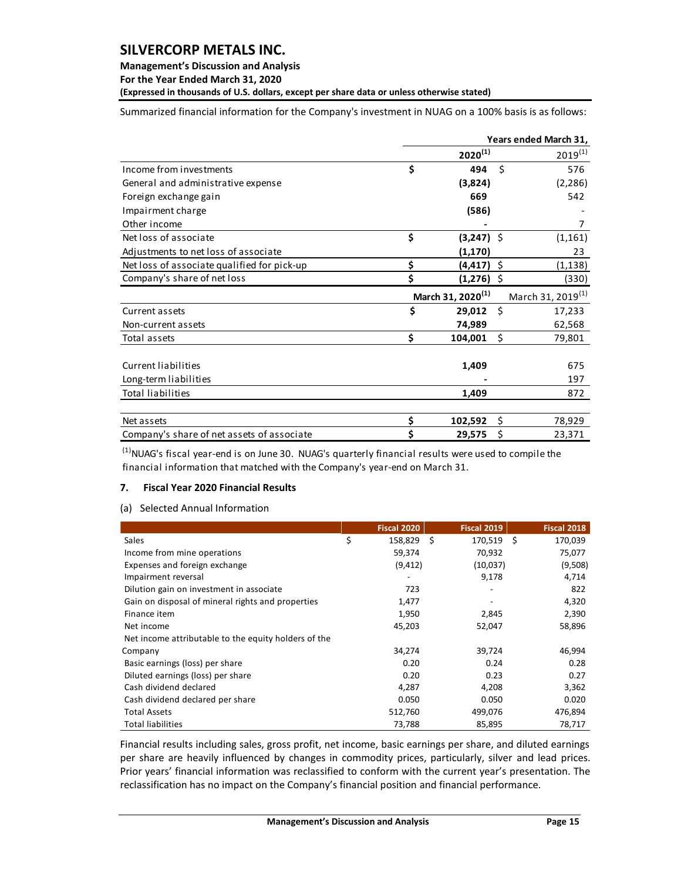## **Management's Discussion and Analysis**

**For the Year Ended March 31, 2020**

**(Expressed in thousands of U.S. dollars, except per share data or unless otherwise stated)** 

Summarized financial information for the Company's investment in NUAG on a 100% basis is as follows:

|                                             |    |                               |      | Years ended March 31,         |
|---------------------------------------------|----|-------------------------------|------|-------------------------------|
|                                             |    | $2020^{(1)}$                  |      | $2019^{(1)}$                  |
| Income from investments                     | \$ | 494                           | Ś.   | 576                           |
| General and administrative expense          |    | (3,824)                       |      | (2, 286)                      |
| Foreign exchange gain                       |    | 669                           |      | 542                           |
| Impairment charge                           |    | (586)                         |      |                               |
| Other income                                |    |                               |      | 7                             |
| Net loss of associate                       | \$ | $(3,247)$ \$                  |      | (1, 161)                      |
| Adjustments to net loss of associate        |    | (1, 170)                      |      | 23                            |
| Net loss of associate qualified for pick-up | \$ | (4, 417)                      | - \$ | (1, 138)                      |
| Company's share of net loss                 | Ś  | $(1,276)$ \$                  |      | (330)                         |
|                                             |    | March 31, 2020 <sup>(1)</sup> |      | March 31, 2019 <sup>(1)</sup> |
| Current assets                              | \$ | 29,012 \$                     |      | 17,233                        |
|                                             |    |                               |      |                               |
| Non-current assets                          |    | 74,989                        |      | 62,568                        |
| Total assets                                | \$ | 104,001                       | \$   | 79,801                        |
|                                             |    |                               |      |                               |
| Current liabilities                         |    | 1,409                         |      | 675                           |
| Long-term liabilities                       |    |                               |      | 197                           |
| <b>Total liabilities</b>                    |    | 1,409                         |      | 872                           |
| Net assets                                  | \$ | 102,592                       | \$   | 78,929                        |

 $<sup>(1)</sup>$ NUAG's fiscal year-end is on June 30. NUAG's quarterly financial results were used to compile the</sup> financial information that matched with the Company's year-end on March 31.

## <span id="page-15-0"></span>**7. Fiscal Year 2020 Financial Results**

## (a) Selected Annual Information

|                                                      | Fiscal 2020   |     | Fiscal 2019 |     | Fiscal 2018 |
|------------------------------------------------------|---------------|-----|-------------|-----|-------------|
| Sales                                                | \$<br>158,829 | - Ś | 170,519     | - Ś | 170,039     |
| Income from mine operations                          | 59,374        |     | 70,932      |     | 75,077      |
| Expenses and foreign exchange                        | (9, 412)      |     | (10,037)    |     | (9,508)     |
| Impairment reversal                                  |               |     | 9,178       |     | 4,714       |
| Dilution gain on investment in associate             | 723           |     |             |     | 822         |
| Gain on disposal of mineral rights and properties    | 1,477         |     |             |     | 4,320       |
| Finance item                                         | 1,950         |     | 2,845       |     | 2,390       |
| Net income                                           | 45,203        |     | 52,047      |     | 58,896      |
| Net income attributable to the equity holders of the |               |     |             |     |             |
| Company                                              | 34,274        |     | 39,724      |     | 46,994      |
| Basic earnings (loss) per share                      | 0.20          |     | 0.24        |     | 0.28        |
| Diluted earnings (loss) per share                    | 0.20          |     | 0.23        |     | 0.27        |
| Cash dividend declared                               | 4,287         |     | 4,208       |     | 3,362       |
| Cash dividend declared per share                     | 0.050         |     | 0.050       |     | 0.020       |
| <b>Total Assets</b>                                  | 512,760       |     | 499,076     |     | 476,894     |
| <b>Total liabilities</b>                             | 73,788        |     | 85,895      |     | 78,717      |

Financial results including sales, gross profit, net income, basic earnings per share, and diluted earnings per share are heavily influenced by changes in commodity prices, particularly, silver and lead prices. Prior years' financial information was reclassified to conform with the current year's presentation. The reclassification has no impact on the Company's financial position and financial performance.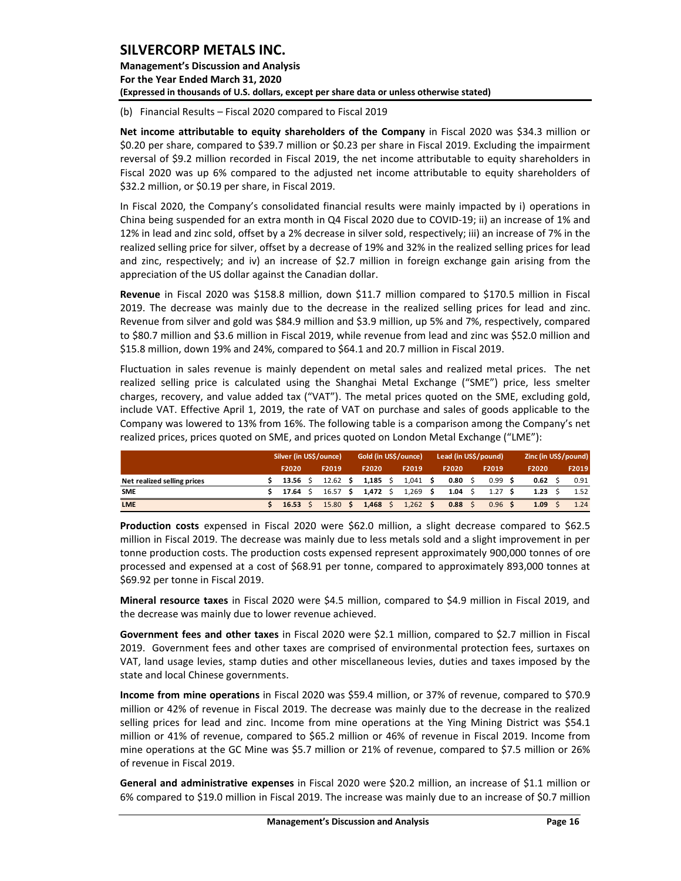**Management's Discussion and Analysis For the Year Ended March 31, 2020 (Expressed in thousands of U.S. dollars, except per share data or unless otherwise stated)** 

(b) Financial Results – Fiscal 2020 compared to Fiscal 2019

**Net income attributable to equity shareholders of the Company** in Fiscal 2020 was \$34.3 million or \$0.20 per share, compared to \$39.7 million or \$0.23 per share in Fiscal 2019. Excluding the impairment reversal of \$9.2 million recorded in Fiscal 2019, the net income attributable to equity shareholders in Fiscal 2020 was up 6% compared to the adjusted net income attributable to equity shareholders of \$32.2 million, or \$0.19 per share, in Fiscal 2019.

In Fiscal 2020, the Company's consolidated financial results were mainly impacted by i) operations in China being suspended for an extra month in Q4 Fiscal 2020 due to COVID-19; ii) an increase of 1% and 12% in lead and zinc sold, offset by a 2% decrease in silver sold, respectively; iii) an increase of 7% in the realized selling price for silver, offset by a decrease of 19% and 32% in the realized selling prices for lead and zinc, respectively; and iv) an increase of \$2.7 million in foreign exchange gain arising from the appreciation of the US dollar against the Canadian dollar.

**Revenue** in Fiscal 2020 was \$158.8 million, down \$11.7 million compared to \$170.5 million in Fiscal 2019. The decrease was mainly due to the decrease in the realized selling prices for lead and zinc. Revenue from silver and gold was \$84.9 million and \$3.9 million, up 5% and 7%, respectively, compared to \$80.7 million and \$3.6 million in Fiscal 2019, while revenue from lead and zinc was \$52.0 million and \$15.8 million, down 19% and 24%, compared to \$64.1 and 20.7 million in Fiscal 2019.

Fluctuation in sales revenue is mainly dependent on metal sales and realized metal prices. The net realized selling price is calculated using the Shanghai Metal Exchange ("SME") price, less smelter charges, recovery, and value added tax ("VAT"). The metal prices quoted on the SME, excluding gold, include VAT. Effective April 1, 2019, the rate of VAT on purchase and sales of goods applicable to the Company was lowered to 13% from 16%. The following table is a comparison among the Company's net realized prices, prices quoted on SME, and prices quoted on London Metal Exchange ("LME"):

|                             |         | Silver (in US\$/ounce) |            |  | Gold (in US\$/ounce) |  |            |      | Lead (in US\$/pound) |      | Zinc (in US\$/pound) |       |  |       |
|-----------------------------|---------|------------------------|------------|--|----------------------|--|------------|------|----------------------|------|----------------------|-------|--|-------|
|                             | F2020   |                        | F2019      |  | F2020                |  | F2019      |      | F2020                |      | F2019                | F2020 |  | F2019 |
| Net realized selling prices | 13.56 S |                        |            |  | 12.62 \$ 1,185 \$    |  | $1,041$ \$ |      | $0.80 \pm$           |      | 0.99                 | 0.62  |  | 0.91  |
| <b>SME</b>                  | 17.64   |                        | $16.57$ \$ |  | 1,472 \$             |  | $1,269$ \$ |      | 1.04                 | - \$ | 1.27                 | 1.23  |  | 1.52  |
| <b>LME</b>                  | 16.53   |                        | 15.80 S    |  | $1.468 \quad$ \$     |  | 1,262      | - \$ | $0.88 \quad$ \$      |      | $0.96$ \$            | 1.09  |  | 1.24  |

**Production costs** expensed in Fiscal 2020 were \$62.0 million, a slight decrease compared to \$62.5 million in Fiscal 2019. The decrease was mainly due to less metals sold and a slight improvement in per tonne production costs. The production costs expensed represent approximately 900,000 tonnes of ore processed and expensed at a cost of \$68.91 per tonne, compared to approximately 893,000 tonnes at \$69.92 per tonne in Fiscal 2019.

**Mineral resource taxes** in Fiscal 2020 were \$4.5 million, compared to \$4.9 million in Fiscal 2019, and the decrease was mainly due to lower revenue achieved.

**Government fees and other taxes** in Fiscal 2020 were \$2.1 million, compared to \$2.7 million in Fiscal 2019. Government fees and other taxes are comprised of environmental protection fees, surtaxes on VAT, land usage levies, stamp duties and other miscellaneous levies, duties and taxes imposed by the state and local Chinese governments.

**Income from mine operations** in Fiscal 2020 was \$59.4 million, or 37% of revenue, compared to \$70.9 million or 42% of revenue in Fiscal 2019. The decrease was mainly due to the decrease in the realized selling prices for lead and zinc. Income from mine operations at the Ying Mining District was \$54.1 million or 41% of revenue, compared to \$65.2 million or 46% of revenue in Fiscal 2019. Income from mine operations at the GC Mine was \$5.7 million or 21% of revenue, compared to \$7.5 million or 26% of revenue in Fiscal 2019.

**General and administrative expenses** in Fiscal 2020 were \$20.2 million, an increase of \$1.1 million or 6% compared to \$19.0 million in Fiscal 2019. The increase was mainly due to an increase of \$0.7 million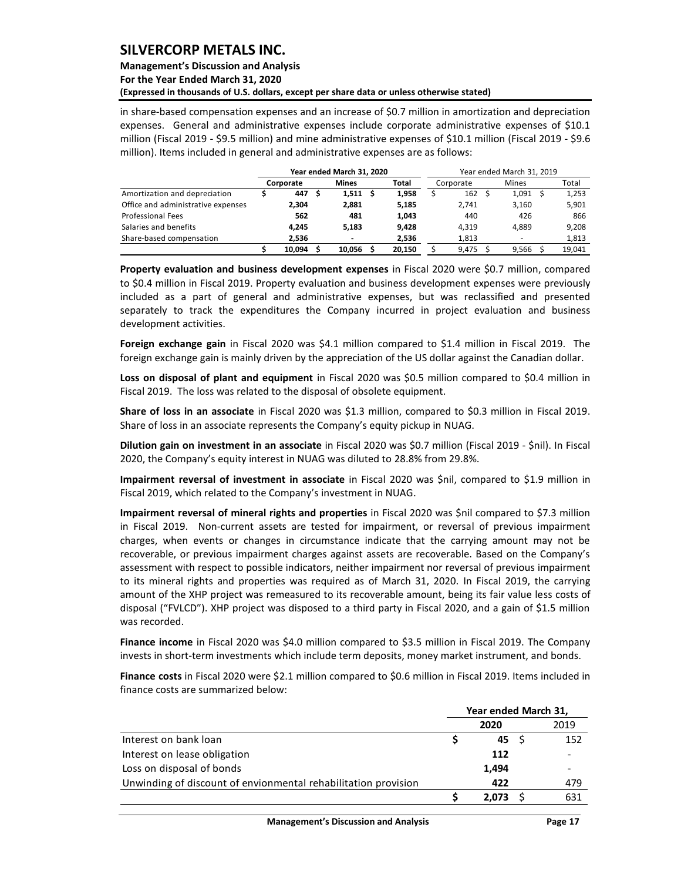## **Management's Discussion and Analysis**

**For the Year Ended March 31, 2020**

**(Expressed in thousands of U.S. dollars, except per share data or unless otherwise stated)** 

in share-based compensation expenses and an increase of \$0.7 million in amortization and depreciation expenses. General and administrative expenses include corporate administrative expenses of \$10.1 million (Fiscal 2019 - \$9.5 million) and mine administrative expenses of \$10.1 million (Fiscal 2019 - \$9.6 million). Items included in general and administrative expenses are as follows:

|                                    |           | Year ended March 31, 2020 |        |           | Year ended March 31, 2019 |        |
|------------------------------------|-----------|---------------------------|--------|-----------|---------------------------|--------|
|                                    | Corporate | <b>Mines</b>              | Total  | Corporate | <b>Mines</b>              | Total  |
| Amortization and depreciation      | 447       | $1,511$ \$                | 1.958  | 162       | 1,091                     | 1,253  |
| Office and administrative expenses | 2.304     | 2.881                     | 5.185  | 2.741     | 3.160                     | 5,901  |
| <b>Professional Fees</b>           | 562       | 481                       | 1.043  | 440       | 426                       | 866    |
| Salaries and benefits              | 4.245     | 5.183                     | 9.428  | 4.319     | 4.889                     | 9,208  |
| Share-based compensation           | 2.536     |                           | 2.536  | 1,813     | $\overline{\phantom{a}}$  | 1,813  |
|                                    | 10.094    | 10.056                    | 20.150 | 9.475     | 9.566                     | 19.041 |

**Property evaluation and business development expenses** in Fiscal 2020 were \$0.7 million, compared to \$0.4 million in Fiscal 2019. Property evaluation and business development expenses were previously included as a part of general and administrative expenses, but was reclassified and presented separately to track the expenditures the Company incurred in project evaluation and business development activities.

**Foreign exchange gain** in Fiscal 2020 was \$4.1 million compared to \$1.4 million in Fiscal 2019. The foreign exchange gain is mainly driven by the appreciation of the US dollar against the Canadian dollar.

**Loss on disposal of plant and equipment** in Fiscal 2020 was \$0.5 million compared to \$0.4 million in Fiscal 2019. The loss was related to the disposal of obsolete equipment.

**Share of loss in an associate** in Fiscal 2020 was \$1.3 million, compared to \$0.3 million in Fiscal 2019. Share of loss in an associate represents the Company's equity pickup in NUAG.

**Dilution gain on investment in an associate** in Fiscal 2020 was \$0.7 million (Fiscal 2019 - \$nil). In Fiscal 2020, the Company's equity interest in NUAG was diluted to 28.8% from 29.8%.

**Impairment reversal of investment in associate** in Fiscal 2020 was \$nil, compared to \$1.9 million in Fiscal 2019, which related to the Company's investment in NUAG.

**Impairment reversal of mineral rights and properties** in Fiscal 2020 was \$nil compared to \$7.3 million in Fiscal 2019. Non-current assets are tested for impairment, or reversal of previous impairment charges, when events or changes in circumstance indicate that the carrying amount may not be recoverable, or previous impairment charges against assets are recoverable. Based on the Company's assessment with respect to possible indicators, neither impairment nor reversal of previous impairment to its mineral rights and properties was required as of March 31, 2020. In Fiscal 2019, the carrying amount of the XHP project was remeasured to its recoverable amount, being its fair value less costs of disposal ("FVLCD"). XHP project was disposed to a third party in Fiscal 2020, and a gain of \$1.5 million was recorded.

**Finance income** in Fiscal 2020 was \$4.0 million compared to \$3.5 million in Fiscal 2019. The Company invests in short-term investments which include term deposits, money market instrument, and bonds.

**Finance costs** in Fiscal 2020 were \$2.1 million compared to \$0.6 million in Fiscal 2019. Items included in finance costs are summarized below:

|                                                                | Year ended March 31, |       |  |      |  |
|----------------------------------------------------------------|----------------------|-------|--|------|--|
|                                                                |                      | 2020  |  | 2019 |  |
| Interest on bank loan                                          |                      | 45 S  |  | 152  |  |
| Interest on lease obligation                                   |                      | 112   |  |      |  |
| Loss on disposal of bonds                                      |                      | 1,494 |  |      |  |
| Unwinding of discount of envionmental rehabilitation provision |                      | 422   |  | 479  |  |
|                                                                |                      | 2.073 |  | 631  |  |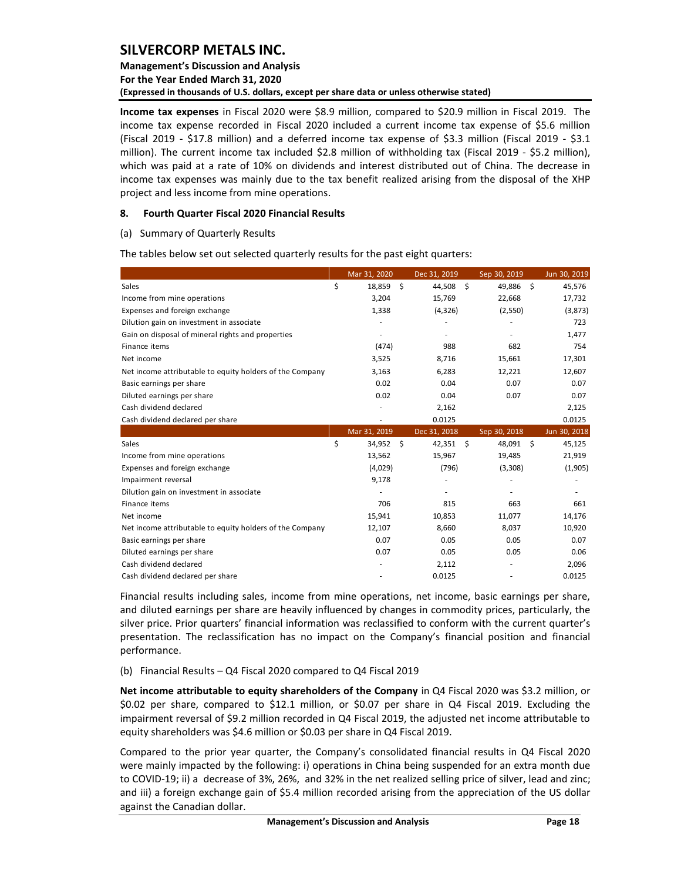## **Management's Discussion and Analysis For the Year Ended March 31, 2020 (Expressed in thousands of U.S. dollars, except per share data or unless otherwise stated)**

**Income tax expenses** in Fiscal 2020 were \$8.9 million, compared to \$20.9 million in Fiscal 2019. The income tax expense recorded in Fiscal 2020 included a current income tax expense of \$5.6 million (Fiscal 2019 - \$17.8 million) and a deferred income tax expense of \$3.3 million (Fiscal 2019 - \$3.1 million). The current income tax included \$2.8 million of withholding tax (Fiscal 2019 - \$5.2 million), which was paid at a rate of 10% on dividends and interest distributed out of China. The decrease in income tax expenses was mainly due to the tax benefit realized arising from the disposal of the XHP project and less income from mine operations.

### <span id="page-18-0"></span>**8. Fourth Quarter Fiscal 2020 Financial Results**

#### (a) Summary of Quarterly Results

The tables below set out selected quarterly results for the past eight quarters:

|                                                                                                                                                                                                                                                                                                                                                                                                                                                                        |    | Mar 31, 2020   |    | Dec 31, 2019 |    | Sep 30, 2019 |    | Jun 30, 2019 |  |  |
|------------------------------------------------------------------------------------------------------------------------------------------------------------------------------------------------------------------------------------------------------------------------------------------------------------------------------------------------------------------------------------------------------------------------------------------------------------------------|----|----------------|----|--------------|----|--------------|----|--------------|--|--|
| Sales                                                                                                                                                                                                                                                                                                                                                                                                                                                                  | \$ | 18,859         | \$ | 44,508       | \$ | 49,886       | \$ | 45,576       |  |  |
| Income from mine operations                                                                                                                                                                                                                                                                                                                                                                                                                                            |    | 3,204          |    | 15,769       |    | 22,668       |    | 17,732       |  |  |
| Expenses and foreign exchange                                                                                                                                                                                                                                                                                                                                                                                                                                          |    | 1,338          |    | (4, 326)     |    | (2,550)      |    | (3,873)      |  |  |
| Dilution gain on investment in associate                                                                                                                                                                                                                                                                                                                                                                                                                               |    | ä,             |    | ä,           |    |              |    | 723          |  |  |
| Gain on disposal of mineral rights and properties                                                                                                                                                                                                                                                                                                                                                                                                                      |    | ÷,             |    | ÷,           |    |              |    | 1,477        |  |  |
| Finance items                                                                                                                                                                                                                                                                                                                                                                                                                                                          |    | (474)          |    | 988          |    | 682          |    | 754          |  |  |
| Net income                                                                                                                                                                                                                                                                                                                                                                                                                                                             |    | 3,525          |    | 8,716        |    | 15,661       |    | 17,301       |  |  |
| Net income attributable to equity holders of the Company                                                                                                                                                                                                                                                                                                                                                                                                               |    | 3,163          |    | 6,283        |    | 12,221       |    | 12,607       |  |  |
| Basic earnings per share                                                                                                                                                                                                                                                                                                                                                                                                                                               |    | 0.02           |    | 0.04         |    | 0.07         |    | 0.07         |  |  |
| Diluted earnings per share                                                                                                                                                                                                                                                                                                                                                                                                                                             |    | 0.02           |    | 0.04         |    | 0.07         |    | 0.07         |  |  |
| Cash dividend declared                                                                                                                                                                                                                                                                                                                                                                                                                                                 |    | $\blacksquare$ |    | 2,162        |    |              |    | 2,125        |  |  |
| Cash dividend declared per share                                                                                                                                                                                                                                                                                                                                                                                                                                       |    | ÷.             |    | 0.0125       |    |              |    | 0.0125       |  |  |
|                                                                                                                                                                                                                                                                                                                                                                                                                                                                        |    | Mar 31, 2019   |    | Dec 31, 2018 |    | Sep 30, 2018 |    | Jun 30, 2018 |  |  |
| Sales                                                                                                                                                                                                                                                                                                                                                                                                                                                                  | \$ | 34,952 \$      |    | 42,351       | \$ | 48,091       | \$ | 45,125       |  |  |
| Income from mine operations                                                                                                                                                                                                                                                                                                                                                                                                                                            |    | 13,562         |    | 15,967       |    | 19,485       |    | 21,919       |  |  |
| Expenses and foreign exchange                                                                                                                                                                                                                                                                                                                                                                                                                                          |    | (4,029)        |    | (796)        |    | (3,308)      |    | (1,905)      |  |  |
| Impairment reversal                                                                                                                                                                                                                                                                                                                                                                                                                                                    |    | 9,178          |    |              |    |              |    | ÷,           |  |  |
| Dilution gain on investment in associate                                                                                                                                                                                                                                                                                                                                                                                                                               |    | ÷.             |    | ٠            |    |              |    |              |  |  |
| Finance items                                                                                                                                                                                                                                                                                                                                                                                                                                                          |    | 706            |    | 815          |    | 663          |    | 661          |  |  |
| Net income                                                                                                                                                                                                                                                                                                                                                                                                                                                             |    | 15,941         |    | 10,853       |    | 11,077       |    | 14,176       |  |  |
| Net income attributable to equity holders of the Company                                                                                                                                                                                                                                                                                                                                                                                                               |    | 12,107         |    | 8,660        |    | 8,037        |    | 10,920       |  |  |
| Basic earnings per share                                                                                                                                                                                                                                                                                                                                                                                                                                               |    | 0.07           |    | 0.05         |    | 0.05         |    | 0.07         |  |  |
| Diluted earnings per share                                                                                                                                                                                                                                                                                                                                                                                                                                             |    | 0.07           |    | 0.05         |    | 0.05         |    | 0.06         |  |  |
| Cash dividend declared                                                                                                                                                                                                                                                                                                                                                                                                                                                 |    | ÷,             |    | 2,112        |    | ä,           |    | 2,096        |  |  |
| Cash dividend declared per share                                                                                                                                                                                                                                                                                                                                                                                                                                       |    |                |    | 0.0125       |    |              |    | 0.0125       |  |  |
| Financial results including sales, income from mine operations, net income, basic earnings per share,<br>and diluted earnings per share are heavily influenced by changes in commodity prices, particularly, the<br>silver price. Prior quarters' financial information was reclassified to conform with the current quarter's<br>presentation. The reclassification has no impact on the Company's financial position and financial<br>performance.                   |    |                |    |              |    |              |    |              |  |  |
| (b) Financial Results - Q4 Fiscal 2020 compared to Q4 Fiscal 2019                                                                                                                                                                                                                                                                                                                                                                                                      |    |                |    |              |    |              |    |              |  |  |
| Net income attributable to equity shareholders of the Company in Q4 Fiscal 2020 was \$3.2 million, or<br>\$0.02 per share, compared to \$12.1 million, or \$0.07 per share in Q4 Fiscal 2019. Excluding the<br>impairment reversal of \$9.2 million recorded in Q4 Fiscal 2019, the adjusted net income attributable to<br>equity shareholders was \$4.6 million or \$0.03 per share in Q4 Fiscal 2019.                                                                |    |                |    |              |    |              |    |              |  |  |
| Compared to the prior year quarter, the Company's consolidated financial results in Q4 Fiscal 2020<br>were mainly impacted by the following: i) operations in China being suspended for an extra month due<br>to COVID-19; ii) a decrease of 3%, 26%, and 32% in the net realized selling price of silver, lead and zinc;<br>and iii) a foreign exchange gain of \$5.4 million recorded arising from the appreciation of the US dollar<br>against the Canadian dollar. |    |                |    |              |    |              |    |              |  |  |

#### (b) Financial Results – Q4 Fiscal 2020 compared to Q4 Fiscal 2019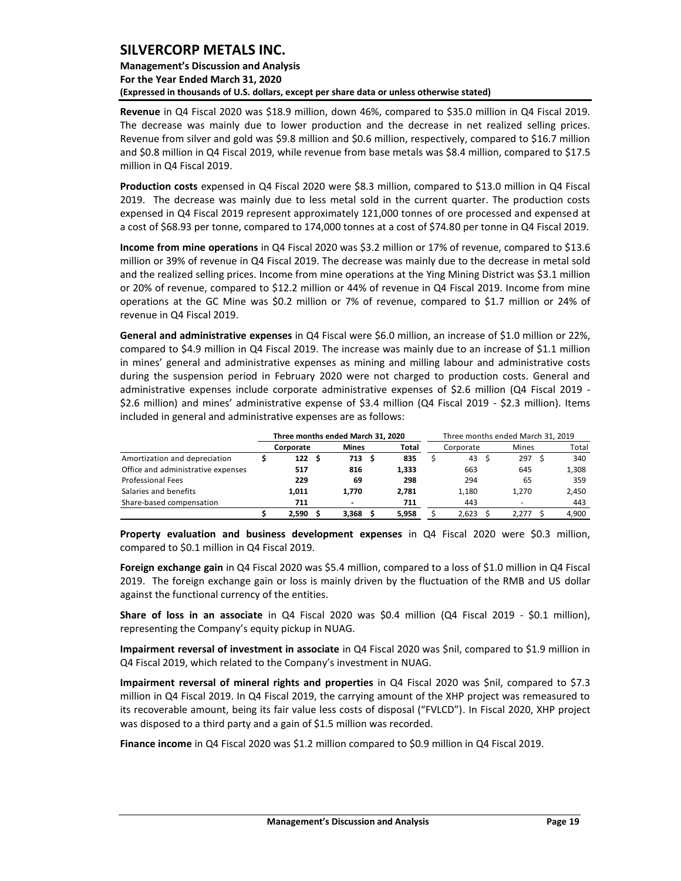## **Management's Discussion and Analysis For the Year Ended March 31, 2020 (Expressed in thousands of U.S. dollars, except per share data or unless otherwise stated)**

**Revenue** in Q4 Fiscal 2020 was \$18.9 million, down 46%, compared to \$35.0 million in Q4 Fiscal 2019. The decrease was mainly due to lower production and the decrease in net realized selling prices. Revenue from silver and gold was \$9.8 million and \$0.6 million, respectively, compared to \$16.7 million and \$0.8 million in Q4 Fiscal 2019, while revenue from base metals was \$8.4 million, compared to \$17.5 million in Q4 Fiscal 2019.

**Production costs** expensed in Q4 Fiscal 2020 were \$8.3 million, compared to \$13.0 million in Q4 Fiscal 2019. The decrease was mainly due to less metal sold in the current quarter. The production costs expensed in Q4 Fiscal 2019 represent approximately 121,000 tonnes of ore processed and expensed at a cost of \$68.93 per tonne, compared to 174,000 tonnes at a cost of \$74.80 per tonne in Q4 Fiscal 2019.

**Income from mine operations** in Q4 Fiscal 2020 was \$3.2 million or 17% of revenue, compared to \$13.6 million or 39% of revenue in Q4 Fiscal 2019. The decrease was mainly due to the decrease in metal sold and the realized selling prices. Income from mine operations at the Ying Mining District was \$3.1 million or 20% of revenue, compared to \$12.2 million or 44% of revenue in Q4 Fiscal 2019. Income from mine operations at the GC Mine was \$0.2 million or 7% of revenue, compared to \$1.7 million or 24% of revenue in Q4 Fiscal 2019.

**General and administrative expenses** in Q4 Fiscal were \$6.0 million, an increase of \$1.0 million or 22%, compared to \$4.9 million in Q4 Fiscal 2019. The increase was mainly due to an increase of \$1.1 million in mines' general and administrative expenses as mining and milling labour and administrative costs during the suspension period in February 2020 were not charged to production costs. General and administrative expenses include corporate administrative expenses of \$2.6 million (Q4 Fiscal 2019 - \$2.6 million) and mines' administrative expense of \$3.4 million (Q4 Fiscal 2019 - \$2.3 million). Items included in general and administrative expenses are as follows:

|                                    | Three months ended March 31, 2020 |           |    |              |  |       |  | Three months ended March 31, 2019 |  |              |  |       |  |  |  |  |
|------------------------------------|-----------------------------------|-----------|----|--------------|--|-------|--|-----------------------------------|--|--------------|--|-------|--|--|--|--|
|                                    |                                   | Corporate |    | <b>Mines</b> |  | Total |  | Corporate                         |  | <b>Mines</b> |  | Total |  |  |  |  |
| Amortization and depreciation      |                                   | 122       | -S | 713 S        |  | 835   |  | 43                                |  | 297          |  | 340   |  |  |  |  |
| Office and administrative expenses |                                   | 517       |    | 816          |  | 1.333 |  | 663                               |  | 645          |  | 1,308 |  |  |  |  |
| <b>Professional Fees</b>           |                                   | 229       |    | 69           |  | 298   |  | 294                               |  | 65           |  | 359   |  |  |  |  |
| Salaries and benefits              |                                   | 1.011     |    | 1.770        |  | 2.781 |  | 1.180                             |  | 1.270        |  | 2,450 |  |  |  |  |
| Share-based compensation           |                                   | 711       |    |              |  | 711   |  | 443                               |  |              |  | 443   |  |  |  |  |
|                                    |                                   | 2.590     |    | 3.368        |  | 5.958 |  | 2.623                             |  | 2.277        |  | 4,900 |  |  |  |  |

**Property evaluation and business development expenses** in Q4 Fiscal 2020 were \$0.3 million, compared to \$0.1 million in Q4 Fiscal 2019.

**Foreign exchange gain** in Q4 Fiscal 2020 was \$5.4 million, compared to a loss of \$1.0 million in Q4 Fiscal 2019. The foreign exchange gain or loss is mainly driven by the fluctuation of the RMB and US dollar against the functional currency of the entities.

**Share of loss in an associate** in Q4 Fiscal 2020 was \$0.4 million (Q4 Fiscal 2019 - \$0.1 million), representing the Company's equity pickup in NUAG.

**Impairment reversal of investment in associate** in Q4 Fiscal 2020 was \$nil, compared to \$1.9 million in Q4 Fiscal 2019, which related to the Company's investment in NUAG.

**Impairment reversal of mineral rights and properties** in Q4 Fiscal 2020 was \$nil, compared to \$7.3 million in Q4 Fiscal 2019. In Q4 Fiscal 2019, the carrying amount of the XHP project was remeasured to its recoverable amount, being its fair value less costs of disposal ("FVLCD"). In Fiscal 2020, XHP project was disposed to a third party and a gain of \$1.5 million was recorded.

**Finance income** in Q4 Fiscal 2020 was \$1.2 million compared to \$0.9 million in Q4 Fiscal 2019.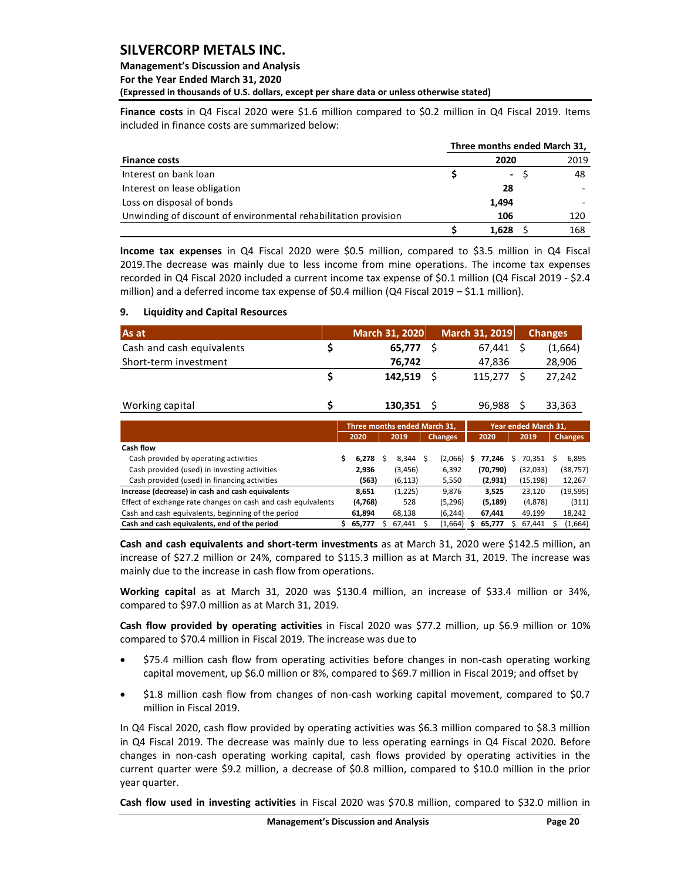## **Management's Discussion and Analysis**

**For the Year Ended March 31, 2020**

**(Expressed in thousands of U.S. dollars, except per share data or unless otherwise stated)** 

**Finance costs** in Q4 Fiscal 2020 were \$1.6 million compared to \$0.2 million in Q4 Fiscal 2019. Items included in finance costs are summarized below:

|                                                                 |  | Three months ended March 31, |      |
|-----------------------------------------------------------------|--|------------------------------|------|
| <b>Finance costs</b>                                            |  | 2020                         | 2019 |
| Interest on bank loan                                           |  | $\blacksquare$               | 48   |
| Interest on lease obligation                                    |  | 28                           |      |
| Loss on disposal of bonds                                       |  | 1,494                        |      |
| Unwinding of discount of environmental rehabilitation provision |  | 106                          | 120  |
|                                                                 |  | 1,628                        | 168  |

**Income tax expenses** in Q4 Fiscal 2020 were \$0.5 million, compared to \$3.5 million in Q4 Fiscal 2019.The decrease was mainly due to less income from mine operations. The income tax expenses recorded in Q4 Fiscal 2020 included a current income tax expense of \$0.1 million (Q4 Fiscal 2019 - \$2.4 million) and a deferred income tax expense of \$0.4 million (Q4 Fiscal 2019 – \$1.1 million).

## <span id="page-20-0"></span>**9. Liquidity and Capital Resources**

| As at                     | March 31, 2020 | March 31, 2019 | <b>Changes</b> |
|---------------------------|----------------|----------------|----------------|
| Cash and cash equivalents | 65.777         | 67.441         | (1,664)        |
| Short-term investment     | 76,742         | 47.836         | 28,906         |
|                           | $142.519$ \$   | 115.277        | 27.242         |
| Working capital           | 130,351        | 96,988         | 33.363         |

|                                                              |   | Three months ended March 31, |          |                | Year ended March 31. |           |  |          |   |                |
|--------------------------------------------------------------|---|------------------------------|----------|----------------|----------------------|-----------|--|----------|---|----------------|
|                                                              |   | 2020                         | 2019     | <b>Changes</b> |                      | 2020      |  | 2019     |   | <b>Changes</b> |
| Cash flow                                                    |   |                              |          |                |                      |           |  |          |   |                |
| Cash provided by operating activities                        |   | 6.278                        | 8.344    | (2,066)        |                      | 77.246    |  | 70.351   | S | 6,895          |
| Cash provided (used) in investing activities                 |   | 2,936                        | (3, 456) | 6,392          |                      | (70, 790) |  | (32,033) |   | (38, 757)      |
| Cash provided (used) in financing activities                 |   | (563)                        | (6, 113) | 5,550          |                      | (2,931)   |  | (15,198) |   | 12,267         |
| Increase (decrease) in cash and cash equivalents             |   | 8,651                        | (1,225)  | 9,876          |                      | 3.525     |  | 23,120   |   | (19, 595)      |
| Effect of exchange rate changes on cash and cash equivalents |   | (4,768)                      | 528      | (5, 296)       |                      | (5, 189)  |  | (4,878)  |   | (311)          |
| Cash and cash equivalents, beginning of the period           |   | 61.894                       | 68.138   | (6, 244)       |                      | 67.441    |  | 49.199   |   | 18,242         |
| Cash and cash equivalents, end of the period                 | s | 65.777                       | 67.441   | (1,664)        |                      | 65.777    |  | 67.441   |   | (1,664)        |

**Cash and cash equivalents and short-term investments** as at March 31, 2020 were \$142.5 million, an increase of \$27.2 million or 24%, compared to \$115.3 million as at March 31, 2019. The increase was mainly due to the increase in cash flow from operations.

**Working capital** as at March 31, 2020 was \$130.4 million, an increase of \$33.4 million or 34%, compared to \$97.0 million as at March 31, 2019.

**Cash flow provided by operating activities** in Fiscal 2020 was \$77.2 million, up \$6.9 million or 10% compared to \$70.4 million in Fiscal 2019. The increase was due to

- \$75.4 million cash flow from operating activities before changes in non-cash operating working capital movement, up \$6.0 million or 8%, compared to \$69.7 million in Fiscal 2019; and offset by
- \$1.8 million cash flow from changes of non-cash working capital movement, compared to \$0.7 million in Fiscal 2019.

In Q4 Fiscal 2020, cash flow provided by operating activities was \$6.3 million compared to \$8.3 million in Q4 Fiscal 2019. The decrease was mainly due to less operating earnings in Q4 Fiscal 2020. Before changes in non-cash operating working capital, cash flows provided by operating activities in the current quarter were \$9.2 million, a decrease of \$0.8 million, compared to \$10.0 million in the prior year quarter.

**Cash flow used in investing activities** in Fiscal 2020 was \$70.8 million, compared to \$32.0 million in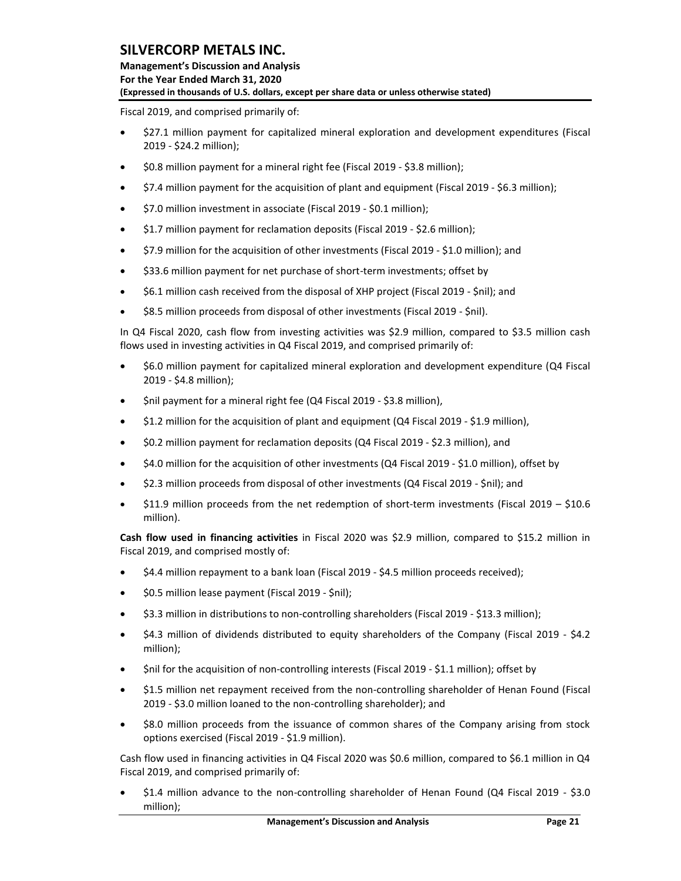**Management's Discussion and Analysis For the Year Ended March 31, 2020 (Expressed in thousands of U.S. dollars, except per share data or unless otherwise stated)** 

Fiscal 2019, and comprised primarily of:

- \$27.1 million payment for capitalized mineral exploration and development expenditures (Fiscal 2019 - \$24.2 million);
- \$0.8 million payment for a mineral right fee (Fiscal 2019 \$3.8 million);
- \$7.4 million payment for the acquisition of plant and equipment (Fiscal 2019 \$6.3 million);
- \$7.0 million investment in associate (Fiscal 2019 \$0.1 million);
- \$1.7 million payment for reclamation deposits (Fiscal 2019 \$2.6 million);
- \$7.9 million for the acquisition of other investments (Fiscal 2019 \$1.0 million); and
- \$33.6 million payment for net purchase of short-term investments; offset by
- \$6.1 million cash received from the disposal of XHP project (Fiscal 2019 \$nil); and
- \$8.5 million proceeds from disposal of other investments (Fiscal 2019 \$nil).

In Q4 Fiscal 2020, cash flow from investing activities was \$2.9 million, compared to \$3.5 million cash flows used in investing activities in Q4 Fiscal 2019, and comprised primarily of:

- \$6.0 million payment for capitalized mineral exploration and development expenditure (Q4 Fiscal 2019 - \$4.8 million);
- \$nil payment for a mineral right fee (Q4 Fiscal 2019 \$3.8 million),
- \$1.2 million for the acquisition of plant and equipment (Q4 Fiscal 2019 \$1.9 million),
- \$0.2 million payment for reclamation deposits (Q4 Fiscal 2019 \$2.3 million), and
- \$4.0 million for the acquisition of other investments (Q4 Fiscal 2019 \$1.0 million), offset by
- \$2.3 million proceeds from disposal of other investments (Q4 Fiscal 2019 \$nil); and
- \$11.9 million proceeds from the net redemption of short-term investments (Fiscal 2019 \$10.6 million).

**Cash flow used in financing activities** in Fiscal 2020 was \$2.9 million, compared to \$15.2 million in Fiscal 2019, and comprised mostly of:

- \$4.4 million repayment to a bank loan (Fiscal 2019 \$4.5 million proceeds received);
- \$0.5 million lease payment (Fiscal 2019 \$nil);
- \$3.3 million in distributions to non-controlling shareholders (Fiscal 2019 \$13.3 million);
- \$4.3 million of dividends distributed to equity shareholders of the Company (Fiscal 2019 \$4.2 million);
- \$nil for the acquisition of non-controlling interests (Fiscal 2019 \$1.1 million); offset by
- \$1.5 million net repayment received from the non-controlling shareholder of Henan Found (Fiscal 2019 - \$3.0 million loaned to the non-controlling shareholder); and
- \$8.0 million proceeds from the issuance of common shares of the Company arising from stock options exercised (Fiscal 2019 - \$1.9 million).

Cash flow used in financing activities in Q4 Fiscal 2020 was \$0.6 million, compared to \$6.1 million in Q4 Fiscal 2019, and comprised primarily of:

• \$1.4 million advance to the non-controlling shareholder of Henan Found (Q4 Fiscal 2019 - \$3.0 million);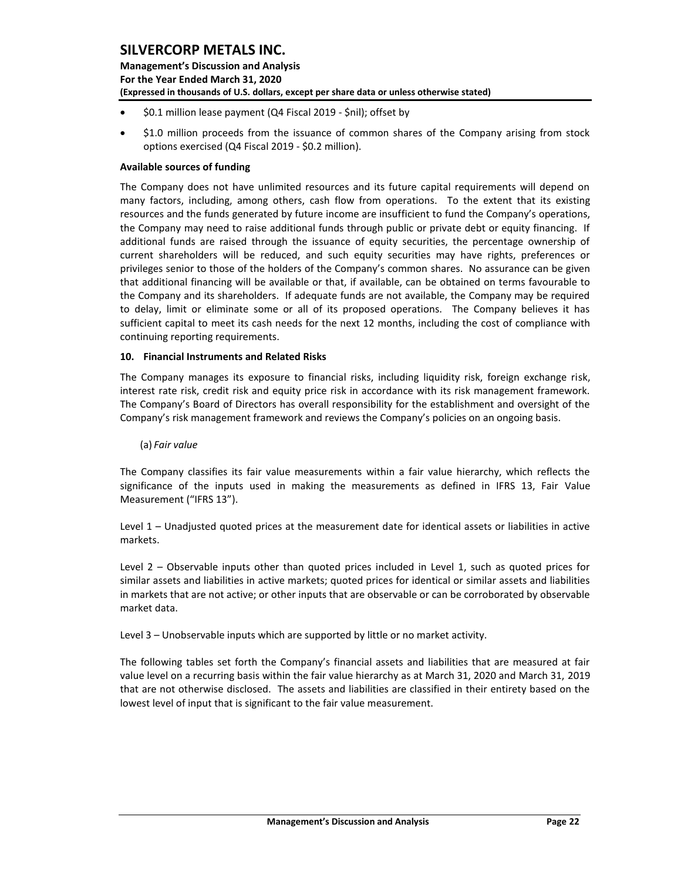**Management's Discussion and Analysis For the Year Ended March 31, 2020 (Expressed in thousands of U.S. dollars, except per share data or unless otherwise stated)** 

- \$0.1 million lease payment (Q4 Fiscal 2019 \$nil); offset by
- \$1.0 million proceeds from the issuance of common shares of the Company arising from stock options exercised (Q4 Fiscal 2019 - \$0.2 million).

## **Available sources of funding**

The Company does not have unlimited resources and its future capital requirements will depend on many factors, including, among others, cash flow from operations. To the extent that its existing resources and the funds generated by future income are insufficient to fund the Company's operations, the Company may need to raise additional funds through public or private debt or equity financing. If additional funds are raised through the issuance of equity securities, the percentage ownership of current shareholders will be reduced, and such equity securities may have rights, preferences or privileges senior to those of the holders of the Company's common shares. No assurance can be given that additional financing will be available or that, if available, can be obtained on terms favourable to the Company and its shareholders. If adequate funds are not available, the Company may be required to delay, limit or eliminate some or all of its proposed operations. The Company believes it has sufficient capital to meet its cash needs for the next 12 months, including the cost of compliance with continuing reporting requirements.

### <span id="page-22-0"></span>**10. Financial Instruments and Related Risks**

The Company manages its exposure to financial risks, including liquidity risk, foreign exchange risk, interest rate risk, credit risk and equity price risk in accordance with its risk management framework. The Company's Board of Directors has overall responsibility for the establishment and oversight of the Company's risk management framework and reviews the Company's policies on an ongoing basis.

### (a) *Fair value*

The Company classifies its fair value measurements within a fair value hierarchy, which reflects the significance of the inputs used in making the measurements as defined in IFRS 13, Fair Value Measurement ("IFRS 13").

Level 1 – Unadjusted quoted prices at the measurement date for identical assets or liabilities in active markets.

Level 2 – Observable inputs other than quoted prices included in Level 1, such as quoted prices for similar assets and liabilities in active markets; quoted prices for identical or similar assets and liabilities in markets that are not active; or other inputs that are observable or can be corroborated by observable market data.

Level 3 – Unobservable inputs which are supported by little or no market activity.

The following tables set forth the Company's financial assets and liabilities that are measured at fair value level on a recurring basis within the fair value hierarchy as at March 31, 2020 and March 31, 2019 that are not otherwise disclosed. The assets and liabilities are classified in their entirety based on the lowest level of input that is significant to the fair value measurement.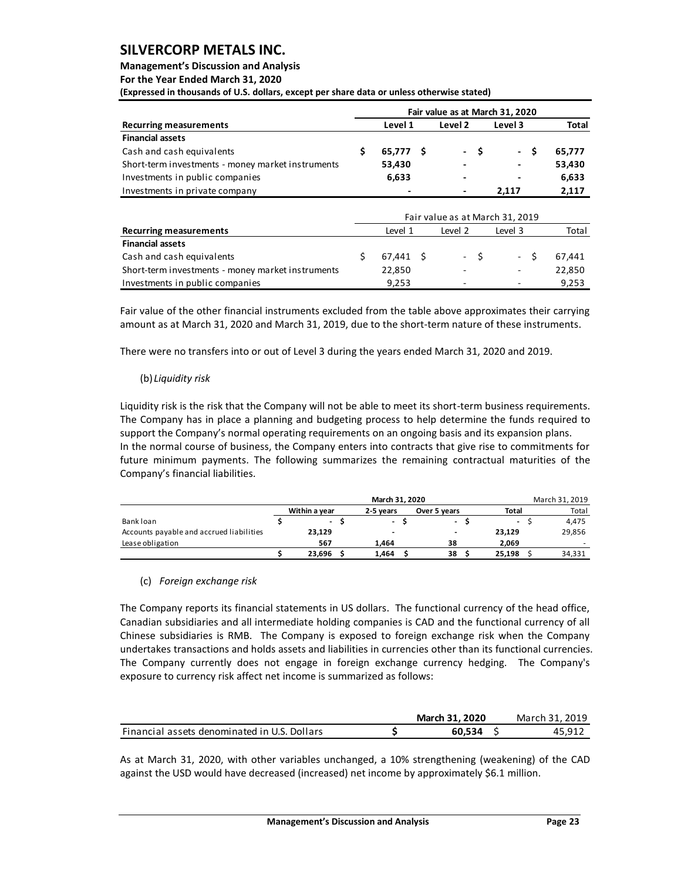## **Management's Discussion and Analysis**

**For the Year Ended March 31, 2020**

**(Expressed in thousands of U.S. dollars, except per share data or unless otherwise stated)** 

| Fair value as at March 31, 2020 |         |  |                              |  |         |  |              |  |  |  |  |  |  |
|---------------------------------|---------|--|------------------------------|--|---------|--|--------------|--|--|--|--|--|--|
|                                 | Level 1 |  | Level 2                      |  | Level 3 |  | <b>Total</b> |  |  |  |  |  |  |
|                                 |         |  |                              |  |         |  |              |  |  |  |  |  |  |
|                                 |         |  |                              |  |         |  | 65.777       |  |  |  |  |  |  |
|                                 | 53,430  |  | $\qquad \qquad \blacksquare$ |  | ٠       |  | 53,430       |  |  |  |  |  |  |
|                                 | 6,633   |  | $\qquad \qquad \blacksquare$ |  |         |  | 6,633        |  |  |  |  |  |  |
|                                 |         |  | $\overline{\phantom{a}}$     |  | 2.117   |  | 2,117        |  |  |  |  |  |  |
|                                 |         |  | 65.777 \$                    |  | - \$    |  | - \$         |  |  |  |  |  |  |

|                                                   |  | Fair value as at March 31, 2019 |                          |      |                          |        |
|---------------------------------------------------|--|---------------------------------|--------------------------|------|--------------------------|--------|
| <b>Recurring measurements</b>                     |  | Level 1                         | Level 2                  |      | Level 3                  | Total  |
| <b>Financial assets</b>                           |  |                                 |                          |      |                          |        |
| Cash and cash equivalents                         |  | 67.441 \$                       |                          | $-S$ | $- S$                    | 67.441 |
| Short-term investments - money market instruments |  | 22,850                          | $\overline{\phantom{a}}$ |      | $\overline{\phantom{a}}$ | 22,850 |
| Investments in public companies                   |  | 9.253                           | $\overline{\phantom{0}}$ |      | -                        | 9.253  |

Fair value of the other financial instruments excluded from the table above approximates their carrying amount as at March 31, 2020 and March 31, 2019, due to the short-term nature of these instruments.

There were no transfers into or out of Level 3 during the years ended March 31, 2020 and 2019.

## (b) *Liquidity risk*

Liquidity risk is the risk that the Company will not be able to meet its short-term business requirements. The Company has in place a planning and budgeting process to help determine the funds required to support the Company's normal operating requirements on an ongoing basis and its expansion plans. In the normal course of business, the Company enters into contracts that give rise to commitments for future minimum payments. The following summarizes the remaining contractual maturities of the Company's financial liabilities.

|                                          | March 31, 2020 |  |                          |  |                |  |                          |  |        |  |  |
|------------------------------------------|----------------|--|--------------------------|--|----------------|--|--------------------------|--|--------|--|--|
|                                          | Within a vear  |  | 2-5 vears                |  | Over 5 years   |  | Total                    |  | Total  |  |  |
| Bank loan                                | $\sim$         |  | $\overline{\phantom{a}}$ |  | $\blacksquare$ |  | $\overline{\phantom{a}}$ |  | 4,475  |  |  |
| Accounts payable and accrued liabilities | 23,129         |  | $\overline{\phantom{a}}$ |  |                |  | 23,129                   |  | 29,856 |  |  |
| Lease obligation                         | 567            |  | 1.464                    |  | 38             |  | 2,069                    |  |        |  |  |
|                                          | 23.696         |  | 1.464                    |  | 38             |  | 25.198                   |  | 34,331 |  |  |
|                                          |                |  |                          |  |                |  |                          |  |        |  |  |

## (c) *Foreign exchange risk*

The Company reports its financial statements in US dollars. The functional currency of the head office, Canadian subsidiaries and all intermediate holding companies is CAD and the functional currency of all Chinese subsidiaries is RMB. The Company is exposed to foreign exchange risk when the Company undertakes transactions and holds assets and liabilities in currencies other than its functional currencies. The Company currently does not engage in foreign exchange currency hedging. The Company's exposure to currency risk affect net income is summarized as follows:

|                                              | March 31, 2020 | March 31, 2019 |
|----------------------------------------------|----------------|----------------|
| Financial assets denominated in U.S. Dollars | 60.534         | 45. Q11        |

As at March 31, 2020, with other variables unchanged, a 10% strengthening (weakening) of the CAD against the USD would have decreased (increased) net income by approximately \$6.1 million.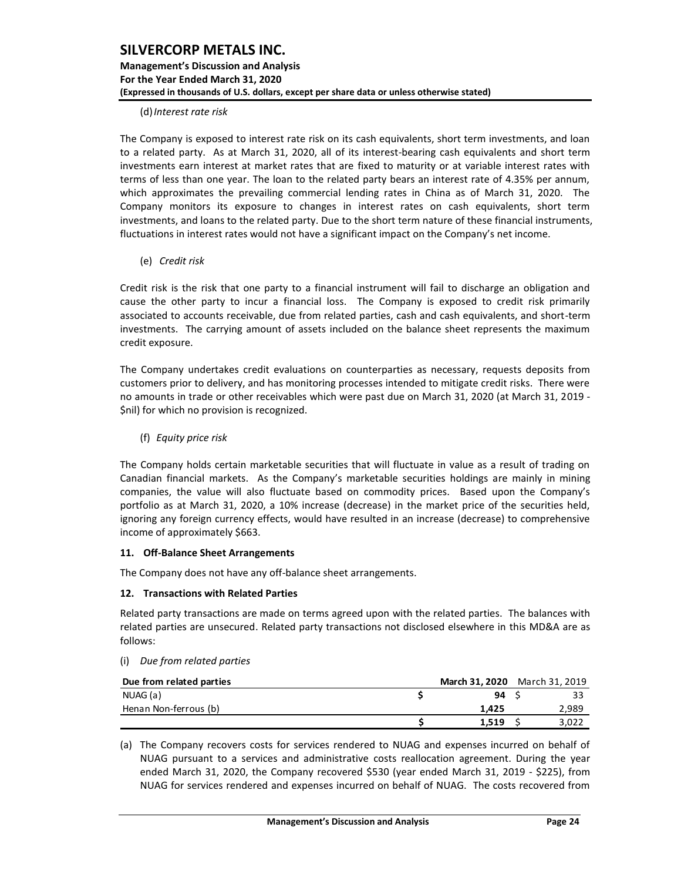### (d)*Interest rate risk*

The Company is exposed to interest rate risk on its cash equivalents, short term investments, and loan to a related party. As at March 31, 2020, all of its interest-bearing cash equivalents and short term investments earn interest at market rates that are fixed to maturity or at variable interest rates with terms of less than one year. The loan to the related party bears an interest rate of 4.35% per annum, which approximates the prevailing commercial lending rates in China as of March 31, 2020. The Company monitors its exposure to changes in interest rates on cash equivalents, short term investments, and loans to the related party. Due to the short term nature of these financial instruments, fluctuations in interest rates would not have a significant impact on the Company's net income.

(e) *Credit risk*

Credit risk is the risk that one party to a financial instrument will fail to discharge an obligation and cause the other party to incur a financial loss. The Company is exposed to credit risk primarily associated to accounts receivable, due from related parties, cash and cash equivalents, and short-term investments. The carrying amount of assets included on the balance sheet represents the maximum credit exposure.

The Company undertakes credit evaluations on counterparties as necessary, requests deposits from customers prior to delivery, and has monitoring processes intended to mitigate credit risks. There were no amounts in trade or other receivables which were past due on March 31, 2020 (at March 31, 2019 - \$nil) for which no provision is recognized.

(f) *Equity price risk*

The Company holds certain marketable securities that will fluctuate in value as a result of trading on Canadian financial markets. As the Company's marketable securities holdings are mainly in mining companies, the value will also fluctuate based on commodity prices. Based upon the Company's portfolio as at March 31, 2020, a 10% increase (decrease) in the market price of the securities held, ignoring any foreign currency effects, would have resulted in an increase (decrease) to comprehensive income of approximately \$663.

## <span id="page-24-0"></span>**11. Off-Balance Sheet Arrangements**

The Company does not have any off-balance sheet arrangements.

## <span id="page-24-1"></span>**12. Transactions with Related Parties**

Related party transactions are made on terms agreed upon with the related parties. The balances with related parties are unsecured. Related party transactions not disclosed elsewhere in this MD&A are as follows:

#### (i) *Due from related parties*

| (i)      | Due from related parties |                               |       |
|----------|--------------------------|-------------------------------|-------|
|          | Due from related parties | March 31, 2020 March 31, 2019 |       |
| NUAG (a) |                          | 94                            | 33    |
|          | Henan Non-ferrous (b)    | 1.425                         | 2,989 |
|          |                          | 1.519                         | 3,022 |

(a) The Company recovers costs for services rendered to NUAG and expenses incurred on behalf of NUAG pursuant to a services and administrative costs reallocation agreement. During the year ended March 31, 2020, the Company recovered \$530 (year ended March 31, 2019 - \$225), from NUAG for services rendered and expenses incurred on behalf of NUAG. The costs recovered from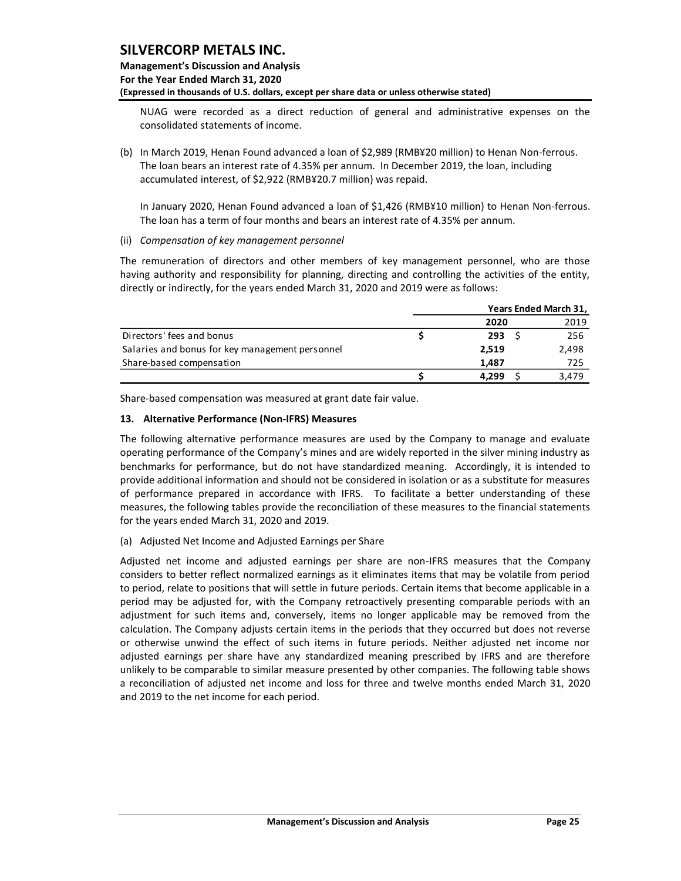## **Management's Discussion and Analysis For the Year Ended March 31, 2020 (Expressed in thousands of U.S. dollars, except per share data or unless otherwise stated)**

NUAG were recorded as a direct reduction of general and administrative expenses on the consolidated statements of income.

(b) In March 2019, Henan Found advanced a loan of \$2,989 (RMB¥20 million) to Henan Non-ferrous. The loan bears an interest rate of 4.35% per annum. In December 2019, the loan, including accumulated interest, of \$2,922 (RMB¥20.7 million) was repaid.

In January 2020, Henan Found advanced a loan of \$1,426 (RMB¥10 million) to Henan Non-ferrous. The loan has a term of four months and bears an interest rate of 4.35% per annum.

(ii) *Compensation of key management personnel*

The remuneration of directors and other members of key management personnel, who are those having authority and responsibility for planning, directing and controlling the activities of the entity, directly or indirectly, for the years ended March 31, 2020 and 2019 were as follows:

|                                                 | Years Ended March 31, |       |
|-------------------------------------------------|-----------------------|-------|
|                                                 | 2020                  | 2019  |
| Directors' fees and bonus                       | 293                   | 256   |
| Salaries and bonus for key management personnel | 2.519                 | 2,498 |
| Share-based compensation                        | 1.487                 | 725   |
|                                                 | 4.299                 | 3.479 |

Share-based compensation was measured at grant date fair value.

### <span id="page-25-0"></span>**13. Alternative Performance (Non-IFRS) Measures**

The following alternative performance measures are used by the Company to manage and evaluate operating performance of the Company's mines and are widely reported in the silver mining industry as benchmarks for performance, but do not have standardized meaning. Accordingly, it is intended to provide additional information and should not be considered in isolation or as a substitute for measures of performance prepared in accordance with IFRS. To facilitate a better understanding of these measures, the following tables provide the reconciliation of these measures to the financial statements for the years ended March 31, 2020 and 2019.

## (a) Adjusted Net Income and Adjusted Earnings per Share

Adjusted net income and adjusted earnings per share are non-IFRS measures that the Company considers to better reflect normalized earnings as it eliminates items that may be volatile from period to period, relate to positions that will settle in future periods. Certain items that become applicable in a period may be adjusted for, with the Company retroactively presenting comparable periods with an adjustment for such items and, conversely, items no longer applicable may be removed from the calculation. The Company adjusts certain items in the periods that they occurred but does not reverse or otherwise unwind the effect of such items in future periods. Neither adjusted net income nor adjusted earnings per share have any standardized meaning prescribed by IFRS and are therefore unlikely to be comparable to similar measure presented by other companies. The following table shows a reconciliation of adjusted net income and loss for three and twelve months ended March 31, 2020 and 2019 to the net income for each period.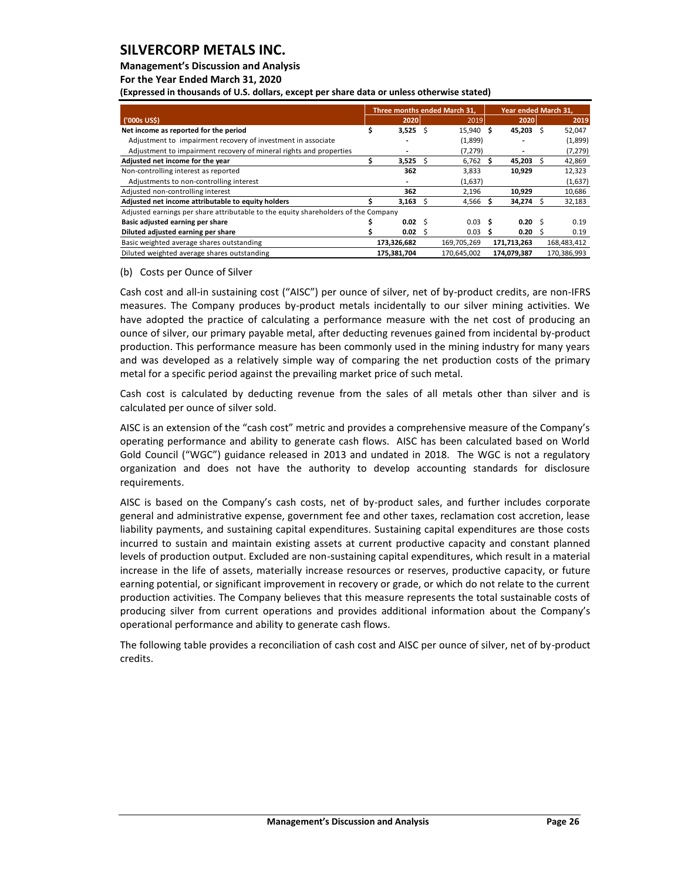## **Management's Discussion and Analysis**

**For the Year Ended March 31, 2020**

**(Expressed in thousands of U.S. dollars, except per share data or unless otherwise stated)** 

|                                                                                    |              |              | Three months ended March 31. |    | Year ended March 31, |             |
|------------------------------------------------------------------------------------|--------------|--------------|------------------------------|----|----------------------|-------------|
| ('000s US\$)                                                                       | 2020         |              | 2019                         |    | 2020                 | 2019        |
| Net income as reported for the period                                              | 3,525        | -Ś           | 15,940 \$                    |    | 45,203 \$            | 52,047      |
| Adjustment to impairment recovery of investment in associate                       |              |              | (1,899)                      |    |                      | (1,899)     |
| Adjustment to impairment recovery of mineral rights and properties                 |              |              | (7, 279)                     |    |                      | (7, 279)    |
| Adjusted net income for the year                                                   | 3,525        | Ś            | 6,762                        | S  | 45,203               | 42,869      |
| Non-controlling interest as reported                                               | 362          |              | 3,833                        |    | 10,929               | 12,323      |
| Adjustments to non-controlling interest                                            |              |              | (1,637)                      |    |                      | (1,637)     |
| Adjusted non-controlling interest                                                  | 362          |              | 2,196                        |    | 10,929               | 10,686      |
| Adjusted net income attributable to equity holders                                 | 3.163        | S            | 4,566                        |    | 34,274               | 32,183      |
| Adjusted earnings per share attributable to the equity shareholders of the Company |              |              |                              |    |                      |             |
| Basic adjusted earning per share                                                   | $0.02 \quad$ |              | 0.03 <sub>5</sub>            |    | $0.20 \,$ \$         | 0.19        |
| Diluted adjusted earning per share                                                 | 0.02         | <sub>S</sub> | 0.03                         | .s | 0.20                 | 0.19        |
| Basic weighted average shares outstanding                                          | 173,326,682  |              | 169,705,269                  |    | 171,713,263          | 168,483,412 |
| Diluted weighted average shares outstanding                                        | 175,381,704  |              | 170.645.002                  |    | 174.079.387          | 170,386,993 |

#### (b) Costs per Ounce of Silver

Cash cost and all-in sustaining cost ("AISC") per ounce of silver, net of by-product credits, are non-IFRS measures. The Company produces by-product metals incidentally to our silver mining activities. We have adopted the practice of calculating a performance measure with the net cost of producing an ounce of silver, our primary payable metal, after deducting revenues gained from incidental by-product production. This performance measure has been commonly used in the mining industry for many years and was developed as a relatively simple way of comparing the net production costs of the primary metal for a specific period against the prevailing market price of such metal.

Cash cost is calculated by deducting revenue from the sales of all metals other than silver and is calculated per ounce of silver sold.

AISC is an extension of the "cash cost" metric and provides a comprehensive measure of the Company's operating performance and ability to generate cash flows. AISC has been calculated based on World Gold Council ("WGC") guidance released in 2013 and undated in 2018. The WGC is not a regulatory organization and does not have the authority to develop accounting standards for disclosure requirements.

AISC is based on the Company's cash costs, net of by-product sales, and further includes corporate general and administrative expense, government fee and other taxes, reclamation cost accretion, lease liability payments, and sustaining capital expenditures. Sustaining capital expenditures are those costs incurred to sustain and maintain existing assets at current productive capacity and constant planned levels of production output. Excluded are non-sustaining capital expenditures, which result in a material increase in the life of assets, materially increase resources or reserves, productive capacity, or future earning potential, or significant improvement in recovery or grade, or which do not relate to the current production activities. The Company believes that this measure represents the total sustainable costs of producing silver from current operations and provides additional information about the Company's operational performance and ability to generate cash flows.

The following table provides a reconciliation of cash cost and AISC per ounce of silver, net of by-product credits.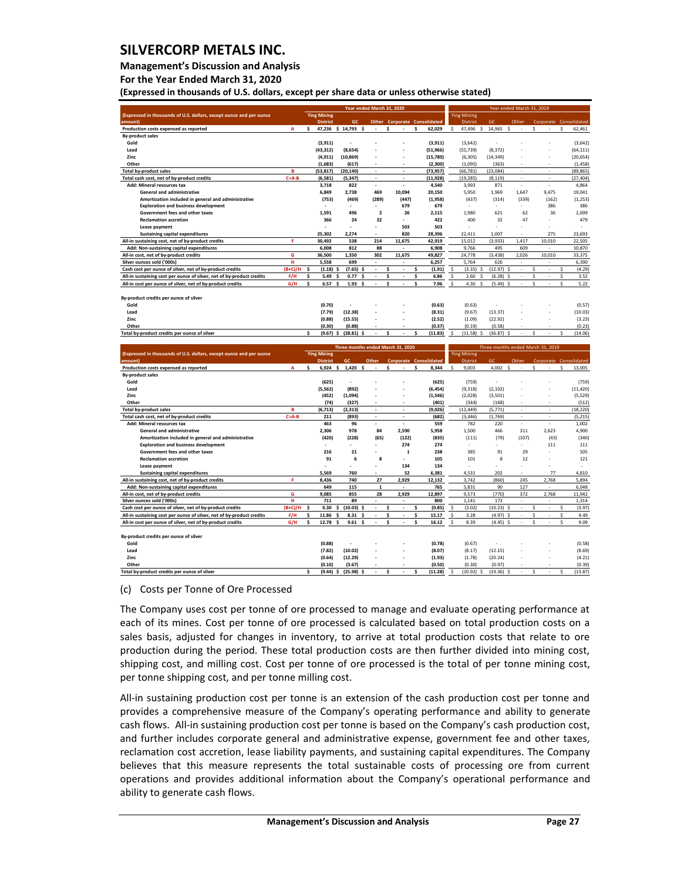### **Management's Discussion and Analysis**

**For the Year Ended March 31, 2020**

**(Expressed in thousands of U.S. dollars, except per share data or unless otherwise stated)** 

|                                                                                                                                     |                  |         |                                       |                                   | Year ended March 31, 2020 |                                     |         |                    |                    |                        |                                   | Year ended March 31, 2019     |              |             |                        |                        |
|-------------------------------------------------------------------------------------------------------------------------------------|------------------|---------|---------------------------------------|-----------------------------------|---------------------------|-------------------------------------|---------|--------------------|--------------------|------------------------|-----------------------------------|-------------------------------|--------------|-------------|------------------------|------------------------|
| (Expressed in thousands of U.S. dollars, except ounce and per ounce<br>amount                                                       |                  |         | <b>Ying Mining</b><br><b>District</b> | <b>GC</b>                         |                           | <b>Other Corporate Consolidated</b> |         |                    | <b>Ying Mining</b> | <b>District</b>        | GC                                | Other                         |              |             | Corporate Consolidated |                        |
| Production costs expensed as reported                                                                                               | $\mathbf{A}$     | \$.     |                                       | 47,236 \$ 14,793<br>s.            | ÷.                        | Š.<br>$\sim$                        | \$.     | 62,029             | \$.                | 47,496 \$              | 14,965                            | $\mathbf{\hat{S}}$<br>÷.      | $\mathsf{s}$ |             | $\mathsf{s}$           | 62.461                 |
| <b>By-product sales</b>                                                                                                             |                  |         |                                       |                                   |                           |                                     |         |                    |                    |                        |                                   |                               |              |             |                        |                        |
| Gold                                                                                                                                |                  |         | (3.911)                               |                                   |                           |                                     |         | (3, 911)           |                    | (3,642)                |                                   |                               |              |             |                        | (3,642)                |
| Lead                                                                                                                                |                  |         | (43, 312)                             | (8,654)                           |                           |                                     |         | (51, 966)          | (55, 739)          |                        | (8, 372)                          |                               |              |             |                        | (64, 111)              |
| Zinc                                                                                                                                |                  |         | (4, 911)                              | (10, 869)                         |                           |                                     |         | (15,780)           |                    | (6, 305)               | (14, 349)                         |                               |              |             |                        | (20, 654)              |
| Other                                                                                                                               |                  |         | (1,683)                               | (617)                             |                           |                                     |         | (2,300)            |                    | (1,095)                | (363)                             |                               |              |             |                        | (1, 458)               |
| <b>Total by-product sales</b>                                                                                                       | B<br>$C = A - B$ |         | (53, 817)                             | (20, 140)                         | ×,<br>٠                   | $\overline{\phantom{a}}$<br>×,      |         | (73, 957)          | (66, 781)          |                        | (23,084)                          | $\overline{\phantom{a}}$<br>× |              | ÷.<br>×,    |                        | (89, 865)<br>(27, 404) |
| Total cash cost, net of by-product credits<br>Add: Mineral resources tax                                                            |                  |         | (6,581)<br>3,718                      | (5, 347)<br>822                   | ×,                        | ×,                                  |         | (11, 928)<br>4,540 | (19, 285)          | 3,993                  | (8, 119)<br>871                   | $\sim$                        |              | ×,          |                        | 4,864                  |
| <b>General and administrative</b>                                                                                                   |                  |         | 6,849                                 | 2,738                             | 469                       | 10,094                              |         | 20,150             |                    | 5,950                  | 1,969                             | 1,647                         |              | 9,475       |                        | 19,041                 |
| Amortization included in general and administrative                                                                                 |                  |         | (753)                                 | (469)                             | (289)                     | (447)                               |         | (1,958)            |                    | (437)                  | (314)                             | (339)                         |              | (162)       |                        | (1, 253)               |
| <b>Exploration and business development</b>                                                                                         |                  |         |                                       |                                   |                           | 679                                 |         | 679                |                    |                        |                                   |                               |              | 386         |                        | 386                    |
| Government fees and other taxes                                                                                                     |                  |         | 1,591                                 | 496                               | $\overline{\mathbf{2}}$   | 26                                  |         | 2,115              |                    | 1,980                  | 621                               | 62                            |              | 36          |                        | 2,699                  |
| <b>Reclamation accretion</b>                                                                                                        |                  |         | 366                                   | 24                                | 32                        |                                     |         | 422                |                    | 400                    | 32                                | 47                            |              |             |                        | 479                    |
| Lease payment                                                                                                                       |                  |         |                                       |                                   |                           | 503                                 |         | 503                |                    |                        |                                   |                               |              |             |                        |                        |
| <b>Sustaining capital expenditures</b>                                                                                              |                  |         | 25,302                                | 2,274                             |                           | 820                                 |         | 28,396             | 22,411             |                        | 1,007                             |                               |              | 275         |                        | 23,693                 |
| All-in sustaining cost, net of by-product credits                                                                                   | F                |         | 30,492                                | 538                               | 214                       | 11,675                              |         | 42,919             | 15,012             |                        | (3,933)                           | 1,417                         |              | 10,010      |                        | 22,505                 |
| Add: Non-sustaining capital expenditures                                                                                            |                  |         | 6,008                                 | 812                               | 88                        | ٠                                   |         | 6,908              |                    | 9,766                  | 495                               | 609                           |              |             |                        | 10,870                 |
| All-in cost, net of by-product credits                                                                                              | G                |         | 36,500                                | 1,350                             | 302                       | 11,675                              |         | 49,827             |                    | 24,778                 | (3, 438)                          | 2,026                         |              | 10,010      |                        | 33,375                 |
| Silver ounces sold ('000s)                                                                                                          | н                |         | 5,558                                 | 699                               |                           |                                     |         | 6,257              |                    | 5,764                  | 626                               |                               |              |             |                        | 6,390                  |
| Cash cost per ounce of silver, net of by-product credits                                                                            | $(B+C)/H$        | Ś       | (1.18)<br>Ś                           | (7.65)<br>S                       |                           | Ś                                   | Ś       | (1.91)             | $\mathsf{S}$       | (3.35)<br>$\mathsf{s}$ | (12.97)                           | ÷,                            | Ś            | ÷.          | Ś                      | (4.29)                 |
| All-in sustaining cost per ounce of silver, net of by-product credits<br>All-in cost per ounce of silver, net of by-product credits | F/H<br>G/H       | \$<br>¢ | 5.49<br>Ś<br>6.57<br>¢                | 0.77<br>Ś<br>1.93<br>Ś            | ÷                         | \$<br>÷.<br>Ś                       | \$<br>¢ | 6.86<br>7.96       | \$<br>Ś            | 2.60<br>Ś<br>4.30<br>Ś | (6.28)<br>(5.49)                  | Ś<br>¢                        | \$<br>¢      |             | \$<br>¢                | 3.52<br>5.22           |
|                                                                                                                                     |                  |         |                                       |                                   |                           |                                     |         |                    |                    |                        |                                   |                               |              |             |                        |                        |
| By-product credits per ounce of silver                                                                                              |                  |         |                                       |                                   |                           |                                     |         |                    |                    |                        |                                   |                               |              |             |                        |                        |
| Gold                                                                                                                                |                  |         | (0.70)                                |                                   |                           |                                     |         | (0.63)             |                    | (0.63)                 |                                   |                               |              |             |                        | (0.57)                 |
| Lead                                                                                                                                |                  |         | (7.79)                                | (12.38)                           |                           |                                     |         | (8.31)             |                    | (9.67)                 | (13.37)                           |                               |              |             |                        | (10.03)                |
| Zinc                                                                                                                                |                  |         | (0.88)                                | (15.55)                           |                           |                                     |         | (2.52)             |                    | (1.09)                 | (22.92)                           |                               |              |             |                        | (3.23)                 |
| Other                                                                                                                               |                  |         | (0.30)                                | (0.88)                            |                           |                                     |         | (0.37)             |                    | (0.19)                 | (0.58)                            |                               |              |             |                        | (0.23)                 |
| Total by-product credits per ounce of silver                                                                                        |                  | \$      | (9.67)                                | (28.81)<br>\$.                    |                           | \$                                  | Ś       | (11.83)            |                    | (11.58)                | (36.87)                           |                               |              |             | Ś                      | (14.06)                |
|                                                                                                                                     |                  |         |                                       |                                   |                           |                                     |         |                    |                    |                        |                                   |                               |              |             |                        |                        |
|                                                                                                                                     |                  |         |                                       |                                   |                           |                                     |         |                    |                    |                        |                                   |                               |              |             |                        |                        |
|                                                                                                                                     |                  |         |                                       | Three months ended March 31, 2020 |                           |                                     |         |                    |                    |                        | Three months ended March 31, 2019 |                               |              |             |                        |                        |
| (Expressed in thousands of U.S. dollars, except ounce and per ounce                                                                 |                  |         | <b>Ying Mining</b>                    |                                   |                           |                                     |         |                    | <b>Ying Mining</b> |                        |                                   |                               |              |             |                        |                        |
| amount)                                                                                                                             |                  |         | <b>District</b>                       | GC.                               | Other                     | <b>Corporate Consolidated</b>       |         |                    |                    | <b>District</b>        | GC                                | Other                         |              |             | Corporate Consolidated |                        |
| Production costs expensed as reported                                                                                               | Α                | \$      | 6,924                                 | \$<br>1,420<br>\$.                |                           | \$                                  | \$      | 8,344              | \$                 | 9,003                  | 4,002                             | \$                            | \$           |             | \$                     | 13,005                 |
| <b>By-product sales</b>                                                                                                             |                  |         |                                       |                                   |                           |                                     |         |                    |                    |                        |                                   |                               |              |             |                        |                        |
| Gold<br>Lead                                                                                                                        |                  |         | (625)                                 |                                   |                           |                                     |         | (625)              |                    | (759)                  |                                   |                               |              |             |                        | (759)                  |
| Zinc                                                                                                                                |                  |         | (5, 562)                              | (892)                             |                           |                                     |         | (6, 454)           |                    | (9, 318)               | (2, 102)                          |                               |              |             |                        | (11, 420)              |
| Other                                                                                                                               |                  |         | (452)<br>(74)                         | (1,094)<br>(327)                  |                           |                                     |         | (1, 546)<br>(401)  |                    | (2,028)<br>(344)       | (3, 501)<br>(168)                 |                               |              |             |                        | (5, 529)<br>(512)      |
| <b>Total by-product sales</b>                                                                                                       | R                |         | (6, 713)                              | (2, 313)                          | ×.                        | ÷.                                  |         | (9,026)            |                    | (12, 449)              | (5, 771)                          | ÷,                            |              | ÷           |                        | (18, 220)              |
| Total cash cost, net of by-product credits                                                                                          | $C = A - B$      |         | 211                                   | (893)                             |                           |                                     |         | (682)              |                    | (3, 446)               | (1,769)                           |                               |              |             |                        | (5, 215)               |
| Add: Mineral resources tax                                                                                                          |                  |         | 463                                   | 96                                |                           |                                     |         | 559                |                    | 782                    | 220                               |                               |              |             |                        | 1.002                  |
| General and administrative                                                                                                          |                  |         | 2,306                                 | 978                               | 84                        | 2,590                               |         | 5,958              |                    | 1,500                  | 466                               | 311                           |              | 2,623       |                        | 4,900                  |
| Amortization included in general and administrative                                                                                 |                  |         | (420)                                 | (228)                             | (65)                      | (122)                               |         | (835)              |                    | (111)                  | (79)                              | (107)                         |              | (43)        |                        | (340)                  |
| <b>Exploration and business development</b>                                                                                         |                  |         |                                       | ÷                                 | ÷.                        | 274                                 |         | 274                |                    | ٠                      | ÷                                 |                               |              | 111         |                        | 111                    |
| Government fees and other taxes                                                                                                     |                  |         | 216                                   | 21                                |                           | $\mathbf{1}$                        |         | 238                |                    | 385                    | 91                                | 29                            |              |             |                        | 505                    |
| <b>Reclamation accretion</b>                                                                                                        |                  |         | 91                                    | 6                                 | 8                         |                                     |         | 105                |                    | 101                    | $\mathbf{8}$                      | 12                            |              |             |                        | 121                    |
| Lease payment                                                                                                                       |                  |         |                                       |                                   | í,                        | 134                                 |         | 134                |                    | J.                     |                                   |                               |              |             |                        |                        |
| <b>Sustaining capital expenditures</b>                                                                                              |                  |         | 5,569                                 | 760                               |                           | 52                                  |         | 6,381              |                    | 4,531                  | 202                               |                               |              | 77          |                        | 4,810                  |
| All-in sustaining cost, net of by-product credits                                                                                   | F                |         | 8,436                                 | 740                               | 27                        | 2.929                               |         | 12,132             |                    | 3,742                  | (860)                             | 245                           |              | 2,768       |                        | 5,894                  |
| Add: Non-sustaining capital expenditures                                                                                            |                  |         | 649                                   | 115                               | $\mathbf{1}$              |                                     |         | 765                |                    | 5,831                  | 90                                | 127                           |              |             |                        | 6,048                  |
| All-in cost, net of by-product credits<br>Silver ounces sold ('000s)                                                                | G<br>н           |         | 9,085<br>711                          | 855<br>89                         | 28<br>ä,                  | 2,929<br>×,                         |         | 12,897<br>800      |                    | 9,573<br>1,141         | (770)<br>173                      | 372<br>×,                     |              | 2,768<br>÷. |                        | 11,942<br>1,314        |
| Cash cost per ounce of silver, net of by-product credits                                                                            | $(B+C)/H$        | Ś       | 0.30                                  | \$<br>(10.03)<br>\$               |                           | Ś<br>÷.                             | Ś       | (0.85)             | \$                 | (3.02)                 | (10.23)                           | Ŝ<br>×,                       | Ŝ            |             | Ś                      | (3.97)                 |
| All-in sustaining cost per ounce of silver, net of by-product credits                                                               | F/H              | \$      | 11.86<br>Ś                            | 8.31<br>Ś                         | ä,                        | \$                                  | \$      | 15.17              | \$                 | 3.28                   | (4.97)                            | Ś<br>×,                       | \$           |             | Ś                      | 4.49                   |
| All-in cost per ounce of silver, net of by-product credits                                                                          | G/H              | Ś       | 12.78                                 | Ś<br>9.61                         | ×,                        | Ś<br>$\overline{\phantom{a}}$       | Ś       | 16.12              | Ś                  | 8.39                   | (4.45)                            | ä,                            | Ś            | $\sim$      | Ś                      | 9.09                   |
|                                                                                                                                     |                  |         |                                       |                                   |                           |                                     |         |                    |                    |                        |                                   |                               |              |             |                        |                        |
| By-product credits per ounce of silver                                                                                              |                  |         |                                       |                                   |                           |                                     |         |                    |                    |                        |                                   |                               |              |             |                        |                        |
| Gold                                                                                                                                |                  |         | (0.88)                                |                                   |                           |                                     |         | (0.78)             |                    | (0.67)                 |                                   |                               |              |             |                        | (0.58)                 |
| Lead<br>Zinc                                                                                                                        |                  |         | (7.82)<br>(0.64)                      | (10.02)<br>(12.29)                |                           |                                     |         | (8.07)<br>(1.93)   |                    | (8.17)<br>(1.78)       | (12.15)<br>(20.24)                |                               |              |             |                        | (8.69)<br>(4.21)       |
| Other                                                                                                                               |                  |         | (0.10)                                | (3.67)                            |                           |                                     |         | (0.50)             |                    | (0.30)                 | (0.97)                            |                               |              |             |                        | (0.39)                 |

#### (c) Costs per Tonne of Ore Processed

The Company uses cost per tonne of ore processed to manage and evaluate operating performance at each of its mines. Cost per tonne of ore processed is calculated based on total production costs on a sales basis, adjusted for changes in inventory, to arrive at total production costs that relate to ore production during the period. These total production costs are then further divided into mining cost, shipping cost, and milling cost. Cost per tonne of ore processed is the total of per tonne mining cost, per tonne shipping cost, and per tonne milling cost.

All-in sustaining production cost per tonne is an extension of the cash production cost per tonne and provides a comprehensive measure of the Company's operating performance and ability to generate cash flows. All-in sustaining production cost per tonne is based on the Company's cash production cost, and further includes corporate general and administrative expense, government fee and other taxes, reclamation cost accretion, lease liability payments, and sustaining capital expenditures. The Company believes that this measure represents the total sustainable costs of processing ore from current operations and provides additional information about the Company's operational performance and ability to generate cash flows.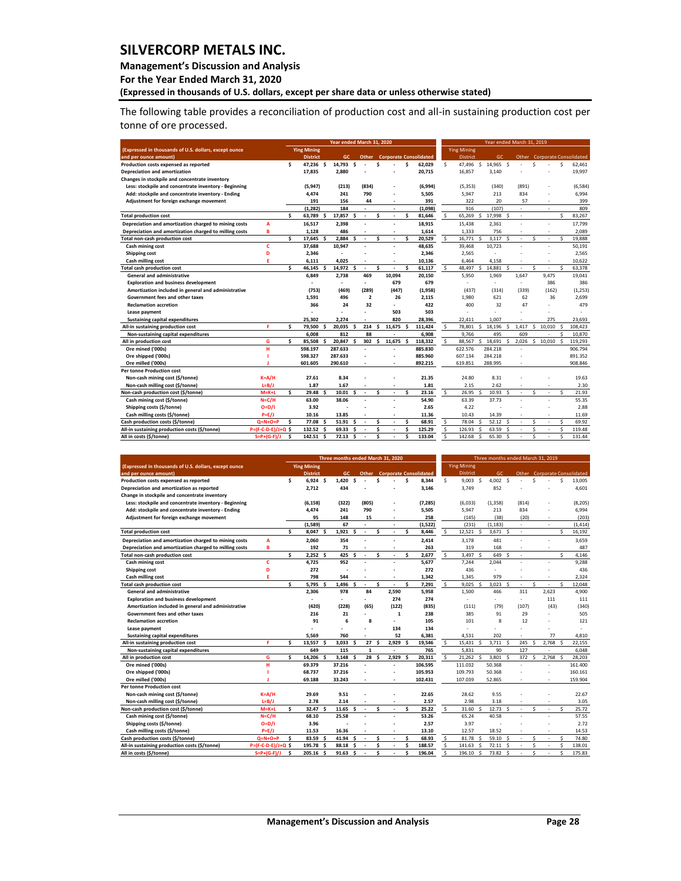### **Management's Discussion and Analysis**

**For the Year Ended March 31, 2020**

**(Expressed in thousands of U.S. dollars, except per share data or unless otherwise stated)** 

The following table provides a reconciliation of production cost and all-in sustaining production cost per tonne of ore processed.

|                                                        |                     |     |                    |    | Year ended March 31, 2020 |    |                |    |        |   |                               |     |                    |              | Year ended March 31, 2019 |      |                          |                    |                          |                     |                               |
|--------------------------------------------------------|---------------------|-----|--------------------|----|---------------------------|----|----------------|----|--------|---|-------------------------------|-----|--------------------|--------------|---------------------------|------|--------------------------|--------------------|--------------------------|---------------------|-------------------------------|
| (Expressed in thousands of U.S. dollars, except ounce  |                     |     | <b>Ying Mining</b> |    |                           |    |                |    |        |   |                               |     | <b>Ying Mining</b> |              |                           |      |                          |                    |                          |                     |                               |
| and per ounce amount)                                  |                     |     | <b>District</b>    |    | <b>GC</b>                 |    | Other          |    |        |   | <b>Corporate Consolidated</b> |     | <b>District</b>    |              | GC                        |      | Other                    |                    |                          |                     | <b>Corporate Consolidated</b> |
| Production costs expensed as reported                  |                     | \$. | 47.236 S           |    | 14.793                    | Ŝ  |                | Ś  |        | Ś | 62.029                        | \$. | 47,496             | s.           | 14.965 \$                 |      |                          | Ś                  |                          | \$                  | 62.461                        |
| Depreciation and amortization                          |                     |     | 17,835             |    | 2.880                     |    |                |    |        |   | 20,715                        |     | 16,857             |              | 3,140                     |      |                          |                    |                          |                     | 19,997                        |
| Changes in stockpile and concentrate inventory         |                     |     |                    |    |                           |    |                |    |        |   |                               |     |                    |              |                           |      |                          |                    |                          |                     |                               |
| Less: stockpile and concentrate inventory - Beginning  |                     |     | (5, 947)           |    | (213)                     |    | (834)          |    |        |   | (6,994)                       |     | (5, 353)           |              | (340)                     |      | (891)                    |                    |                          |                     | (6,584)                       |
| Add: stockpile and concentrate inventory - Ending      |                     |     | 4.474              |    | 241                       |    | 790            |    |        |   | 5.505                         |     | 5.947              |              | 213                       |      | 834                      |                    |                          |                     | 6,994                         |
| Adjustment for foreign exchange movement               |                     |     | 191                |    | 156                       |    | 44             |    | ٠      |   | 391                           |     | 322                |              | 20                        |      | 57                       |                    | $\overline{\phantom{a}}$ |                     | 399                           |
|                                                        |                     |     | (1, 282)           |    | 184                       |    | ٠              |    | ٠      |   | (1,098)                       |     | 916                |              | (107)                     |      | ٠                        |                    | $\overline{\phantom{a}}$ |                     | 809                           |
| <b>Total production cost</b>                           |                     | Ŝ.  | 63,789             | -S | 17,857 \$                 |    |                | Ś  |        | Ś | 81,646                        | Ś   | 65,269             | Ŝ.           | 17,998 \$                 |      | $\overline{\phantom{a}}$ |                    |                          | Ś.                  | 83,267                        |
| Depreciation and amortization charged to mining costs  | A                   |     | 16,517             |    | 2,398                     |    |                |    | ٠      |   | 18,915                        |     | 15,438             |              | 2,361                     |      | ٠                        |                    | ٠                        |                     | 17,799                        |
| Depreciation and amortization charged to milling costs | в                   |     | 1,128              |    | 486                       |    |                |    | ٠      |   | 1,614                         |     | 1,333              |              | 756                       |      |                          |                    | ×.                       |                     | 2,089                         |
| Total non-cash production cost                         |                     | Ś.  | 17,645             | .s | 2,884                     | Ŝ  |                | Ś  | ×      | Ś | 20,529                        | \$  | 16,771             | $\mathsf{s}$ | 3,117                     | Ŝ.   | ٠                        | $\dot{\mathbf{S}}$ |                          | $\ddot{\mathbf{s}}$ | 19,888                        |
| Cash mining cost                                       | Ċ                   |     | 37,688             |    | 10.947                    |    |                |    | ä,     |   | 48,635                        |     | 39,468             |              | 10,723                    |      |                          |                    | ٠                        |                     | 50,191                        |
| Shipping cost                                          | D                   |     | 2,346              |    |                           |    |                |    |        |   | 2,346                         |     | 2,565              |              |                           |      |                          |                    |                          |                     | 2,565                         |
| Cash milling cost                                      | F                   |     | 6,111              |    | 4.025                     |    |                |    | ٠      |   | 10,136                        |     | 6.464              |              | 4.158                     |      |                          |                    | ٠                        |                     | 10,622                        |
| <b>Total cash production cost</b>                      |                     | \$. | 46,145             | Ś  | 14,972 \$                 |    |                | Ś  |        | Ś | 61,117                        | \$. | 48,497             | \$           | 14,881 \$                 |      | ٠                        | Ś                  |                          | \$.                 | 63,378                        |
| <b>General and administrative</b>                      |                     |     | 6,849              |    | 2,738                     |    | 469            |    | 10,094 |   | 20,150                        |     | 5,950              |              | 1,969                     |      | 1,647                    |                    | 9,475                    |                     | 19,041                        |
| <b>Exploration and business development</b>            |                     |     | ٠                  |    | ٠                         |    | ٠              |    | 679    |   | 679                           |     | ٠                  |              | ٠                         |      | ٠                        |                    | 386                      |                     | 386                           |
| Amortization included in general and administrative    |                     |     | (753)              |    | (469)                     |    | (289)          |    | (447)  |   | (1,958)                       |     | (437)              |              | (314)                     |      | (339)                    |                    | (162)                    |                     | (1, 253)                      |
| Government fees and other taxes                        |                     |     | 1.591              |    | 496                       |    | $\overline{2}$ |    | 26     |   | 2.115                         |     | 1.980              |              | 621                       |      | 62                       |                    | 36                       |                     | 2,699                         |
| <b>Reclamation accretion</b>                           |                     |     | 366                |    | 24                        |    | 32             |    |        |   | 422                           |     | 400                |              | 32                        |      | 47                       |                    |                          |                     | 479                           |
| Lease payment                                          |                     |     |                    |    |                           |    |                |    | 503    |   | 503                           |     | ٠                  |              |                           |      |                          |                    |                          |                     |                               |
| <b>Sustaining capital expenditures</b>                 |                     |     | 25,302             |    | 2.274                     |    |                |    | 820    |   | 28,396                        |     | 22.411             |              | 1.007                     |      |                          |                    | 275                      |                     | 23.693                        |
| All-in sustaining production cost                      | F                   | \$. | 79,500             | S  | 20.035                    | Ŝ  | 214            | Ŝ. | 11.675 | Ŝ | 111.424                       | s.  | 78.801             | Ś.           | 18.196                    | Š.   | 1.417                    | Ś                  | 10.010                   | \$.                 | 108.423                       |
| Non-sustaining capital expenditures                    |                     |     | 6.008              |    | 812                       |    | 88             |    |        |   | 6.908                         |     | 9.766              |              | 495                       |      | 609                      |                    |                          | Ś                   | 10.870                        |
| All in production cost                                 | G                   | \$. | 85.508             |    | 20.847                    | .s | 302            | Ŝ  | 11.675 |   | 118.332                       | Ś.  | 88.567             | Ś.           | 18.691                    | Š.   | 2.026                    | Ś.                 | 10.010                   |                     | 119.293                       |
| Ore mined ('000s)                                      | $\mathbf{H}$        |     | 598.197            |    | 287.633                   |    |                |    |        |   | 885.830                       |     | 622.576            |              | 284.218                   |      |                          |                    |                          |                     | 906.794                       |
| Ore shipped ('000s)                                    |                     |     | 598.327            |    | 287.633                   |    |                |    |        |   | 885.960                       |     | 607.134            |              | 284.218                   |      |                          |                    |                          |                     | 891.352                       |
| Ore milled ('000s)                                     | п                   |     | 601.605            |    | 290.610                   |    |                |    |        |   | 892.215                       |     | 619.851            |              | 288.995                   |      |                          |                    |                          |                     | 908.846                       |
| <b>Per tonne Production cost</b>                       |                     |     |                    |    |                           |    |                |    |        |   |                               |     |                    |              |                           |      |                          |                    |                          |                     |                               |
| Non-cash mining cost (\$/tonne)                        | $K = A/H$           |     | 27.61              |    | 8.34                      |    |                |    |        |   | 21.35                         |     | 24.80              |              | 8.31                      |      |                          |                    |                          |                     | 19.63                         |
| Non-cash milling cost (\$/tonne)                       | $L=B/J$             |     | 1.87               |    | 1.67                      |    |                |    |        |   | 1.81                          |     | 2.15               |              | 2.62                      |      |                          |                    |                          |                     | 2.30                          |
| Non-cash production cost (\$/tonne)                    | $M=K+L$             | Ś.  | 29.48S             |    | 10.01 <sub>5</sub>        |    | ×              | Ś  | ÷      | Ś | 23.16                         | \$. | 26.95              | s.           | $10.93 \quad $$           |      | $\overline{\phantom{a}}$ | Ś                  | ×.                       | Ś                   | 21.93                         |
| Cash mining cost (\$/tonne)                            | $N = C/H$           |     | 63.00              |    | 38.06                     |    |                |    |        |   | 54.90                         |     | 63.39              |              | 37.73                     |      |                          |                    |                          |                     | 55.35                         |
| Shipping costs (\$/tonne)                              | $O = D/I$           |     | 3.92               |    |                           |    |                |    |        |   | 2.65                          |     | 4.22               |              |                           |      |                          |                    |                          |                     | 2.88                          |
| Cash milling costs (\$/tonne)                          | $P = E/J$           |     | 10.16              |    | 13.85                     |    |                |    | ٠      |   | 11.36                         |     | 10.43              |              | 14.39                     |      | $\overline{\phantom{a}}$ |                    | ٠                        |                     | 11.69                         |
| Cash production costs (\$/tonne)                       | $Q = N + O + P$     | \$. | 77.08              | S  | 51.91                     |    |                | Ś  |        | Ś | 68.91                         | \$  | 78.04              | Ś.           | $52.12$ \$                |      | ٠                        | Ś                  |                          | Ś                   | 69.92                         |
| All-in sustaining production costs (\$/tonne)          | P=(F-C-D-E)/J+Q \$  |     | 132.52 S           |    | 69.33                     | -Ś |                | Ś  | ٠      | Ś | 125.29                        | \$  | 126.93             | Ś            | 63.59                     | - \$ |                          | Ś                  |                          | Ś                   | 119.48                        |
| All in costs (\$/tonne)                                | $S = P + (G - F)/J$ | Ś   | 142.51             | Ś  | 72.13                     | Ś  |                | Ś  |        | Ś | 133.04                        | Ś   | 142.68             | Ś            | 65.30                     | Ŝ    |                          | ¢                  |                          | Ś                   | 131.44                        |

|                                                        |                     | Three months ended March 31, 2020 |                    |     |            |     |             |    | Three months ended March 31, 2019 |    |                               |              |                    |                    |                    |                    |        |          |       |                     |                              |
|--------------------------------------------------------|---------------------|-----------------------------------|--------------------|-----|------------|-----|-------------|----|-----------------------------------|----|-------------------------------|--------------|--------------------|--------------------|--------------------|--------------------|--------|----------|-------|---------------------|------------------------------|
| (Expressed in thousands of U.S. dollars, except ounce  |                     |                                   | <b>Ying Mining</b> |     |            |     |             |    |                                   |    |                               |              | <b>Ying Mining</b> |                    |                    |                    |        |          |       |                     |                              |
| and per ounce amount)                                  |                     |                                   | <b>District</b>    |     | <b>GC</b>  |     | Other       |    |                                   |    | <b>Corporate Consolidated</b> |              | <b>District</b>    |                    | GC.                |                    |        |          |       |                     | Other Corporate Consolidated |
| Production costs expensed as reported                  |                     | Ś                                 | 6.924S             |     | 1.420      | Ś.  |             | ¢  |                                   | Ś  | 8.344                         | Ś            | 9.003              | Ŝ                  | 4.002 S            |                    |        | Ś        |       | \$.                 | 13.005                       |
| Depreciation and amortization as reported              |                     |                                   | 2,712              |     | 434        |     |             |    |                                   |    | 3,146                         |              | 3.749              |                    | 852                |                    |        |          |       |                     | 4,601                        |
| Change in stockpile and concentrate inventory          |                     |                                   |                    |     |            |     |             |    |                                   |    |                               |              |                    |                    |                    |                    |        |          |       |                     |                              |
| Less: stockpile and concentrate inventory - Beginning  |                     |                                   | (6, 158)           |     | (322)      |     | (805)       |    |                                   |    | (7, 285)                      |              | (6,033)            |                    | (1.358)            |                    | (814)  |          |       |                     | (8, 205)                     |
| Add: stockpile and concentrate inventory - Ending      |                     |                                   | 4,474              |     | 241        |     | 790         |    |                                   |    | 5,505                         |              | 5,947              |                    | 213                |                    | 834    |          |       |                     | 6,994                        |
| Adjustment for foreign exchange movement               |                     |                                   | 95                 |     | 148        |     | 15          |    |                                   |    | 258                           |              | (145)              |                    | (38)               |                    | (20)   |          | ٠     |                     | (203)                        |
|                                                        |                     |                                   | (1, 589)           |     | 67         |     | ٠           |    |                                   |    | (1, 522)                      |              | (231)              |                    | (1, 183)           |                    |        |          | ٠     |                     | (1, 414)                     |
| <b>Total production cost</b>                           |                     | Ś.                                | 8,047              | S   | 1.921      | Ŝ   | ٠           | Ś  |                                   | Ś  | 8,446                         | Ś            | 12,521 \$          |                    | $3,671$ \$         |                    | ٠      |          |       | Ś.                  | 16,192                       |
| Depreciation and amortization charged to mining costs  | A                   |                                   | 2,060              |     | 354        |     |             |    |                                   |    | 2.414                         |              | 3.178              |                    | 481                |                    |        |          |       |                     | 3.659                        |
| Depreciation and amortization charged to milling costs | B                   |                                   | 192                |     | 71         |     |             |    |                                   |    | 263                           |              | 319                |                    | 168                |                    |        |          |       |                     | 487                          |
| Total non-cash production cost                         |                     | Ś                                 | 2.252              | \$. | 425        | Ś   | ٠           | Ś  |                                   | Ś  | 2,677                         | $\mathsf{s}$ | 3.497              | $\mathbf{\hat{S}}$ | 649                | $\dot{\mathbf{S}}$ | $\sim$ |          |       | $\ddot{\mathbf{s}}$ | 4,146                        |
| Cash mining cost                                       | c                   |                                   | 4,725              |     | 952        |     |             |    |                                   |    | 5.677                         |              | 7.244              |                    | 2.044              |                    |        |          | ۷     |                     | 9.288                        |
| Shipping cost                                          | D                   |                                   | 272                |     |            |     |             |    |                                   |    | 272                           |              | 436                |                    | ä,                 |                    |        |          |       |                     | 436                          |
| Cash milling cost                                      | Е                   |                                   | 798                |     | 544        |     |             |    |                                   |    | 1,342                         |              | 1.345              |                    | 979                |                    |        |          | ٠     |                     | 2.324                        |
| <b>Total cash production cost</b>                      |                     | Ś                                 | 5,795              | Ś   | 1,496      | - Ś | ٠           | \$ |                                   | Ś  | 7,291                         | \$           | 9.025              | -\$                | 3,023              | - \$               | i.     | Ś        | ٠     | Ś.                  | 12,048                       |
| General and administrative                             |                     |                                   | 2,306              |     | 978        |     | 84          |    | 2,590                             |    | 5,958                         |              | 1,500              |                    | 466                |                    | 311    |          | 2,623 |                     | 4,900                        |
| <b>Exploration and business development</b>            |                     |                                   |                    |     |            |     |             |    | 274                               |    | 274                           |              | ÷                  |                    | ÷                  |                    | i.     |          | 111   |                     | 111                          |
| Amortization included in general and administrative    |                     |                                   | (420)              |     | (228)      |     | (65)        |    | (122)                             |    | (835)                         |              | (111)              |                    | (79)               |                    | (107)  |          | (43)  |                     | (340)                        |
| Government fees and other taxes                        |                     |                                   | 216                |     | 21         |     | ٠           |    | $\mathbf{1}$                      |    | 238                           |              | 385                |                    | 91                 |                    | 29     |          |       |                     | 505                          |
| <b>Reclamation accretion</b>                           |                     |                                   | 91                 |     | 6          |     | 8           |    |                                   |    | 105                           |              | 101                |                    | 8                  |                    | 12     |          |       |                     | 121                          |
| Lease payment                                          |                     |                                   |                    |     |            |     |             |    | 134                               |    | 134                           |              |                    |                    |                    |                    |        |          |       |                     | ÷.                           |
| <b>Sustaining capital expenditures</b>                 |                     |                                   | 5,569              |     | 760        |     |             |    | 52                                |    | 6,381                         |              | 4,531              |                    | 202                |                    |        |          | 77    |                     | 4,810                        |
| All-in sustaining production cost                      | F                   | Ś                                 | 13,557             |     | 3,033      | Ŝ.  | 27          | Ś  | 2.929                             | Ś  | 19,546                        | \$           | 15,431             | Ś                  | 3,711              | s.                 | 245    | \$.      | 2,768 | $\mathsf{s}$        | 22,155                       |
| Non-sustaining capital expenditures                    |                     |                                   | 649                |     | 115        |     | $\mathbf 1$ |    | ×                                 |    | 765                           |              | 5.831              |                    | 90                 |                    | 127    |          | ٠     |                     | 6,048                        |
| All in production cost                                 | G                   | Ś                                 | 14.206             |     | 3.148      | .s  | 28          | Ś  | 2.929                             | Ŝ. | 20.311                        | \$           | 21.262             | Š.                 | 3.801              | $\dot{\mathbf{S}}$ | 372    | <b>S</b> | 2.768 | .s                  | 28.203                       |
| Ore mined ('000s)                                      | н                   |                                   | 69.379             |     | 37.216     |     |             |    |                                   |    | 106.595                       |              | 111.032            |                    | 50.368             |                    |        |          |       |                     | 161.400                      |
| Ore shipped ('000s)                                    |                     |                                   | 68.737             |     | 37.216     |     |             |    |                                   |    | 105.953                       |              | 109.793            |                    | 50.368             |                    |        |          |       |                     | 160.161                      |
| Ore milled ('000s)                                     |                     |                                   | 69.188             |     | 33.243     |     |             |    |                                   |    | 102.431                       |              | 107.039            |                    | 52.865             |                    |        |          |       |                     | 159.904                      |
| <b>Per tonne Production cost</b>                       |                     |                                   |                    |     |            |     |             |    |                                   |    |                               |              |                    |                    |                    |                    |        |          |       |                     |                              |
| Non-cash mining cost (\$/tonne)                        | $K = A/H$           |                                   | 29.69              |     | 9.51       |     |             |    |                                   |    | 22.65                         |              | 28.62              |                    | 9.55               |                    |        |          |       |                     | 22.67                        |
| Non-cash milling cost (\$/tonne)                       | $L = B/J$           |                                   | 2.78               |     | 2.14       |     |             |    |                                   |    | 2.57                          |              | 2.98               |                    | 3.18               |                    |        |          |       |                     | 3.05                         |
| Non-cash production cost (\$/tonne)                    | $M = K + L$         | Ś.                                | 32.47              | -S  | $11.65$ \$ |     | ٠           | Ś  |                                   | Ś  | 25.22                         | \$.          | 31.60              | Ś                  | 12.73 <sup>5</sup> |                    | ٠      | ¢        |       | Ś.                  | 25.72                        |
| Cash mining cost (\$/tonne)                            | $N = C/H$           |                                   | 68.10              |     | 25.58      |     |             |    |                                   |    | 53.26                         |              | 65.24              |                    | 40.58              |                    |        |          |       |                     | 57.55                        |
| Shipping costs (\$/tonne)                              | $O = D/I$           |                                   | 3.96               |     |            |     |             |    |                                   |    | 2.57                          |              | 3.97               |                    |                    |                    |        |          |       |                     | 2.72                         |
| Cash milling costs (\$/tonne)                          | $P = E/J$           |                                   | 11.53              |     | 16.36      |     |             |    | ×                                 |    | 13.10                         |              | 12.57              |                    | 18.52              |                    |        |          |       |                     | 14.53                        |
| Cash production costs (\$/tonne)                       | $Q=N+O+P$           | Ś                                 | 83.59              |     | 41.94      | s.  |             | Ś  |                                   | Ś  | 68.93                         | \$           | 81.78              | Ŝ.                 | 59.10              | -Ś                 |        | Ś        | ÷.    | Ś                   | 74.80                        |
| All-in sustaining production costs (\$/tonne)          | P=(F-C-D-E)/J+Q \$  |                                   | 195.78             |     | 88.18      | Ŝ   |             | Ś  |                                   | Ś  | 188.57                        | \$           | 141.63             | Š.                 | $72.11$ \$         |                    | ٠      | Ś        | ٠     | $\mathsf{s}$        | 138.01                       |
| All in costs (\$/tonne)                                | $S = P + (G - F)/J$ | Ś                                 | 205.16 \$          |     | 91.63      | Ŝ.  |             | Ś  |                                   | Ś  | 196.04                        | Ś            | 196.10             | Ŝ                  | 73.82              | s.                 |        | Ś        |       | Ś                   | 175.83                       |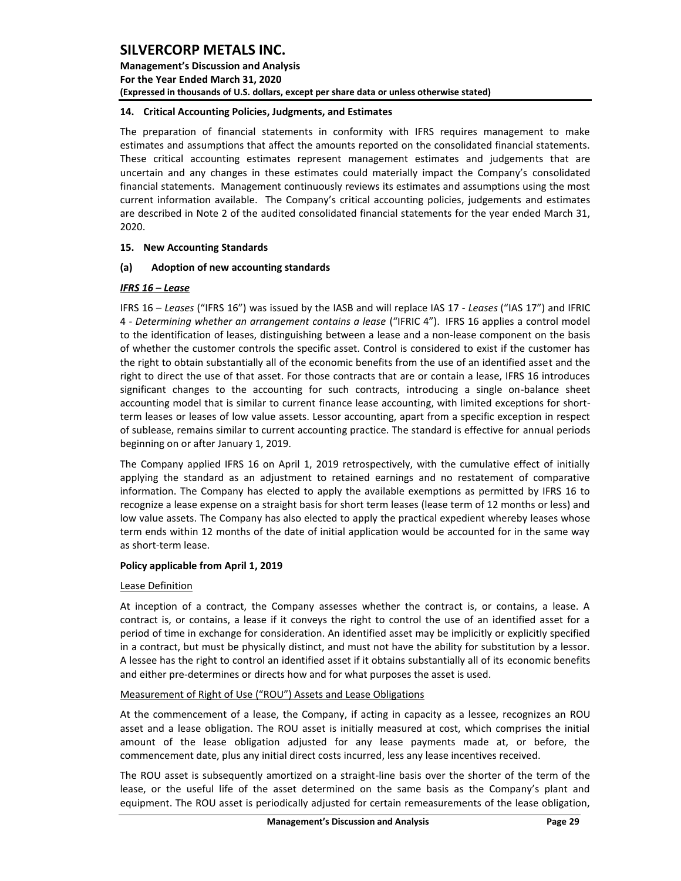**Management's Discussion and Analysis For the Year Ended March 31, 2020 (Expressed in thousands of U.S. dollars, except per share data or unless otherwise stated)** 

### <span id="page-29-0"></span>**14. Critical Accounting Policies, Judgments, and Estimates**

The preparation of financial statements in conformity with IFRS requires management to make estimates and assumptions that affect the amounts reported on the consolidated financial statements. These critical accounting estimates represent management estimates and judgements that are uncertain and any changes in these estimates could materially impact the Company's consolidated financial statements. Management continuously reviews its estimates and assumptions using the most current information available. The Company's critical accounting policies, judgements and estimates are described in Note 2 of the audited consolidated financial statements for the year ended March 31, 2020.

### <span id="page-29-1"></span>**15. New Accounting Standards**

### **(a) Adoption of new accounting standards**

### *IFRS 16 – Lease*

IFRS 16 – *Leases* ("IFRS 16") was issued by the IASB and will replace IAS 17 - *Leases* ("IAS 17") and IFRIC 4 - *Determining whether an arrangement contains a lease* ("IFRIC 4"). IFRS 16 applies a control model to the identification of leases, distinguishing between a lease and a non-lease component on the basis of whether the customer controls the specific asset. Control is considered to exist if the customer has the right to obtain substantially all of the economic benefits from the use of an identified asset and the right to direct the use of that asset. For those contracts that are or contain a lease, IFRS 16 introduces significant changes to the accounting for such contracts, introducing a single on-balance sheet accounting model that is similar to current finance lease accounting, with limited exceptions for shortterm leases or leases of low value assets. Lessor accounting, apart from a specific exception in respect of sublease, remains similar to current accounting practice. The standard is effective for annual periods beginning on or after January 1, 2019.

The Company applied IFRS 16 on April 1, 2019 retrospectively, with the cumulative effect of initially applying the standard as an adjustment to retained earnings and no restatement of comparative information. The Company has elected to apply the available exemptions as permitted by IFRS 16 to recognize a lease expense on a straight basis for short term leases (lease term of 12 months or less) and low value assets. The Company has also elected to apply the practical expedient whereby leases whose term ends within 12 months of the date of initial application would be accounted for in the same way as short-term lease.

#### **Policy applicable from April 1, 2019**

#### Lease Definition

At inception of a contract, the Company assesses whether the contract is, or contains, a lease. A contract is, or contains, a lease if it conveys the right to control the use of an identified asset for a period of time in exchange for consideration. An identified asset may be implicitly or explicitly specified in a contract, but must be physically distinct, and must not have the ability for substitution by a lessor. A lessee has the right to control an identified asset if it obtains substantially all of its economic benefits and either pre-determines or directs how and for what purposes the asset is used.

## Measurement of Right of Use ("ROU") Assets and Lease Obligations

At the commencement of a lease, the Company, if acting in capacity as a lessee, recognizes an ROU asset and a lease obligation. The ROU asset is initially measured at cost, which comprises the initial amount of the lease obligation adjusted for any lease payments made at, or before, the commencement date, plus any initial direct costs incurred, less any lease incentives received.

The ROU asset is subsequently amortized on a straight-line basis over the shorter of the term of the lease, or the useful life of the asset determined on the same basis as the Company's plant and equipment. The ROU asset is periodically adjusted for certain remeasurements of the lease obligation,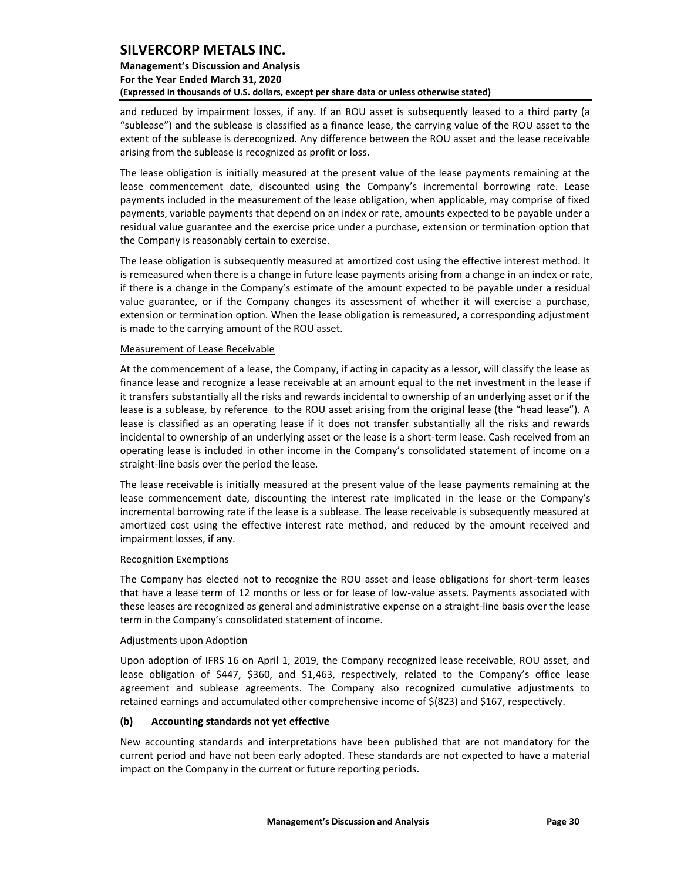## **Management's Discussion and Analysis For the Year Ended March 31, 2020 (Expressed in thousands of U.S. dollars, except per share data or unless otherwise stated)**

and reduced by impairment losses, if any. If an ROU asset is subsequently leased to a third party (a "sublease") and the sublease is classified as a finance lease, the carrying value of the ROU asset to the extent of the sublease is derecognized. Any difference between the ROU asset and the lease receivable arising from the sublease is recognized as profit or loss.

The lease obligation is initially measured at the present value of the lease payments remaining at the lease commencement date, discounted using the Company's incremental borrowing rate. Lease payments included in the measurement of the lease obligation, when applicable, may comprise of fixed payments, variable payments that depend on an index or rate, amounts expected to be payable under a residual value guarantee and the exercise price under a purchase, extension or termination option that the Company is reasonably certain to exercise.

The lease obligation is subsequently measured at amortized cost using the effective interest method. It is remeasured when there is a change in future lease payments arising from a change in an index or rate, if there is a change in the Company's estimate of the amount expected to be payable under a residual value guarantee, or if the Company changes its assessment of whether it will exercise a purchase, extension or termination option. When the lease obligation is remeasured, a corresponding adjustment is made to the carrying amount of the ROU asset.

### Measurement of Lease Receivable

At the commencement of a lease, the Company, if acting in capacity as a lessor, will classify the lease as finance lease and recognize a lease receivable at an amount equal to the net investment in the lease if it transfers substantially all the risks and rewards incidental to ownership of an underlying asset or if the lease is a sublease, by reference to the ROU asset arising from the original lease (the "head lease"). A lease is classified as an operating lease if it does not transfer substantially all the risks and rewards incidental to ownership of an underlying asset or the lease is a short-term lease. Cash received from an operating lease is included in other income in the Company's consolidated statement of income on a straight-line basis over the period the lease.

The lease receivable is initially measured at the present value of the lease payments remaining at the lease commencement date, discounting the interest rate implicated in the lease or the Company's incremental borrowing rate if the lease is a sublease. The lease receivable is subsequently measured at amortized cost using the effective interest rate method, and reduced by the amount received and impairment losses, if any.

#### Recognition Exemptions

The Company has elected not to recognize the ROU asset and lease obligations for short-term leases that have a lease term of 12 months or less or for lease of low-value assets. Payments associated with these leases are recognized as general and administrative expense on a straight-line basis over the lease term in the Company's consolidated statement of income.

#### Adjustments upon Adoption

Upon adoption of IFRS 16 on April 1, 2019, the Company recognized lease receivable, ROU asset, and lease obligation of \$447, \$360, and \$1,463, respectively, related to the Company's office lease agreement and sublease agreements. The Company also recognized cumulative adjustments to retained earnings and accumulated other comprehensive income of \$(823) and \$167, respectively.

## **(b) Accounting standards not yet effective**

New accounting standards and interpretations have been published that are not mandatory for the current period and have not been early adopted. These standards are not expected to have a material impact on the Company in the current or future reporting periods.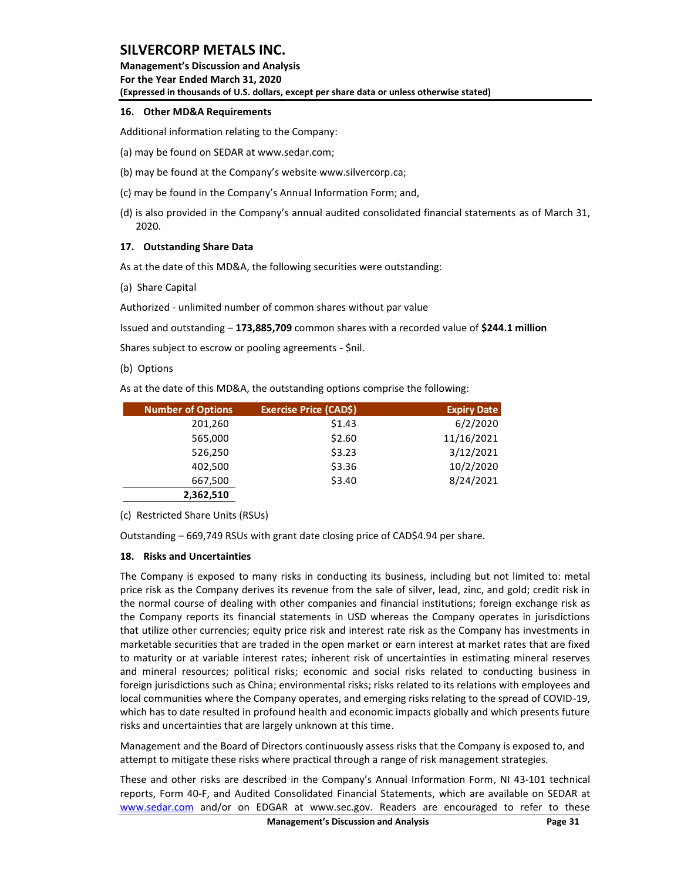**Management's Discussion and Analysis For the Year Ended March 31, 2020 (Expressed in thousands of U.S. dollars, except per share data or unless otherwise stated)** 

### <span id="page-31-0"></span>**16. Other MD&A Requirements**

Additional information relating to the Company:

- (a) may be found on SEDAR at www.sedar.com;
- (b) may be found at the Company's website www.silvercorp.ca;
- (c) may be found in the Company's Annual Information Form; and,
- (d) is also provided in the Company's annual audited consolidated financial statements as of March 31, 2020.

### <span id="page-31-1"></span>**17. Outstanding Share Data**

As at the date of this MD&A, the following securities were outstanding:

(a) Share Capital

Authorized - unlimited number of common shares without par value

Issued and outstanding – **173,885,709** common shares with a recorded value of **\$244.1 million** 

Shares subject to escrow or pooling agreements - \$nil.

#### (b) Options

As at the date of this MD&A, the outstanding options comprise the following:

| <b>Number of Options</b> | <b>Exercise Price (CAD\$)</b> | <b>Expiry Date</b> |
|--------------------------|-------------------------------|--------------------|
| 201,260                  | \$1.43                        | 6/2/2020           |
| 565,000                  | \$2.60                        | 11/16/2021         |
| 526,250                  | \$3.23                        | 3/12/2021          |
| 402,500                  | \$3.36                        | 10/2/2020          |
| 667,500                  | \$3.40                        | 8/24/2021          |
| 2,362,510                |                               |                    |

(c) Restricted Share Units (RSUs)

Outstanding – 669,749 RSUs with grant date closing price of CAD\$4.94 per share.

## <span id="page-31-2"></span>**18. Risks and Uncertainties**

The Company is exposed to many risks in conducting its business, including but not limited to: metal price risk as the Company derives its revenue from the sale of silver, lead, zinc, and gold; credit risk in the normal course of dealing with other companies and financial institutions; foreign exchange risk as the Company reports its financial statements in USD whereas the Company operates in jurisdictions that utilize other currencies; equity price risk and interest rate risk as the Company has investments in marketable securities that are traded in the open market or earn interest at market rates that are fixed to maturity or at variable interest rates; inherent risk of uncertainties in estimating mineral reserves and mineral resources; political risks; economic and social risks related to conducting business in foreign jurisdictions such as China; environmental risks; risks related to its relations with employees and local communities where the Company operates, and emerging risks relating to the spread of COVID-19, which has to date resulted in profound health and economic impacts globally and which presents future risks and uncertainties that are largely unknown at this time. **Exercise Price (CADS) Exercise Price (CADS) Exercise Price (CADS) Exercise 2.625 Exercise 3.43 10/2/2020**<br> **Exercise 3.625 Exercise 3.43 Exercise 3.43 Exercise 3.43 Exercise 3.44 Exercise 3.44 Exerci** 

Management and the Board of Directors continuously assess risks that the Company is exposed to, and attempt to mitigate these risks where practical through a range of risk management strategies.

These and other risks are described in the Company's Annual Information Form, NI 43-101 technical reports, Form 40-F, and Audited Consolidated Financial Statements, which are available on SEDAR at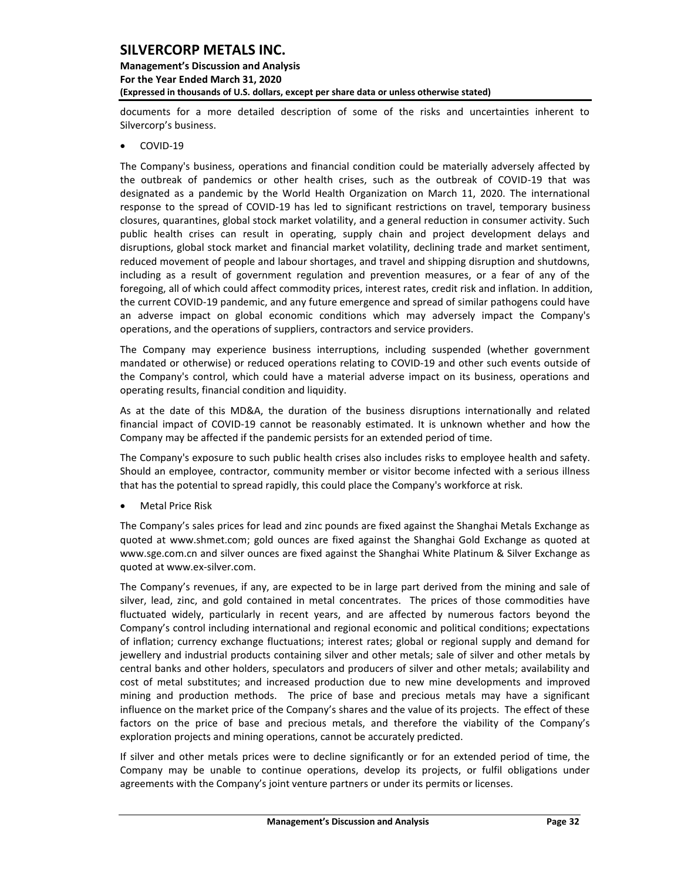## **Management's Discussion and Analysis For the Year Ended March 31, 2020 (Expressed in thousands of U.S. dollars, except per share data or unless otherwise stated)**

documents for a more detailed description of some of the risks and uncertainties inherent to Silvercorp's business.

• COVID-19

The Company's business, operations and financial condition could be materially adversely affected by the outbreak of pandemics or other health crises, such as the outbreak of COVID-19 that was designated as a pandemic by the World Health Organization on March 11, 2020. The international response to the spread of COVID-19 has led to significant restrictions on travel, temporary business closures, quarantines, global stock market volatility, and a general reduction in consumer activity. Such public health crises can result in operating, supply chain and project development delays and disruptions, global stock market and financial market volatility, declining trade and market sentiment, reduced movement of people and labour shortages, and travel and shipping disruption and shutdowns, including as a result of government regulation and prevention measures, or a fear of any of the foregoing, all of which could affect commodity prices, interest rates, credit risk and inflation. In addition, the current COVID-19 pandemic, and any future emergence and spread of similar pathogens could have an adverse impact on global economic conditions which may adversely impact the Company's operations, and the operations of suppliers, contractors and service providers.

The Company may experience business interruptions, including suspended (whether government mandated or otherwise) or reduced operations relating to COVID-19 and other such events outside of the Company's control, which could have a material adverse impact on its business, operations and operating results, financial condition and liquidity.

As at the date of this MD&A, the duration of the business disruptions internationally and related financial impact of COVID-19 cannot be reasonably estimated. It is unknown whether and how the Company may be affected if the pandemic persists for an extended period of time.

The Company's exposure to such public health crises also includes risks to employee health and safety. Should an employee, contractor, community member or visitor become infected with a serious illness that has the potential to spread rapidly, this could place the Company's workforce at risk.

• Metal Price Risk

The Company's sales prices for lead and zinc pounds are fixed against the Shanghai Metals Exchange as quoted at [www.shmet.com;](http://www.shmet.com/) gold ounces are fixed against the Shanghai Gold Exchange as quoted at www.sge.com.cn and silver ounces are fixed against the Shanghai White Platinum & Silver Exchange as quoted at www.ex-silver.com.

The Company's revenues, if any, are expected to be in large part derived from the mining and sale of silver, lead, zinc, and gold contained in metal concentrates. The prices of those commodities have fluctuated widely, particularly in recent years, and are affected by numerous factors beyond the Company's control including international and regional economic and political conditions; expectations of inflation; currency exchange fluctuations; interest rates; global or regional supply and demand for jewellery and industrial products containing silver and other metals; sale of silver and other metals by central banks and other holders, speculators and producers of silver and other metals; availability and cost of metal substitutes; and increased production due to new mine developments and improved mining and production methods. The price of base and precious metals may have a significant influence on the market price of the Company's shares and the value of its projects. The effect of these factors on the price of base and precious metals, and therefore the viability of the Company's exploration projects and mining operations, cannot be accurately predicted.

If silver and other metals prices were to decline significantly or for an extended period of time, the Company may be unable to continue operations, develop its projects, or fulfil obligations under agreements with the Company's joint venture partners or under its permits or licenses.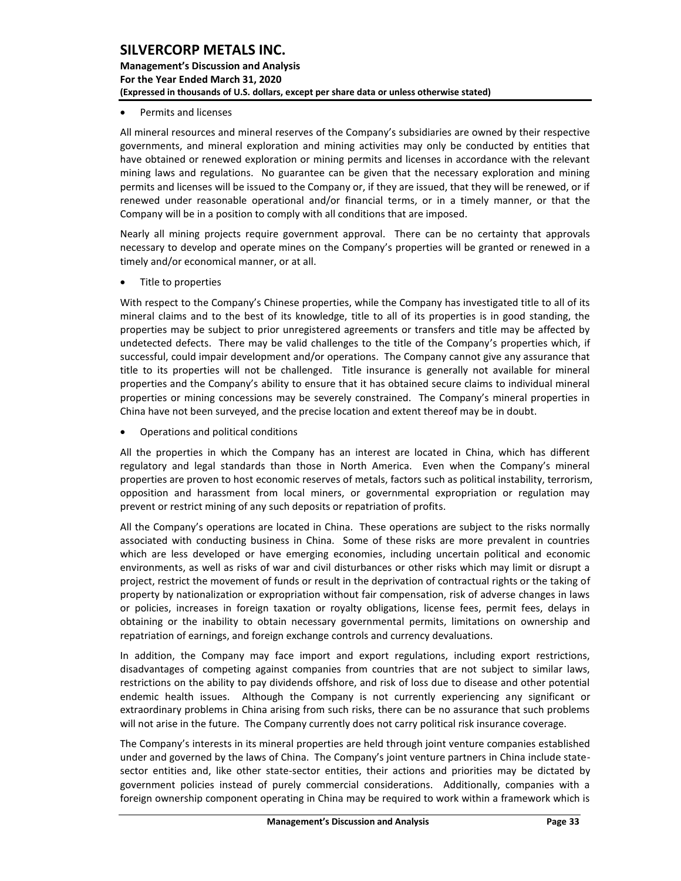## **Management's Discussion and Analysis For the Year Ended March 31, 2020 (Expressed in thousands of U.S. dollars, except per share data or unless otherwise stated)**

• Permits and licenses

All mineral resources and mineral reserves of the Company's subsidiaries are owned by their respective governments, and mineral exploration and mining activities may only be conducted by entities that have obtained or renewed exploration or mining permits and licenses in accordance with the relevant mining laws and regulations. No guarantee can be given that the necessary exploration and mining permits and licenses will be issued to the Company or, if they are issued, that they will be renewed, or if renewed under reasonable operational and/or financial terms, or in a timely manner, or that the Company will be in a position to comply with all conditions that are imposed.

Nearly all mining projects require government approval. There can be no certainty that approvals necessary to develop and operate mines on the Company's properties will be granted or renewed in a timely and/or economical manner, or at all.

• Title to properties

With respect to the Company's Chinese properties, while the Company has investigated title to all of its mineral claims and to the best of its knowledge, title to all of its properties is in good standing, the properties may be subject to prior unregistered agreements or transfers and title may be affected by undetected defects. There may be valid challenges to the title of the Company's properties which, if successful, could impair development and/or operations. The Company cannot give any assurance that title to its properties will not be challenged. Title insurance is generally not available for mineral properties and the Company's ability to ensure that it has obtained secure claims to individual mineral properties or mining concessions may be severely constrained. The Company's mineral properties in China have not been surveyed, and the precise location and extent thereof may be in doubt.

• Operations and political conditions

All the properties in which the Company has an interest are located in China, which has different regulatory and legal standards than those in North America. Even when the Company's mineral properties are proven to host economic reserves of metals, factors such as political instability, terrorism, opposition and harassment from local miners, or governmental expropriation or regulation may prevent or restrict mining of any such deposits or repatriation of profits.

All the Company's operations are located in China. These operations are subject to the risks normally associated with conducting business in China. Some of these risks are more prevalent in countries which are less developed or have emerging economies, including uncertain political and economic environments, as well as risks of war and civil disturbances or other risks which may limit or disrupt a project, restrict the movement of funds or result in the deprivation of contractual rights or the taking of property by nationalization or expropriation without fair compensation, risk of adverse changes in laws or policies, increases in foreign taxation or royalty obligations, license fees, permit fees, delays in obtaining or the inability to obtain necessary governmental permits, limitations on ownership and repatriation of earnings, and foreign exchange controls and currency devaluations.

In addition, the Company may face import and export regulations, including export restrictions, disadvantages of competing against companies from countries that are not subject to similar laws, restrictions on the ability to pay dividends offshore, and risk of loss due to disease and other potential endemic health issues. Although the Company is not currently experiencing any significant or extraordinary problems in China arising from such risks, there can be no assurance that such problems will not arise in the future. The Company currently does not carry political risk insurance coverage.

The Company's interests in its mineral properties are held through joint venture companies established under and governed by the laws of China. The Company's joint venture partners in China include statesector entities and, like other state-sector entities, their actions and priorities may be dictated by government policies instead of purely commercial considerations. Additionally, companies with a foreign ownership component operating in China may be required to work within a framework which is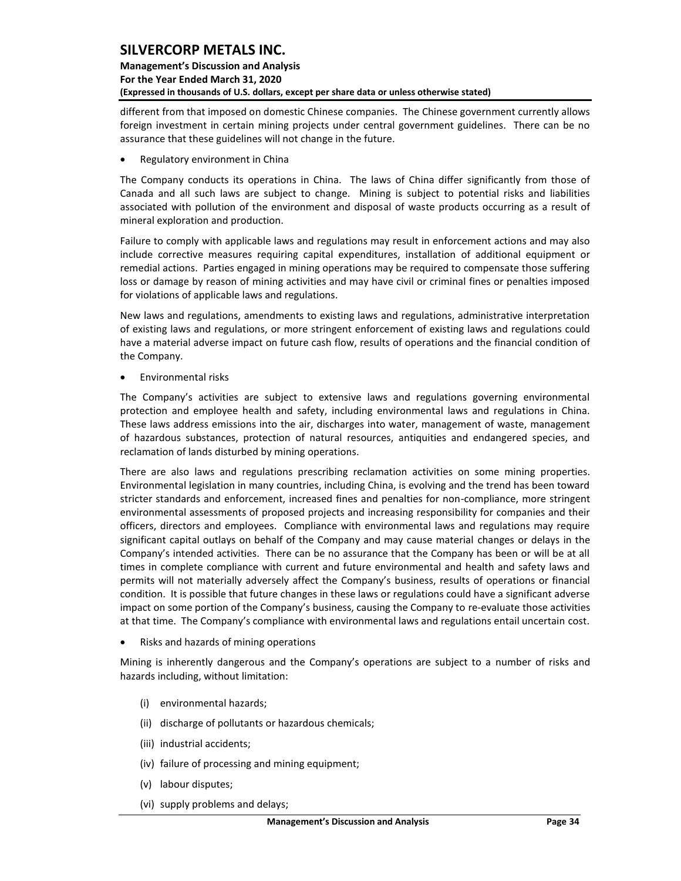## **Management's Discussion and Analysis For the Year Ended March 31, 2020 (Expressed in thousands of U.S. dollars, except per share data or unless otherwise stated)**

different from that imposed on domestic Chinese companies. The Chinese government currently allows foreign investment in certain mining projects under central government guidelines. There can be no assurance that these guidelines will not change in the future.

• Regulatory environment in China

The Company conducts its operations in China. The laws of China differ significantly from those of Canada and all such laws are subject to change. Mining is subject to potential risks and liabilities associated with pollution of the environment and disposal of waste products occurring as a result of mineral exploration and production.

Failure to comply with applicable laws and regulations may result in enforcement actions and may also include corrective measures requiring capital expenditures, installation of additional equipment or remedial actions. Parties engaged in mining operations may be required to compensate those suffering loss or damage by reason of mining activities and may have civil or criminal fines or penalties imposed for violations of applicable laws and regulations.

New laws and regulations, amendments to existing laws and regulations, administrative interpretation of existing laws and regulations, or more stringent enforcement of existing laws and regulations could have a material adverse impact on future cash flow, results of operations and the financial condition of the Company.

• Environmental risks

The Company's activities are subject to extensive laws and regulations governing environmental protection and employee health and safety, including environmental laws and regulations in China. These laws address emissions into the air, discharges into water, management of waste, management of hazardous substances, protection of natural resources, antiquities and endangered species, and reclamation of lands disturbed by mining operations.

There are also laws and regulations prescribing reclamation activities on some mining properties. Environmental legislation in many countries, including China, is evolving and the trend has been toward stricter standards and enforcement, increased fines and penalties for non-compliance, more stringent environmental assessments of proposed projects and increasing responsibility for companies and their officers, directors and employees. Compliance with environmental laws and regulations may require significant capital outlays on behalf of the Company and may cause material changes or delays in the Company's intended activities. There can be no assurance that the Company has been or will be at all times in complete compliance with current and future environmental and health and safety laws and permits will not materially adversely affect the Company's business, results of operations or financial condition. It is possible that future changes in these laws or regulations could have a significant adverse impact on some portion of the Company's business, causing the Company to re-evaluate those activities at that time. The Company's compliance with environmental laws and regulations entail uncertain cost.

• Risks and hazards of mining operations

Mining is inherently dangerous and the Company's operations are subject to a number of risks and hazards including, without limitation:

- (i) environmental hazards;
- (ii) discharge of pollutants or hazardous chemicals;
- (iii) industrial accidents;
- (iv) failure of processing and mining equipment;
- (v) labour disputes;
- (vi) supply problems and delays;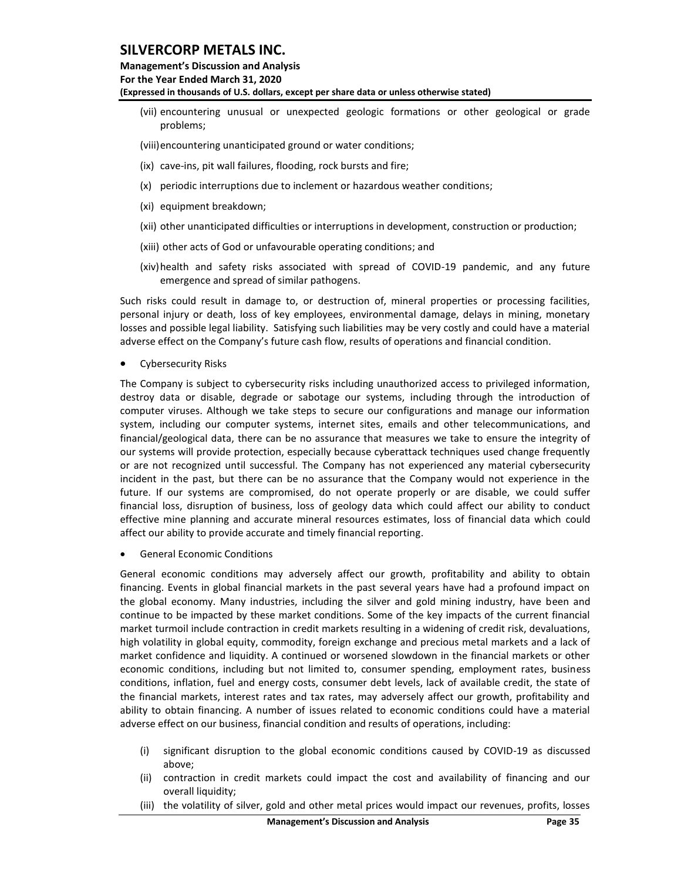## **Management's Discussion and Analysis For the Year Ended March 31, 2020 (Expressed in thousands of U.S. dollars, except per share data or unless otherwise stated)**

- (vii) encountering unusual or unexpected geologic formations or other geological or grade problems;
- (viii)encountering unanticipated ground or water conditions;
- (ix) cave-ins, pit wall failures, flooding, rock bursts and fire;
- (x) periodic interruptions due to inclement or hazardous weather conditions;
- (xi) equipment breakdown;
- (xii) other unanticipated difficulties or interruptions in development, construction or production;
- (xiii) other acts of God or unfavourable operating conditions; and
- (xiv)health and safety risks associated with spread of COVID-19 pandemic, and any future emergence and spread of similar pathogens.

Such risks could result in damage to, or destruction of, mineral properties or processing facilities, personal injury or death, loss of key employees, environmental damage, delays in mining, monetary losses and possible legal liability. Satisfying such liabilities may be very costly and could have a material adverse effect on the Company's future cash flow, results of operations and financial condition.

• Cybersecurity Risks

The Company is subject to cybersecurity risks including unauthorized access to privileged information, destroy data or disable, degrade or sabotage our systems, including through the introduction of computer viruses. Although we take steps to secure our configurations and manage our information system, including our computer systems, internet sites, emails and other telecommunications, and financial/geological data, there can be no assurance that measures we take to ensure the integrity of our systems will provide protection, especially because cyberattack techniques used change frequently or are not recognized until successful. The Company has not experienced any material cybersecurity incident in the past, but there can be no assurance that the Company would not experience in the future. If our systems are compromised, do not operate properly or are disable, we could suffer financial loss, disruption of business, loss of geology data which could affect our ability to conduct effective mine planning and accurate mineral resources estimates, loss of financial data which could affect our ability to provide accurate and timely financial reporting.

• General Economic Conditions

General economic conditions may adversely affect our growth, profitability and ability to obtain financing. Events in global financial markets in the past several years have had a profound impact on the global economy. Many industries, including the silver and gold mining industry, have been and continue to be impacted by these market conditions. Some of the key impacts of the current financial market turmoil include contraction in credit markets resulting in a widening of credit risk, devaluations, high volatility in global equity, commodity, foreign exchange and precious metal markets and a lack of market confidence and liquidity. A continued or worsened slowdown in the financial markets or other economic conditions, including but not limited to, consumer spending, employment rates, business conditions, inflation, fuel and energy costs, consumer debt levels, lack of available credit, the state of the financial markets, interest rates and tax rates, may adversely affect our growth, profitability and ability to obtain financing. A number of issues related to economic conditions could have a material adverse effect on our business, financial condition and results of operations, including:

- (i) significant disruption to the global economic conditions caused by COVID-19 as discussed above;
- (ii) contraction in credit markets could impact the cost and availability of financing and our overall liquidity;
- (iii) the volatility of silver, gold and other metal prices would impact our revenues, profits, losses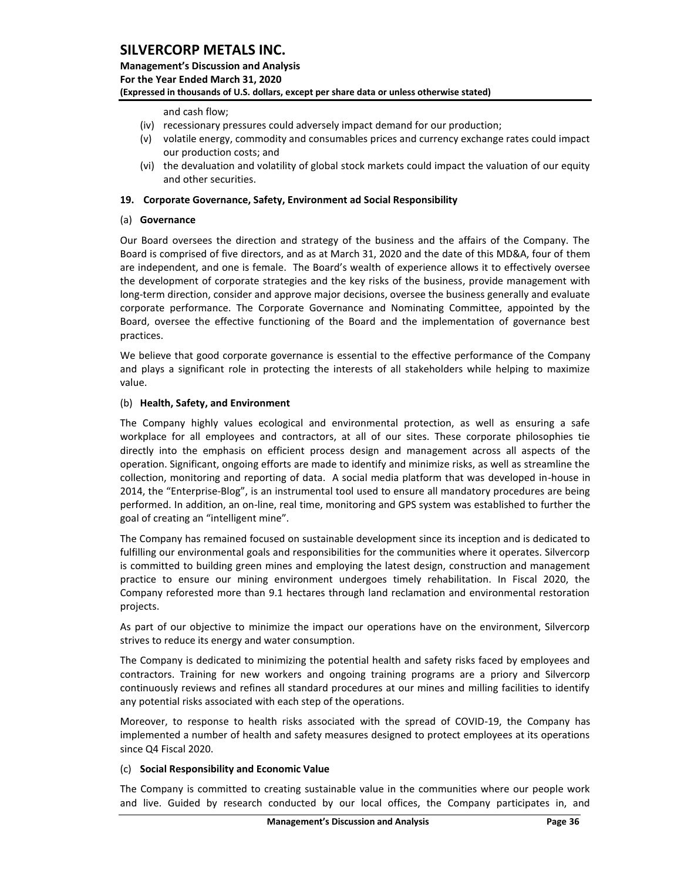**Management's Discussion and Analysis For the Year Ended March 31, 2020 (Expressed in thousands of U.S. dollars, except per share data or unless otherwise stated)** 

### and cash flow;

- (iv) recessionary pressures could adversely impact demand for our production;
- (v) volatile energy, commodity and consumables prices and currency exchange rates could impact our production costs; and
- (vi) the devaluation and volatility of global stock markets could impact the valuation of our equity and other securities.

### <span id="page-36-0"></span>**19. Corporate Governance, Safety, Environment ad Social Responsibility**

### (a) **Governance**

Our Board oversees the direction and strategy of the business and the affairs of the Company. The Board is comprised of five directors, and as at March 31, 2020 and the date of this MD&A, four of them are independent, and one is female. The Board's wealth of experience allows it to effectively oversee the development of corporate strategies and the key risks of the business, provide management with long-term direction, consider and approve major decisions, oversee the business generally and evaluate corporate performance. The Corporate Governance and Nominating Committee, appointed by the Board, oversee the effective functioning of the Board and the implementation of governance best practices.

We believe that good corporate governance is essential to the effective performance of the Company and plays a significant role in protecting the interests of all stakeholders while helping to maximize value.

### (b) **Health, Safety, and Environment**

The Company highly values ecological and environmental protection, as well as ensuring a safe workplace for all employees and contractors, at all of our sites. These corporate philosophies tie directly into the emphasis on efficient process design and management across all aspects of the operation. Significant, ongoing efforts are made to identify and minimize risks, as well as streamline the collection, monitoring and reporting of data. A social media platform that was developed in-house in 2014, the "Enterprise-Blog", is an instrumental tool used to ensure all mandatory procedures are being performed. In addition, an on-line, real time, monitoring and GPS system was established to further the goal of creating an "intelligent mine".

The Company has remained focused on sustainable development since its inception and is dedicated to fulfilling our environmental goals and responsibilities for the communities where it operates. Silvercorp is committed to building green mines and employing the latest design, construction and management practice to ensure our mining environment undergoes timely rehabilitation. In Fiscal 2020, the Company reforested more than 9.1 hectares through land reclamation and environmental restoration projects.

As part of our objective to minimize the impact our operations have on the environment, Silvercorp strives to reduce its energy and water consumption.

The Company is dedicated to minimizing the potential health and safety risks faced by employees and contractors. Training for new workers and ongoing training programs are a priory and Silvercorp continuously reviews and refines all standard procedures at our mines and milling facilities to identify any potential risks associated with each step of the operations.

Moreover, to response to health risks associated with the spread of COVID-19, the Company has implemented a number of health and safety measures designed to protect employees at its operations since Q4 Fiscal 2020.

#### (c) **Social Responsibility and Economic Value**

The Company is committed to creating sustainable value in the communities where our people work and live. Guided by research conducted by our local offices, the Company participates in, and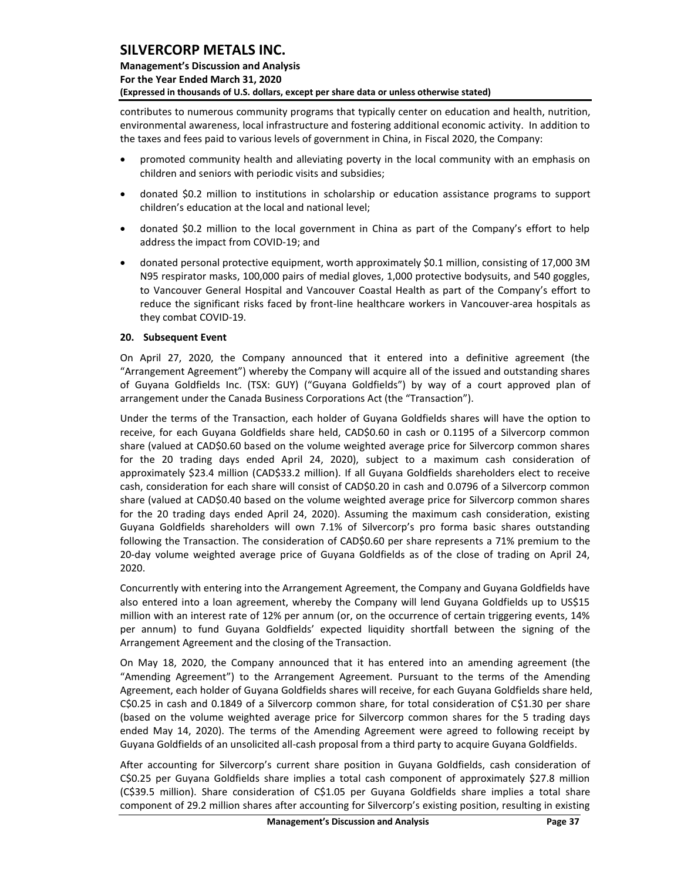## **Management's Discussion and Analysis For the Year Ended March 31, 2020 (Expressed in thousands of U.S. dollars, except per share data or unless otherwise stated)**

contributes to numerous community programs that typically center on education and health, nutrition, environmental awareness, local infrastructure and fostering additional economic activity. In addition to the taxes and fees paid to various levels of government in China, in Fiscal 2020, the Company:

- promoted community health and alleviating poverty in the local community with an emphasis on children and seniors with periodic visits and subsidies;
- donated \$0.2 million to institutions in scholarship or education assistance programs to support children's education at the local and national level;
- donated \$0.2 million to the local government in China as part of the Company's effort to help address the impact from COVID-19; and
- donated personal protective equipment, worth approximately \$0.1 million, consisting of 17,000 3M N95 respirator masks, 100,000 pairs of medial gloves, 1,000 protective bodysuits, and 540 goggles, to Vancouver General Hospital and Vancouver Coastal Health as part of the Company's effort to reduce the significant risks faced by front-line healthcare workers in Vancouver-area hospitals as they combat COVID-19.

### <span id="page-37-0"></span>**20. Subsequent Event**

On April 27, 2020, the Company announced that it entered into a definitive agreement (the "Arrangement Agreement") whereby the Company will acquire all of the issued and outstanding shares of Guyana Goldfields Inc. (TSX: GUY) ("Guyana Goldfields") by way of a court approved plan of arrangement under the Canada Business Corporations Act (the "Transaction").

Under the terms of the Transaction, each holder of Guyana Goldfields shares will have the option to receive, for each Guyana Goldfields share held, CAD\$0.60 in cash or 0.1195 of a Silvercorp common share (valued at CAD\$0.60 based on the volume weighted average price for Silvercorp common shares for the 20 trading days ended April 24, 2020), subject to a maximum cash consideration of approximately \$23.4 million (CAD\$33.2 million). If all Guyana Goldfields shareholders elect to receive cash, consideration for each share will consist of CAD\$0.20 in cash and 0.0796 of a Silvercorp common share (valued at CAD\$0.40 based on the volume weighted average price for Silvercorp common shares for the 20 trading days ended April 24, 2020). Assuming the maximum cash consideration, existing Guyana Goldfields shareholders will own 7.1% of Silvercorp's pro forma basic shares outstanding following the Transaction. The consideration of CAD\$0.60 per share represents a 71% premium to the 20-day volume weighted average price of Guyana Goldfields as of the close of trading on April 24, 2020.

Concurrently with entering into the Arrangement Agreement, the Company and Guyana Goldfields have also entered into a loan agreement, whereby the Company will lend Guyana Goldfields up to US\$15 million with an interest rate of 12% per annum (or, on the occurrence of certain triggering events, 14% per annum) to fund Guyana Goldfields' expected liquidity shortfall between the signing of the Arrangement Agreement and the closing of the Transaction.

On May 18, 2020, the Company announced that it has entered into an amending agreement (the "Amending Agreement") to the Arrangement Agreement. Pursuant to the terms of the Amending Agreement, each holder of Guyana Goldfields shares will receive, for each Guyana Goldfields share held, C\$0.25 in cash and 0.1849 of a Silvercorp common share, for total consideration of C\$1.30 per share (based on the volume weighted average price for Silvercorp common shares for the 5 trading days ended May 14, 2020). The terms of the Amending Agreement were agreed to following receipt by Guyana Goldfields of an unsolicited all-cash proposal from a third party to acquire Guyana Goldfields.

After accounting for Silvercorp's current share position in Guyana Goldfields, cash consideration of C\$0.25 per Guyana Goldfields share implies a total cash component of approximately \$27.8 million (C\$39.5 million). Share consideration of C\$1.05 per Guyana Goldfields share implies a total share component of 29.2 million shares after accounting for Silvercorp's existing position, resulting in existing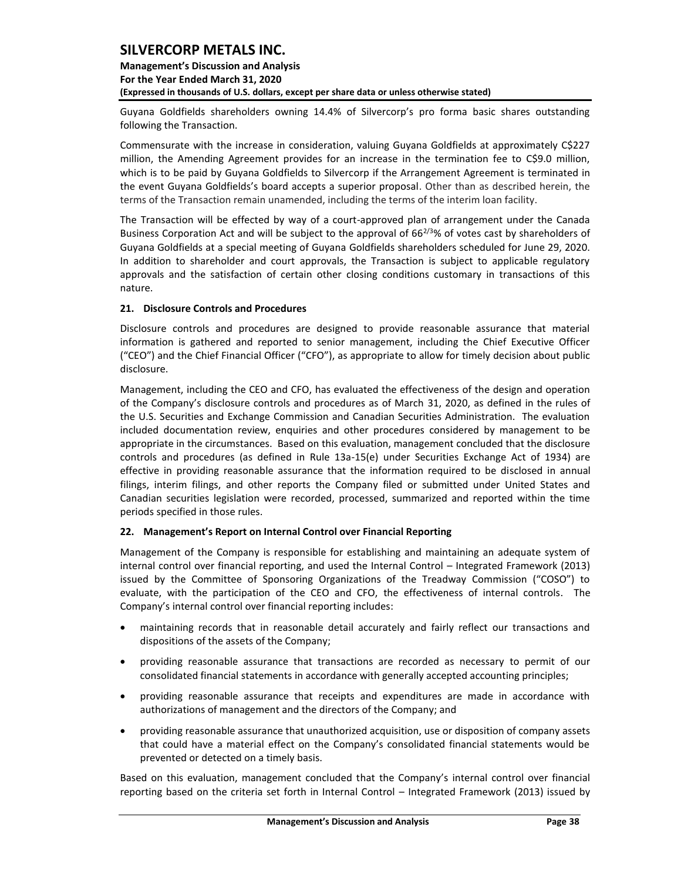## **Management's Discussion and Analysis For the Year Ended March 31, 2020 (Expressed in thousands of U.S. dollars, except per share data or unless otherwise stated)**

Guyana Goldfields shareholders owning 14.4% of Silvercorp's pro forma basic shares outstanding following the Transaction.

Commensurate with the increase in consideration, valuing Guyana Goldfields at approximately C\$227 million, the Amending Agreement provides for an increase in the termination fee to C\$9.0 million, which is to be paid by Guyana Goldfields to Silvercorp if the Arrangement Agreement is terminated in the event Guyana Goldfields's board accepts a superior proposal. Other than as described herein, the terms of the Transaction remain unamended, including the terms of the interim loan facility.

The Transaction will be effected by way of a court-approved plan of arrangement under the Canada Business Corporation Act and will be subject to the approval of  $66^{2/3}$ % of votes cast by shareholders of Guyana Goldfields at a special meeting of Guyana Goldfields shareholders scheduled for June 29, 2020. In addition to shareholder and court approvals, the Transaction is subject to applicable regulatory approvals and the satisfaction of certain other closing conditions customary in transactions of this nature.

## <span id="page-38-0"></span>**21. Disclosure Controls and Procedures**

Disclosure controls and procedures are designed to provide reasonable assurance that material information is gathered and reported to senior management, including the Chief Executive Officer ("CEO") and the Chief Financial Officer ("CFO"), as appropriate to allow for timely decision about public disclosure.

Management, including the CEO and CFO, has evaluated the effectiveness of the design and operation of the Company's disclosure controls and procedures as of March 31, 2020, as defined in the rules of the U.S. Securities and Exchange Commission and Canadian Securities Administration. The evaluation included documentation review, enquiries and other procedures considered by management to be appropriate in the circumstances. Based on this evaluation, management concluded that the disclosure controls and procedures (as defined in Rule 13a-15(e) under Securities Exchange Act of 1934) are effective in providing reasonable assurance that the information required to be disclosed in annual filings, interim filings, and other reports the Company filed or submitted under United States and Canadian securities legislation were recorded, processed, summarized and reported within the time periods specified in those rules.

## <span id="page-38-1"></span>**22. Management's Report on Internal Control over Financial Reporting**

Management of the Company is responsible for establishing and maintaining an adequate system of internal control over financial reporting, and used the Internal Control – Integrated Framework (2013) issued by the Committee of Sponsoring Organizations of the Treadway Commission ("COSO") to evaluate, with the participation of the CEO and CFO, the effectiveness of internal controls. The Company's internal control over financial reporting includes:

- maintaining records that in reasonable detail accurately and fairly reflect our transactions and dispositions of the assets of the Company;
- providing reasonable assurance that transactions are recorded as necessary to permit of our consolidated financial statements in accordance with generally accepted accounting principles;
- providing reasonable assurance that receipts and expenditures are made in accordance with authorizations of management and the directors of the Company; and
- providing reasonable assurance that unauthorized acquisition, use or disposition of company assets that could have a material effect on the Company's consolidated financial statements would be prevented or detected on a timely basis.

Based on this evaluation, management concluded that the Company's internal control over financial reporting based on the criteria set forth in Internal Control – Integrated Framework (2013) issued by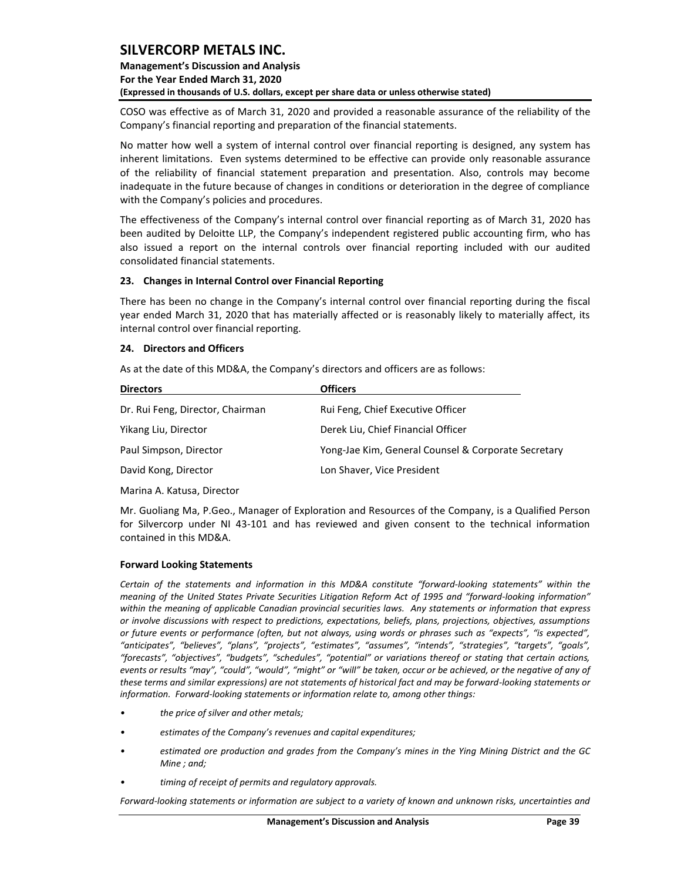## **Management's Discussion and Analysis For the Year Ended March 31, 2020 (Expressed in thousands of U.S. dollars, except per share data or unless otherwise stated)**

COSO was effective as of March 31, 2020 and provided a reasonable assurance of the reliability of the Company's financial reporting and preparation of the financial statements.

No matter how well a system of internal control over financial reporting is designed, any system has inherent limitations. Even systems determined to be effective can provide only reasonable assurance of the reliability of financial statement preparation and presentation. Also, controls may become inadequate in the future because of changes in conditions or deterioration in the degree of compliance with the Company's policies and procedures.

The effectiveness of the Company's internal control over financial reporting as of March 31, 2020 has been audited by Deloitte LLP, the Company's independent registered public accounting firm, who has also issued a report on the internal controls over financial reporting included with our audited consolidated financial statements.

### <span id="page-39-0"></span>**23. Changes in Internal Control over Financial Reporting**

There has been no change in the Company's internal control over financial reporting during the fiscal year ended March 31, 2020 that has materially affected or is reasonably likely to materially affect, its internal control over financial reporting.

### <span id="page-39-1"></span>**24. Directors and Officers**

As at the date of this MD&A, the Company's directors and officers are as follows:

| <b>Directors</b>                 | <b>Officers</b>                                     |
|----------------------------------|-----------------------------------------------------|
| Dr. Rui Feng, Director, Chairman | Rui Feng, Chief Executive Officer                   |
| Yikang Liu, Director             | Derek Liu, Chief Financial Officer                  |
| Paul Simpson, Director           | Yong-Jae Kim, General Counsel & Corporate Secretary |
| David Kong, Director             | Lon Shaver, Vice President                          |
|                                  |                                                     |

Marina A. Katusa, Director

Mr. Guoliang Ma, P.Geo., Manager of Exploration and Resources of the Company, is a Qualified Person for Silvercorp under NI 43-101 and has reviewed and given consent to the technical information contained in this MD&A.

#### <span id="page-39-2"></span>**Forward Looking Statements**

*Certain of the statements and information in this MD&A constitute "forward-looking statements" within the meaning of the United States Private Securities Litigation Reform Act of 1995 and "forward-looking information" within the meaning of applicable Canadian provincial securities laws. Any statements or information that express or involve discussions with respect to predictions, expectations, beliefs, plans, projections, objectives, assumptions or future events or performance (often, but not always, using words or phrases such as "expects", "is expected", "anticipates", "believes", "plans", "projects", "estimates", "assumes", "intends", "strategies", "targets", "goals", "forecasts", "objectives", "budgets", "schedules", "potential" or variations thereof or stating that certain actions, events or results "may", "could", "would", "might" or "will" be taken, occur or be achieved, or the negative of any of these terms and similar expressions) are not statements of historical fact and may be forward-looking statements or information. Forward-looking statements or information relate to, among other things:*

- *• the price of silver and other metals;*
- *• estimates of the Company's revenues and capital expenditures;*
- *• estimated ore production and grades from the Company's mines in the Ying Mining District and the GC Mine ; and;*
- *• timing of receipt of permits and regulatory approvals.*

Forward-looking statements or information are subject to a variety of known and unknown risks, uncertainties and